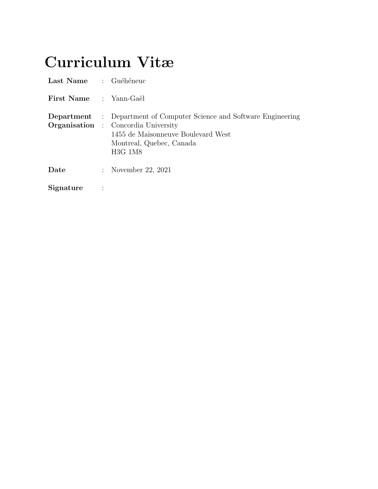# <span id="page-0-0"></span>Curriculum Vitæ

| Last Name : Guéhéneuc         |                                                                                                                                                                                                        |
|-------------------------------|--------------------------------------------------------------------------------------------------------------------------------------------------------------------------------------------------------|
| <b>First Name</b> : Yann-Gaël |                                                                                                                                                                                                        |
|                               | <b>Department</b> : Department of Computer Science and Software Engineering<br><b>Organisation</b> : Concordia University<br>1455 de Maisonneuve Boulevard West<br>Montreal, Quebec, Canada<br>H3G 1M8 |
| Date                          | : November 22, 2021                                                                                                                                                                                    |
| Signature                     |                                                                                                                                                                                                        |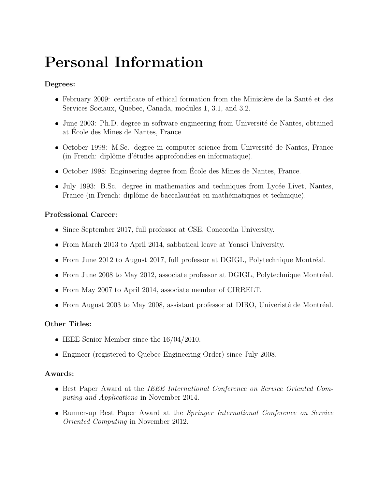# Personal Information

#### Degrees:

- February 2009: certificate of ethical formation from the Ministère de la Santé et des Services Sociaux, Quebec, Canada, modules 1, 3.1, and 3.2.
- June 2003: Ph.D. degree in software engineering from Université de Nantes, obtained at Ecole des Mines de Nantes, France. ´
- October 1998: M.Sc. degree in computer science from Université de Nantes, France (in French: diplôme d'études approfondies en informatique).
- October 1998: Engineering degree from Ecole des Mines de Nantes, France. ´
- July 1993: B.Sc. degree in mathematics and techniques from Lycée Livet, Nantes, France (in French: diplôme de baccalauréat en mathématiques et technique).

#### Professional Career:

- Since September 2017, full professor at CSE, Concordia University.
- From March 2013 to April 2014, sabbatical leave at Yonsei University.
- From June 2012 to August 2017, full professor at DGIGL, Polytechnique Montréal.
- $\bullet$  From June 2008 to May 2012, associate professor at DGIGL, Polytechnique Montréal.
- From May 2007 to April 2014, associate member of CIRRELT.
- $\bullet$  From August 2003 to May 2008, assistant professor at DIRO, Univeristé de Montréal.

#### Other Titles:

- IEEE Senior Member since the 16/04/2010.
- Engineer (registered to Quebec Engineering Order) since July 2008.

#### <span id="page-1-0"></span>Awards:

- **Best Paper Award at the IEEE International Conference on Service Oriented Com**puting and Applications in November 2014.
- Runner-up Best Paper Award at the Springer International Conference on Service Oriented Computing in November 2012.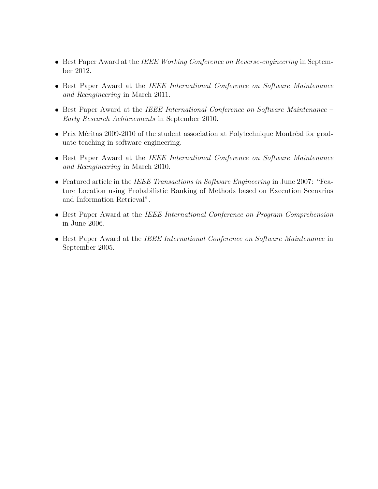- Best Paper Award at the IEEE Working Conference on Reverse-engineering in September 2012.
- Best Paper Award at the IEEE International Conference on Software Maintenance and Reengineering in March 2011.
- Best Paper Award at the IEEE International Conference on Software Maintenance Early Research Achievements in September 2010.
- Prix Méritas 2009-2010 of the student association at Polytechnique Montréal for graduate teaching in software engineering.
- Best Paper Award at the IEEE International Conference on Software Maintenance and Reengineering in March 2010.
- Featured article in the IEEE Transactions in Software Engineering in June 2007: "Feature Location using Probabilistic Ranking of Methods based on Execution Scenarios and Information Retrieval".
- **Best Paper Award at the IEEE International Conference on Program Comprehension** in June 2006.
- Best Paper Award at the IEEE International Conference on Software Maintenance in September 2005.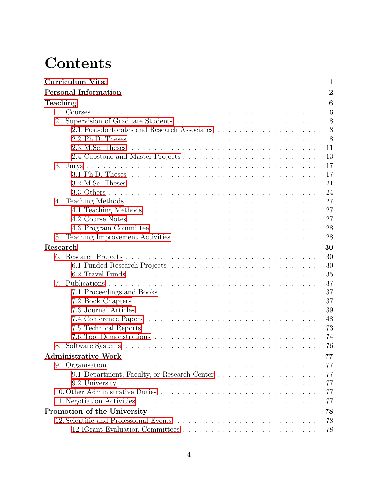# **Contents**

|                                | Curriculum Vitæ<br>1                          |
|--------------------------------|-----------------------------------------------|
|                                | $\overline{2}$<br><b>Personal Information</b> |
| Teaching                       | 6                                             |
|                                | 6<br>1. Courses                               |
| 2.                             | 8                                             |
|                                | 8                                             |
|                                | 8                                             |
|                                | 2.3. M.Sc. Theses<br>11                       |
|                                | 13                                            |
| 3.                             | 17                                            |
|                                | 17                                            |
|                                | 21                                            |
|                                | 24                                            |
| 4.                             | 27                                            |
|                                | 27                                            |
|                                | 27                                            |
|                                | 28                                            |
| 5.                             | 28                                            |
| Research                       | 30                                            |
|                                | 30                                            |
|                                | 30                                            |
|                                | 35                                            |
| $7_{\scriptscriptstyle{\sim}}$ | 37                                            |
|                                | 37                                            |
|                                | 37                                            |
|                                | 39                                            |
|                                | 48                                            |
|                                | 73                                            |
|                                | 74                                            |
|                                | 76                                            |
|                                | <b>Administrative Work</b><br>77              |
|                                | 77                                            |
|                                | 77                                            |
|                                | 77                                            |
|                                | 77                                            |
|                                | 77                                            |
|                                | Promotion of the University<br>78             |
|                                | 78                                            |
|                                | 78                                            |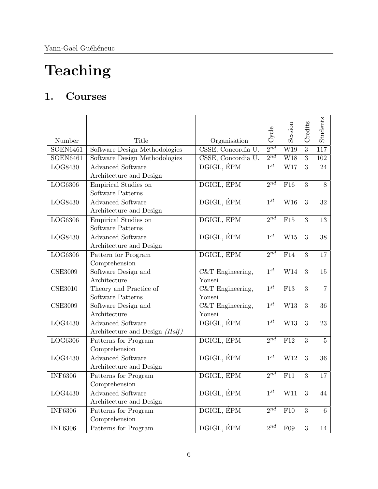# Teaching

# <span id="page-5-0"></span>1. Courses

| Number                      | Title                                                        | Organisation                 | Cycle               | Session                 | Credits        | <b>Students</b>  |
|-----------------------------|--------------------------------------------------------------|------------------------------|---------------------|-------------------------|----------------|------------------|
| <b>SOEN6461</b>             | Software Design Methodologies                                | CSSE, Concordia U.           | $2^{nd}$            | W19                     | $\overline{3}$ | $\overline{117}$ |
| <b>SOEN6461</b>             | Software Design Methodologies                                | CSSE, Concordia U.           | $2^{nd}$            | $\overline{\text{W18}}$ | $\overline{3}$ | 102              |
| LOG8430                     | <b>Advanced Software</b><br>Architecture and Design          | DGIGL, ÉPM                   | $\overline{1^{st}}$ | W17                     | 3              | 24               |
| LOG6306                     | Empirical Studies on<br>Software Patterns                    | DGIGL, EPM                   | $2^{nd}$            | F16                     | 3              | 8                |
| LOG8430                     | <b>Advanced Software</b><br>Architecture and Design          | DGIGL, ÉPM                   | $1^{st}$            | W <sub>16</sub>         | 3              | 32               |
| LOG6306                     | Empirical Studies on<br>Software Patterns                    | DGIGL, ÉPM                   | 2nd                 | F15                     | 3              | 13               |
| LOG8430                     | <b>Advanced Software</b><br>Architecture and Design          | DGIGL, ÉPM                   | $1^{st}$            | W15                     | 3              | 38               |
| LOG6306                     | Pattern for Program<br>Comprehension                         | DGIGL, ÉPM                   | $2^{nd}$            | F14                     | 3              | 17               |
| <b>CSE3009</b>              | Software Design and<br>Architecture                          | $C&T$ Engineering,<br>Yonsei | $1^{st}$            | $\overline{W14}$        | $\overline{3}$ | 15               |
| $\overline{\text{CSE}3010}$ | Theory and Practice of<br>Software Patterns                  | $C&T$ Engineering,<br>Yonsei | $1^{st}$            | $\overline{F13}$        | $\overline{3}$ | $\overline{7}$   |
| <b>CSE3009</b>              | Software Design and<br>Architecture                          | $C&T$ Engineering,<br>Yonsei | $1^{st}$            | W13                     | $\overline{3}$ | 36               |
| LOG4430                     | <b>Advanced Software</b><br>Architecture and Design $(Half)$ | DGIGL, ÉPM                   | $1^{st}$            | W13                     | 3              | 23               |
| LOG6306                     | Patterns for Program<br>Comprehension                        | DGIGL, ÉPM                   | $2^{nd}$            | F12                     | 3              | $\overline{5}$   |
| LOG4430                     | <b>Advanced Software</b><br>Architecture and Design          | DGIGL, ÉPM                   | $1^{st}$            | W12                     | 3              | 36               |
| <b>INF6306</b>              | Patterns for Program<br>Comprehension                        | DGIGL, ÉPM                   | $2^{nd}$            | F11                     | 3              | 17               |
| LOG4430                     | <b>Advanced Software</b><br>Architecture and Design          | DGIGL, EPM                   | $\overline{1^{st}}$ | W11                     | 3              | 44               |
| <b>INF6306</b>              | Patterns for Program<br>Comprehension                        | DGIGL, ÉPM                   | $2^{nd}$            | F10                     | 3              | 6                |
| <b>INF6306</b>              | Patterns for Program                                         | DGIGL, ÉPM                   | $2^{n\overline{d}}$ | F09                     | 3              | 14               |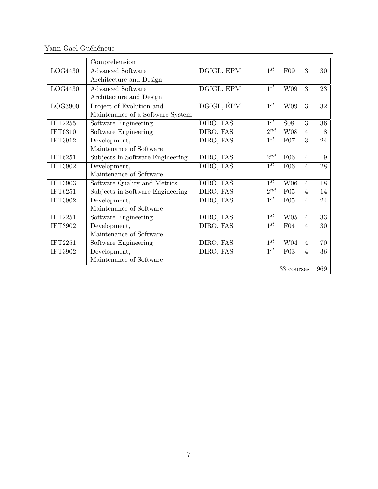Yann-Gaël Guéhéneuc

|                | Comprehension                    |            |                     |                 |                |     |
|----------------|----------------------------------|------------|---------------------|-----------------|----------------|-----|
| LOG4430        | <b>Advanced Software</b>         | DGIGL, ÉPM | $1^{st}$            | F09             | 3              | 30  |
|                | Architecture and Design          |            |                     |                 |                |     |
| LOG4430        | <b>Advanced Software</b>         | DGIGL, ÉPM | $1^{st}$            | W09             | 3              | 23  |
|                | Architecture and Design          |            |                     |                 |                |     |
| LOG3900        | Project of Evolution and         | DGIGL, EPM | $1^{st}$            | W09             | 3              | 32  |
|                | Maintenance of a Software System |            |                     |                 |                |     |
| IFT2255        | Software Engineering             | DIRO, FAS  | $1^{st}$            | <b>S08</b>      | 3              | 36  |
| <b>IFT6310</b> | Software Engineering             | DIRO, FAS  | $2^{nd}$            | W <sub>08</sub> | $\overline{4}$ | 8   |
| IFT3912        | Development,                     | DIRO, FAS  | $1^{st}$            | F07             | $\overline{3}$ | 24  |
|                | Maintenance of Software          |            |                     |                 |                |     |
| <b>IFT6251</b> | Subjects in Software Engineering | DIRO, FAS  | $2^{nd}$            | F06             | $\overline{4}$ | 9   |
| <b>IFT3902</b> | Development,                     | DIRO, FAS  | $1^{st}$            | F06             | $\overline{4}$ | 28  |
|                | Maintenance of Software          |            |                     |                 |                |     |
| <b>IFT3903</b> | Software Quality and Metrics     | DIRO, FAS  | $1^{st}$            | <b>W06</b>      | $\overline{4}$ | 18  |
| IFT6251        | Subjects in Software Engineering | DIRO, FAS  | 2nd                 | F05             | $\overline{4}$ | 14  |
| IFT3902        | Development,                     | DIRO, FAS  | $\overline{1^{st}}$ | F05             | $\overline{4}$ | 24  |
|                | Maintenance of Software          |            |                     |                 |                |     |
| <b>IFT2251</b> | Software Engineering             | DIRO, FAS  | $1^{st}$            | W05             | $\overline{4}$ | 33  |
| <b>IFT3902</b> | Development,                     | DIRO, FAS  | $1^{st}$            | F04             | $\overline{4}$ | 30  |
|                | Maintenance of Software          |            |                     |                 |                |     |
| <b>IFT2251</b> | Software Engineering             | DIRO, FAS  | $1^{st}$            | W04             | $\overline{4}$ | 70  |
| <b>IFT3902</b> | Development,                     | DIRO, FAS  | $1^{st}$            | F03             | $\overline{4}$ | 36  |
|                | Maintenance of Software          |            |                     |                 |                |     |
|                |                                  |            |                     | 33 courses      |                | 969 |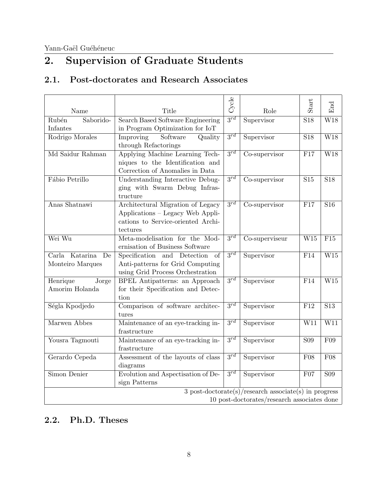# <span id="page-7-0"></span>2. Supervision of Graduate Students

## <span id="page-7-1"></span>2.1. Post-doctorates and Research Associates

|                                             |                                      | Cycle    |                                                         | Start            | End                     |  |
|---------------------------------------------|--------------------------------------|----------|---------------------------------------------------------|------------------|-------------------------|--|
| Name                                        | Title                                |          | Role                                                    |                  |                         |  |
| Saborido-<br>Rubén                          | Search Based Software Engineering    | $3^{rd}$ | Supervisor                                              | $\overline{S18}$ | $\overline{\text{W18}}$ |  |
| Infantes                                    | in Program Optimization for IoT      |          |                                                         |                  |                         |  |
| Rodrigo Morales                             | Improving<br>Software<br>Quality     | $3^{rd}$ | Supervisor                                              | S <sub>18</sub>  | W18                     |  |
|                                             | through Refactorings                 |          |                                                         |                  |                         |  |
| Md Saidur Rahman                            | Applying Machine Learning Tech-      | $3^{rd}$ | Co-supervisor                                           | F17              | W18                     |  |
|                                             | niques to the Identification and     |          |                                                         |                  |                         |  |
|                                             | Correction of Anomalies in Data      |          |                                                         |                  |                         |  |
| Fábio Petrillo                              | Understanding Interactive Debug-     | $3^{rd}$ | Co-supervisor                                           | $\overline{S15}$ | $\overline{S18}$        |  |
|                                             | ging with Swarm Debug Infras-        |          |                                                         |                  |                         |  |
|                                             | tructure                             |          |                                                         |                  |                         |  |
| Anas Shatnawi                               | Architectural Migration of Legacy    | $3^{rd}$ | Co-supervisor                                           | F17              | S <sub>16</sub>         |  |
|                                             | Applications - Legacy Web Appli-     |          |                                                         |                  |                         |  |
|                                             | cations to Service-oriented Archi-   |          |                                                         |                  |                         |  |
|                                             | tectures                             |          |                                                         |                  |                         |  |
| Wei Wu                                      | Meta-modelisation for the Mod-       | $3^{rd}$ | Co-superviseur                                          | W15              | $\overline{F15}$        |  |
|                                             | ernisation of Business Software      |          |                                                         |                  |                         |  |
| Carla Katarina<br>De                        | Specification and<br>Detection<br>of | $3^{rd}$ | Supervisor                                              | F14              | $\overline{\text{W15}}$ |  |
| Monteiro Marques                            | Anti-patterns for Grid Computing     |          |                                                         |                  |                         |  |
|                                             | using Grid Process Orchestration     |          |                                                         |                  |                         |  |
| Henrique<br>Jorge                           | BPEL Antipatterns: an Approach       | $3^{rd}$ | Supervisor                                              | F14              | $\overline{\text{W15}}$ |  |
| Amorim Holanda                              | for their Specification and Detec-   |          |                                                         |                  |                         |  |
|                                             | tion                                 |          |                                                         |                  |                         |  |
| Ségla Kpodjedo                              | Comparison of software architec-     | $3^{rd}$ | Supervisor                                              | F12              | S <sub>13</sub>         |  |
|                                             | tures                                |          |                                                         |                  |                         |  |
| Marwen Abbes                                | Maintenance of an eye-tracking in-   | $3^{rd}$ | Supervisor                                              | W11              | $\overline{\text{W11}}$ |  |
|                                             | frastructure                         |          |                                                         |                  |                         |  |
| Yousra Tagmouti                             | Maintenance of an eye-tracking in-   | $3^{rd}$ | Supervisor                                              | <b>S09</b>       | F09                     |  |
|                                             | frastructure                         |          |                                                         |                  |                         |  |
| Gerardo Cepeda                              | Assessment of the layouts of class   | $3^{rd}$ | Supervisor                                              | F08              | F08                     |  |
|                                             | diagrams                             |          |                                                         |                  |                         |  |
| Simon Denier                                | Evolution and Aspectisation of De-   | $3^{rd}$ | Supervisor                                              | F07              | <b>S09</b>              |  |
|                                             | sign Patterns                        |          |                                                         |                  |                         |  |
|                                             |                                      |          | $3$ post-doctorate(s)/research associate(s) in progress |                  |                         |  |
| 10 post-doctorates/research associates done |                                      |          |                                                         |                  |                         |  |

## <span id="page-7-2"></span>2.2. Ph.D. Theses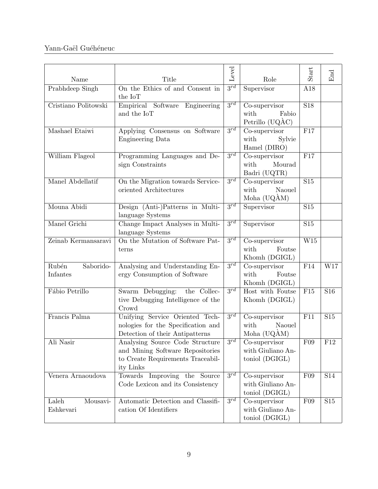| Name                           | Title                                                                                                                 | Level               | Role                                                    | Start            | End        |
|--------------------------------|-----------------------------------------------------------------------------------------------------------------------|---------------------|---------------------------------------------------------|------------------|------------|
| Prabhdeep Singh                | On the Ethics of and Consent in<br>the IoT                                                                            | $\overline{3^{rd}}$ | Supervisor                                              | A18              |            |
| Cristiano Politowski           | Empirical Software Engineering<br>and the IoT                                                                         | $3^{rd}$            | Co-supervisor<br>with<br>Fabio<br>Petrillo (UQÀC)       | $\overline{S18}$ |            |
| Mashael Etaiwi                 | Applying Consensus on Software<br><b>Engineering Data</b>                                                             | $3^{rd}$            | Co-supervisor<br>with<br>Sylvie<br>Hamel (DIRO)         | F17              |            |
| William Flageol                | Programming Languages and De-<br>sign Constraints                                                                     | $\overline{3^{rd}}$ | Co-supervisor<br>with<br>Mourad<br>Badri (UQTR)         | F17              |            |
| Manel Abdellatif               | On the Migration towards Service-<br>oriented Architectures                                                           | $3^{rd}$            | Co-supervisor<br>with<br>Naouel<br>Moha (UQÀM)          | S15              |            |
| Mouna Abidi                    | Design (Anti-)Patterns in Multi-<br>language Systems                                                                  | $3^{rd}$            | Supervisor                                              | S15              |            |
| Manel Grichi                   | Change Impact Analyses in Multi-<br>language Systems                                                                  | $3^{rd}$            | Supervisor                                              | $\overline{S15}$ |            |
| Zeinab Kermansaravi            | On the Mutation of Software Pat-<br>terns                                                                             | $3^{rd}$            | Co-supervisor<br>with<br>Foutse<br>Khomh (DGIGL)        | W15              |            |
| Rubén<br>Saborido-<br>Infantes | Analysing and Understanding En-<br>ergy Consumption of Software                                                       | $3^{rd}$            | Co-supervisor<br>with<br>Foutse<br>Khomh (DGIGL)        | F14              | W17        |
| Fábio Petrillo                 | Swarm Debugging:<br>the Collec-<br>tive Debugging Intelligence of the<br>Crowd                                        | $\overline{3^{rd}}$ | Host with Foutse<br>Khomh (DGIGL)                       | F15              | S16        |
| Francis Palma                  | Unifying Service Oriented Tech-<br>nologies for the Specification and<br>Detection of their Antipatterns              | $3^{rd}$            | Co-supervisor<br>with<br>Naouel<br>Moha $(UQAM)$        | F11              | <b>S15</b> |
| Ali Nasir                      | Analysing Source Code Structure<br>and Mining Software Repositories<br>to Create Requirements Traceabil-<br>ity Links | $3^{rd}$            | Co-supervisor<br>with Giuliano An-<br>toniol (DGIGL)    | F09              | F12        |
| Venera Arnaoudova              | Towards Improving the Source<br>Code Lexicon and its Consistency                                                      | $\overline{3^{rd}}$ | Co-supervisor<br>with Giuliano An-<br>toniol (DGIGL)    | F09              | <b>S14</b> |
| Laleh<br>Mousavi-<br>Eshkevari | Automatic Detection and Classifi-<br>cation Of Identifiers                                                            | $3^{rd}$            | $Co$ -supervisor<br>with Giuliano An-<br>toniol (DGIGL) | F09              | $\rm S15$  |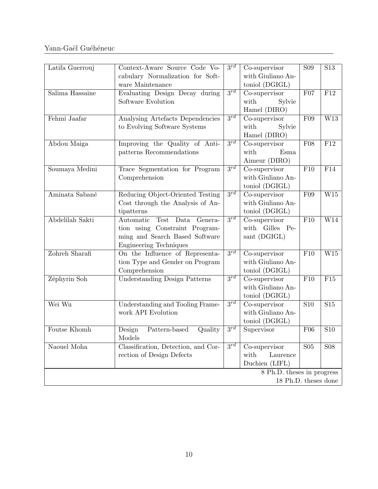| Latifa Guerrouj                                    | Context-Aware Source Code Vo-<br>cabulary Normalization for Soft-<br>ware Maintenance                                               | $3^{rd}$            | Co-supervisor<br>with Giuliano An-<br>toniol (DGIGL)                 | <b>S09</b>       | S <sub>13</sub>         |  |
|----------------------------------------------------|-------------------------------------------------------------------------------------------------------------------------------------|---------------------|----------------------------------------------------------------------|------------------|-------------------------|--|
| Salima Hassaine                                    | Evaluating Design Decay during<br>Software Evolution                                                                                | $3^{rd}$            | Co-supervisor<br>with<br>Sylvie<br>Hamel (DIRO)                      | F07              | F12                     |  |
| Fehmi Jaafar                                       | Analysing Artefacts Dependencies<br>to Evolving Software Systems                                                                    | $3^{rd}$            | $\overline{\text{Co}}$ -supervisor<br>Sylvie<br>with<br>Hamel (DIRO) | F09              | W13                     |  |
| Abdou Maiga                                        | Improving the Quality of Anti-<br>patterns Recommendations                                                                          | $\overline{3^{rd}}$ | Co-supervisor<br>with<br>Esma<br>Aimeur (DIRO)                       | F08              | F12                     |  |
| Soumaya Medini                                     | Trace Segmentation for Program<br>Comprehension                                                                                     | $3^{rd}$            | Co-supervisor<br>with Giuliano An-<br>toniol (DGIGL)                 | F10              | F14                     |  |
| Aminata Sabané                                     | Reducing Object-Oriented Testing<br>Cost through the Analysis of An-<br>tipatterns                                                  | $3^{rd}$            | Co-supervisor<br>with Giuliano An-<br>toniol (DGIGL)                 | F09              | $\overline{\text{W15}}$ |  |
| Abdelilah Sakti                                    | Automatic<br>Test Data Genera-<br>tion using Constraint Program-<br>ming and Search Based Software<br><b>Engineering Techniques</b> | $3^{rd}$            | Co-supervisor<br>with Gilles<br>$Pe-$<br>sant (DGIGL)                | F10              | W14                     |  |
| Zohreh Sharafi                                     | On the Influence of Representa-<br>tion Type and Gender on Program<br>Comprehension                                                 | $3^{rd}$            | Co-supervisor<br>with Giuliano An-<br>toniol (DGIGL)                 | F10              | W15                     |  |
| Zéphyrin Soh                                       | <b>Understanding Design Patterns</b>                                                                                                | $3^{rd}$            | Co-supervisor<br>with Giuliano An-<br>toniol (DGIGL)                 | F10              | F15                     |  |
| Wei Wu                                             | Understanding and Tooling Frame-<br>work API Evolution                                                                              | $3^{rd}$            | Co-supervisor<br>with Giuliano An-<br>toniol (DGIGL)                 | $\overline{S10}$ | $\overline{S15}$        |  |
| Foutse Khomh                                       | Design<br>Pattern-based<br>Quality<br>Models                                                                                        | $3^{rd}$            | Supervisor                                                           | F06              | S <sub>10</sub>         |  |
| Naouel Moha                                        | Classification, Detection, and Cor-<br>rection of Design Defects                                                                    | $3^{rd}$            | Co-supervisor<br>with<br>Laurence<br>Duchien (LIFL)                  | S <sub>05</sub>  | <b>S08</b>              |  |
| 8 Ph.D. theses in progress<br>18 Ph.D. theses done |                                                                                                                                     |                     |                                                                      |                  |                         |  |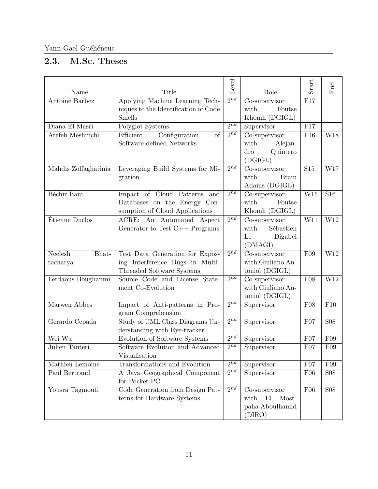## <span id="page-10-0"></span>2.3. M.Sc. Theses

| Name                         | Title                                                                                           | Level               | Role                                                              | $\operatorname*{Start}% \left( \mathcal{N}\right) \equiv\operatorname*{Start}% \left( \mathcal{N}\right) \equiv\operatorname*{Start}% \left( \mathcal{N}\right) \equiv\operatorname*{Start}% \left( \mathcal{N}\right) \equiv\operatorname*{Start}% \left( \mathcal{N}\right) \equiv\operatorname*{Start}% \left( \mathcal{N}\right) \equiv\operatorname*{Start}% \left( \mathcal{N}\right) \equiv\operatorname*{Start}% \left( \mathcal{N}\right) \equiv\operatorname*{Start}% \left( \mathcal{N}\right) \equiv\operatorname*{Start}% \left( \mathcal{N}\right) \equiv\operatorname*{Start}% \left( \mathcal{N}\right) \equiv$ | End                     |
|------------------------------|-------------------------------------------------------------------------------------------------|---------------------|-------------------------------------------------------------------|---------------------------------------------------------------------------------------------------------------------------------------------------------------------------------------------------------------------------------------------------------------------------------------------------------------------------------------------------------------------------------------------------------------------------------------------------------------------------------------------------------------------------------------------------------------------------------------------------------------------------------|-------------------------|
| Antoine Barbez               | Applying Machine Learning Tech-<br>niques to the Identification of Code<br>Smells               | $2^{nd}$            | Co-supervisor<br>with<br>Foutse<br>Khomh (DGIGL)                  | F17                                                                                                                                                                                                                                                                                                                                                                                                                                                                                                                                                                                                                             |                         |
| Diana El-Masri               | Polyglot Systems                                                                                | $2^{nd}$            | Supervisor                                                        | F17                                                                                                                                                                                                                                                                                                                                                                                                                                                                                                                                                                                                                             |                         |
| Atefeh Meshinchi             | Configuration<br>of<br>Efficient<br>Software-defined Networks                                   | $\overline{2^{nd}}$ | Co-supervisor<br>with<br>Alejan-<br>Quintero<br>dro<br>(DGIGL)    | F16                                                                                                                                                                                                                                                                                                                                                                                                                                                                                                                                                                                                                             | $\overline{\text{W18}}$ |
| Mahdis Zolfagharinia         | Leveraging Build Systems for Mi-<br>gration                                                     | $\overline{2^{nd}}$ | $Co$ -supervisor<br>with<br><b>Bram</b><br>Adams (DGIGL)          | $\overline{S15}$                                                                                                                                                                                                                                                                                                                                                                                                                                                                                                                                                                                                                | $\overline{\text{W17}}$ |
| Béchir Bani                  | Impact of Cloud Patterns and<br>Databases on the Energy Con-<br>sumption of Cloud Applications  | $2^{nd}$            | Co-supervisor<br>with<br>Foutse<br>Khomh (DGIGL)                  | W15                                                                                                                                                                                                                                                                                                                                                                                                                                                                                                                                                                                                                             | S <sub>16</sub>         |
| Étienne Duclos               | ACRE: An Automated Aspect<br>Generator to Test $C++$ Programs                                   | $2^{n\overline{d}}$ | Co-supervisor<br>Sébastien<br>with<br>Digabel<br>Le<br>(DMAGI)    | W11                                                                                                                                                                                                                                                                                                                                                                                                                                                                                                                                                                                                                             | W12                     |
| Neelesh<br>Bhat-<br>tacharya | Test Data Generation for Expos-<br>ing Interference Bugs in Multi-<br>Threaded Software Systems | $2^{nd}$            | Co-supervisor<br>with Giuliano An-<br>toniol (DGIGL)              | F09                                                                                                                                                                                                                                                                                                                                                                                                                                                                                                                                                                                                                             | $\overline{\text{W12}}$ |
| Ferdaous Boughanmi           | Source Code and License State-<br>ment Co-Evolution                                             | $\overline{2^{nd}}$ | Co-supervisor<br>with Giuliano An-<br>toniol (DGIGL)              | F08                                                                                                                                                                                                                                                                                                                                                                                                                                                                                                                                                                                                                             | W12                     |
| Marwen Abbes                 | Impact of Anti-patterns in Pro-<br>gram Comprehension                                           | $2^{nd}$            | Supervisor                                                        | F08                                                                                                                                                                                                                                                                                                                                                                                                                                                                                                                                                                                                                             | F10                     |
| Gerardo Cepada               | Study of UML Class Diagrams Un-<br>derstanding with Eye-tracker                                 | $2^{nd}$            | Supervisor                                                        | F07                                                                                                                                                                                                                                                                                                                                                                                                                                                                                                                                                                                                                             | <b>S08</b>              |
| Wei Wu                       | Evolution of Software Systems                                                                   | $2^{nd}$            | Supervisor                                                        | F07                                                                                                                                                                                                                                                                                                                                                                                                                                                                                                                                                                                                                             | F09                     |
| Julien Tanteri               | Software Evolution and Advanced<br>Visualisation                                                | $2^{nd}$            | Supervisor                                                        | F07                                                                                                                                                                                                                                                                                                                                                                                                                                                                                                                                                                                                                             | F09                     |
| Mathieu Lemoine              | Transformations and Evolution                                                                   | $2^{nd}$            | Supervisor                                                        | F07                                                                                                                                                                                                                                                                                                                                                                                                                                                                                                                                                                                                                             | F09                     |
| Paul Bertrand                | A Java Geographical Component<br>for Pocket-PC                                                  | $2^{nd}$            | Supervisor                                                        | F06                                                                                                                                                                                                                                                                                                                                                                                                                                                                                                                                                                                                                             | <b>S08</b>              |
| Yousra Tagmouti              | Code Generation from Design Pat-<br>terns for Hardware Systems                                  | $2^{nd}$            | Co-supervisor<br>E1<br>Most-<br>with<br>paha Aboulhamid<br>(DIRO) | F06                                                                                                                                                                                                                                                                                                                                                                                                                                                                                                                                                                                                                             | <b>S08</b>              |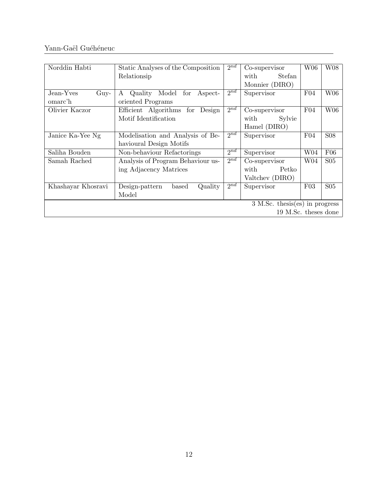| Norddin Habti              | Static Analyses of the Composition      | $2^{nd}$ | Co-supervisor                    | W06             | W08             |  |
|----------------------------|-----------------------------------------|----------|----------------------------------|-----------------|-----------------|--|
|                            | Relationsip                             |          | Stefan<br>with                   |                 |                 |  |
|                            |                                         |          | Monnier (DIRO)                   |                 |                 |  |
| Jean-Yves<br>$_{\rm Guy-}$ | for<br>Model<br>Quality<br>Aspect-<br>A | $2^{nd}$ | Supervisor                       | F04             | W06             |  |
| omarc'h                    | oriented Programs                       |          |                                  |                 |                 |  |
| Olivier Kaczor             | Efficient Algorithms<br>Design<br>for   | $2^{nd}$ | Co-supervisor                    | F04             | W06             |  |
|                            | Motif Identification                    |          | Sylvie<br>with                   |                 |                 |  |
|                            |                                         |          | Hamel (DIRO)                     |                 |                 |  |
| Janice Ka-Yee Ng           | Modelisation and Analysis of Be-        | $2^{nd}$ | Supervisor                       | F04             | <b>S08</b>      |  |
|                            | havioural Design Motifs                 |          |                                  |                 |                 |  |
| Saliha Bouden              | Non-behaviour Refactorings              | $2^{nd}$ | Supervisor                       | W <sub>04</sub> | F06             |  |
| Samah Rached               | Analysis of Program Behaviour us-       | $2^{nd}$ | Co-supervisor                    | W <sub>04</sub> | S <sub>05</sub> |  |
|                            | ing Adjacency Matrices                  |          | Petko<br>with                    |                 |                 |  |
|                            |                                         |          | Valtchev (DIRO)                  |                 |                 |  |
| Khashayar Khosravi         | Quality<br>Design-pattern<br>based      | $2^{nd}$ | Supervisor                       | F03             | S <sub>05</sub> |  |
|                            | Model                                   |          |                                  |                 |                 |  |
|                            |                                         |          | $3$ M.Sc. thesis(es) in progress |                 |                 |  |
| 19 M.Sc. theses done       |                                         |          |                                  |                 |                 |  |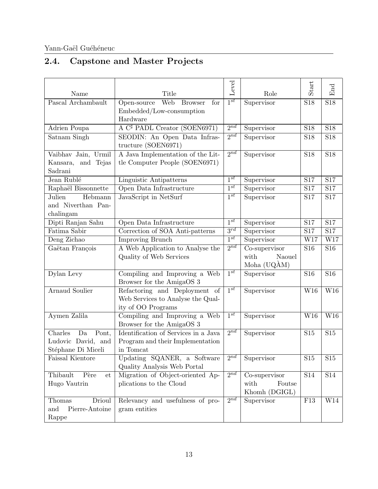# <span id="page-12-0"></span>2.4. Capstone and Master Projects

| Name                   | Title                                              | Level               | Role           | Start           | End                     |
|------------------------|----------------------------------------------------|---------------------|----------------|-----------------|-------------------------|
| Pascal Archambault     | <b>Web</b><br><b>Browser</b><br>Open-source<br>for | $1^{st}$            | Supervisor     | <b>S18</b>      | <b>S18</b>              |
|                        | Embedded/Low-consumption                           |                     |                |                 |                         |
|                        | Hardware                                           |                     |                |                 |                         |
| Adrien Poupa           | A $C^{\sharp}$ PADL Creator (SOEN6971)             | $2^{nd}$            | Supervisor     | <b>S18</b>      | $\overline{S18}$        |
| Satnam Singh           | SEODIN: An Open Data Infras-                       | $2^{nd}$            | Supervisor     | <b>S18</b>      | <b>S18</b>              |
|                        | tructure (SOEN6971)                                |                     |                |                 |                         |
| Vaibhav Jain, Urmil    | A Java Implementation of the Lit-                  | $2^{nd}$            | Supervisor     | <b>S18</b>      | <b>S18</b>              |
| Kansara, and Tejas     | tle Computer People (SOEN6971)                     |                     |                |                 |                         |
| Sadrani                |                                                    |                     |                |                 |                         |
| Jean Rublé             | Linguistic Antipatterns                            | $1^{st}$            | Supervisor     | <b>S17</b>      | $\overline{S17}$        |
| Raphaël Bissonnette    | Open Data Infrastructure                           | $\overline{1^{st}}$ | Supervisor     | S17             | $\overline{S17}$        |
| Julien<br>Hebmann      | JavaScript in NetSurf                              | $\overline{1^{st}}$ | Supervisor     | S17             | S17                     |
| and Niverthan Pan-     |                                                    |                     |                |                 |                         |
| chalingam              |                                                    |                     |                |                 |                         |
| Dipti Ranjan Sahu      | Open Data Infrastructure                           | $1^{st}$            | Supervisor     | S17             | S17                     |
| Fatima Sabir           | Correction of SOA Anti-patterns                    | $3^{rd}$            | Supervisor     | S17             | S17                     |
| Deng Zichao            | <b>Improving Brunch</b>                            | $\overline{1^{st}}$ | Supervisor     | W17             | $\overline{\text{W17}}$ |
| Gaëtan François        | A Web Application to Analyse the                   | $2^{nd}$            | Co-supervisor  | S <sub>16</sub> | S <sub>16</sub>         |
|                        | Quality of Web Services                            |                     | with<br>Naouel |                 |                         |
|                        |                                                    |                     | Moha (UQAM)    |                 |                         |
| Dylan Levy             | Compiling and Improving a Web                      | $1^{st}$            | Supervisor     | S16             | S16                     |
|                        | Browser for the AmigaOS 3                          |                     |                |                 |                         |
| <b>Arnaud Soulier</b>  | Refactoring and Deployment of                      | $1^{st}$            | Supervisor     | W16             | W16                     |
|                        | Web Services to Analyse the Qual-                  |                     |                |                 |                         |
|                        | ity of OO Programs                                 |                     |                |                 |                         |
| Aymen Zalila           | Compiling and Improving a Web                      | $1^{st}$            | Supervisor     | W16             | W16                     |
|                        | Browser for the AmigaOS 3                          |                     |                |                 |                         |
| Charles<br>Da<br>Pont, | Identification of Services in a Java               | $2^{nd}$            | Supervisor     | S15             | S15                     |
| Ludovic David, and     | Program and their Implementation                   |                     |                |                 |                         |
| Stéphane Di Miceli     | in Tomcat                                          |                     |                |                 |                         |
| Faissal Kientore       | Updating SQANER, a Software                        | $2^{nd}$            | Supervisor     | S <sub>15</sub> | S15                     |
|                        | Quality Analysis Web Portal                        |                     |                |                 |                         |
| Thibault<br>Père<br>et | Migration of Object-oriented Ap-                   | $2^{nd}$            | Co-supervisor  | S14             | S14                     |
| Hugo Vautrin           | plications to the Cloud                            |                     | with<br>Foutse |                 |                         |
|                        |                                                    |                     | Khomh (DGIGL)  |                 |                         |
| Drioul<br>Thomas       | Relevancy and usefulness of pro-                   | $2^{nd}$            | Supervisor     | F13             | W14                     |
| Pierre-Antoine<br>and  | gram entities                                      |                     |                |                 |                         |
| Rappe                  |                                                    |                     |                |                 |                         |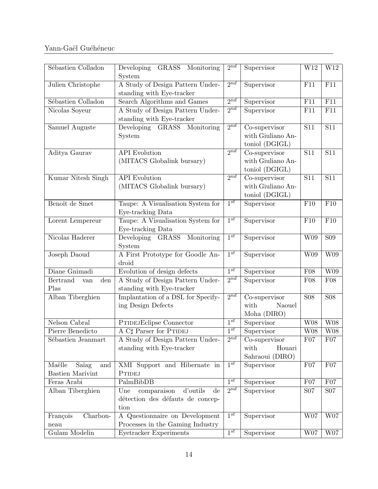| Sébastien Colladon                                | Developing GRASS Monitoring<br>System                                                                | $2^{nd}$ | Supervisor                                           | W12        | W12              |
|---------------------------------------------------|------------------------------------------------------------------------------------------------------|----------|------------------------------------------------------|------------|------------------|
| Julien Christophe                                 | A Study of Design Pattern Under-<br>standing with Eye-tracker                                        | $2^{nd}$ | Supervisor                                           | F11        | F11              |
| Sébastien Colladon                                | Search Algorithms and Games                                                                          | $2^{nd}$ | Supervisor                                           | F11        | F11              |
| Nicolas Soyeur                                    | A Study of Design Pattern Under-<br>standing with Eye-tracker                                        | $2^{nd}$ | Supervisor                                           | F11        | F11              |
| Samuel Auguste                                    | Developing GRASS Monitoring<br>System                                                                | $2^{nd}$ | Co-supervisor<br>with Giuliano An-<br>toniol (DGIGL) | S11        | <b>S11</b>       |
| Aditya Gaurav                                     | <b>API</b> Evolution<br>(MITACS Globalink bursary)                                                   | $2^{nd}$ | Co-supervisor<br>with Giuliano An-<br>toniol (DGIGL) | S11        | $\overline{S11}$ |
| Kumar Nitesh Singh                                | <b>API</b> Evolution<br>(MITACS Globalink bursary)                                                   | $2^{nd}$ | Co-supervisor<br>with Giuliano An-<br>toniol (DGIGL) | S11        | <b>S11</b>       |
| Benoît de Smet                                    | Taupe: A Visualisation System for<br>Eye-tracking Data                                               | $1^{st}$ | Supervisor                                           | F10        | F10              |
| Lorent Lempereur                                  | Taupe: A Visualisation System for<br>Eye-tracking Data                                               | $1^{st}$ | Supervisor                                           | F10        | F10              |
| Nicolas Haderer                                   | Developing GRASS Monitoring<br>System                                                                | $1^{st}$ | Supervisor                                           | W09        | $\overline{S09}$ |
| Joseph Daoud                                      | A First Prototype for Goodle An-<br>droid                                                            | $1^{st}$ | Supervisor                                           | W09        | W09              |
| Diane Gnimadi                                     | Evolution of design defects                                                                          | $1^{st}$ | Supervisor                                           | F08        | W09              |
| <b>Bertrand</b><br>den<br>van<br>Plas             | A Study of Design Pattern Under-<br>standing with Eye-tracker                                        | $2^{nd}$ | Supervisor                                           | F08        | F08              |
| Alban Tiberghien                                  | Implantation of a DSL for Specify-<br>ing Design Defects                                             | $2^{nd}$ | Co-supervisor<br>with<br>Naouel<br>Moha (DIRO)       | <b>S08</b> | $\overline{S}08$ |
| Nelson Cabral                                     | <b>PTIDEJEclipse Connector</b>                                                                       | $1^{st}$ | Supervisor                                           | <b>W08</b> | <b>W08</b>       |
| Pierre Benedicto                                  | A C# Parser for PTIDEJ                                                                               | $1^{st}$ | Supervisor                                           | W08        | <b>W08</b>       |
| Sébastien Jeanmart                                | A Study of Design Pattern Under-<br>standing with Eye-tracker                                        | $2^{nd}$ | Co-supervisor<br>with<br>Houari<br>Sahraoui (DIRO)   | F07        | F07              |
| Maëlle<br>Saïag<br>and<br><b>Bastien Marivint</b> | XMI Support and Hibernate in<br>PTIDEJ                                                               | $1^{st}$ | Supervisor                                           | F07        | F07              |
| Feras Arabi                                       | PalmBibDB                                                                                            | $1^{st}$ | Supervisor                                           | F07        | F07              |
| Alban Tiberghien                                  | comparaison<br>d'outils<br>Une<br>$\mathrm{d}\mathrm{e}$<br>détection des défauts de concep-<br>tion | $2^{nd}$ | Supervisor                                           | <b>S07</b> | <b>S07</b>       |
| Charbon-<br>François<br>neau                      | A Questionnaire on Development<br>Processes in the Gaming Industry                                   | $1^{st}$ | Supervisor                                           | W07        | $\rm W07$        |
| Gulam Modelin                                     | Eyetracker Experiments                                                                               | $1^{st}$ | Supervisor                                           | W07        | W07              |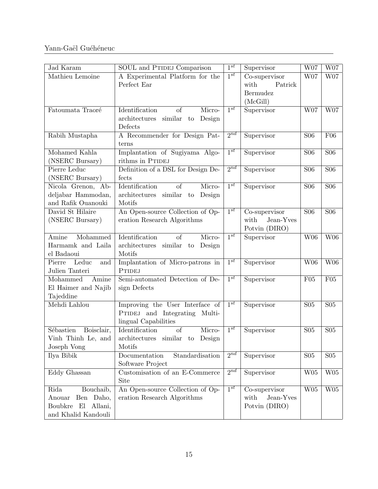| Jad Karam                                                                                | SOUL and PTIDEJ Comparison                                                                              | $1^{st}$            | Supervisor                                               | W07                     | W07             |
|------------------------------------------------------------------------------------------|---------------------------------------------------------------------------------------------------------|---------------------|----------------------------------------------------------|-------------------------|-----------------|
| Mathieu Lemoine                                                                          | A Experimental Platform for the<br>Perfect Ear                                                          | $1^{st}$            | Co-supervisor<br>Patrick<br>with<br>Bermudez<br>(McGill) | W07                     | W07             |
| Fatoumata Traoré                                                                         | Micro-<br>Identification<br>of<br>architectures similar<br>Design<br>$\mathop{\mathrm{to}}$<br>Defects  | $\overline{1^{st}}$ | Supervisor                                               | W07                     | W07             |
| Rabih Mustapha                                                                           | A Recommender for Design Pat-<br>terns                                                                  | $2^{nd}$            | Supervisor                                               | <b>S06</b>              | F06             |
| Mohamed Kahla<br>(NSERC Bursary)                                                         | Implantation of Sugiyama Algo-<br>rithms in PTIDEJ                                                      | $1^{st}$            | Supervisor                                               | <b>S06</b>              | <b>S06</b>      |
| Pierre Leduc<br>(NSERC Bursary)                                                          | Definition of a DSL for Design De-<br>fects                                                             | $2^{nd}$            | Supervisor                                               | <b>S06</b>              | <b>S06</b>      |
| Nicola Grenon, Ab-<br>deljabar Hammodan,<br>and Rafik Ouanouki                           | Identification<br><sub>of</sub><br>Micro-<br>architectures similar<br>Design<br>$\mathbf{to}$<br>Motifs | $1^{st}$            | Supervisor                                               | <b>S06</b>              | S <sub>06</sub> |
| David St Hilaire<br>(NSERC Bursary)                                                      | An Open-source Collection of Op-<br>eration Research Algorithms                                         | $1^{st}$            | Co-supervisor<br>Jean-Yves<br>with<br>Potvin (DIRO)      | <b>S06</b>              | <b>S06</b>      |
| Mohammed<br>Amine<br>Harmamk and Laila<br>el Badaoui                                     | Identification<br>Micro-<br>of<br>architectures similar to<br>Design<br>Motifs                          | $1^{st}$            | Supervisor                                               | $\overline{\text{W06}}$ | W06             |
| Pierre<br>Leduc<br>and<br>Julien Tanteri                                                 | Implantation of Micro-patrons in<br><b>PTIDEJ</b>                                                       | $1^{st}$            | Supervisor                                               | W06                     | W06             |
| Amine<br>Mohammed<br>El Haimer and Najib<br>Tajeddine                                    | Semi-automated Detection of De-<br>sign Defects                                                         | $1^{st}$            | Supervisor                                               | F05                     | F05             |
| Mehdi Lahlou                                                                             | Improving the User Interface of<br>PTIDEJ and Integrating Multi-<br>lingual Capabilities                | $1^{st}$            | Supervisor                                               | S <sub>05</sub>         | S <sub>05</sub> |
| Boisclair,<br>Sébastien<br>Vinh Thinh Le, and<br>Joseph Vong                             | Identification<br>of<br>Micro-<br>architectures similar to Design<br>Motifs                             | $1^{st}$            | Supervisor                                               | S <sub>05</sub>         | S <sub>05</sub> |
| Ilya Bibik                                                                               | Standardisation<br>Documentation<br>Software Project                                                    | $2^{nd}$            | Supervisor                                               | S <sub>05</sub>         | S <sub>05</sub> |
| Eddy Ghassan                                                                             | Customisation of an E-Commerce<br>Site                                                                  | $2^{nd}$            | Supervisor                                               | W05                     | W05             |
| Bouchaib,<br>Rida<br>Anouar<br>Ben Daho,<br>Boubkre<br>El Allani,<br>and Khalid Kandouli | An Open-source Collection of Op-<br>eration Research Algorithms                                         | $1^{st}$            | Co-supervisor<br>Jean-Yves<br>with<br>Potvin (DIRO)      | W05                     | W05             |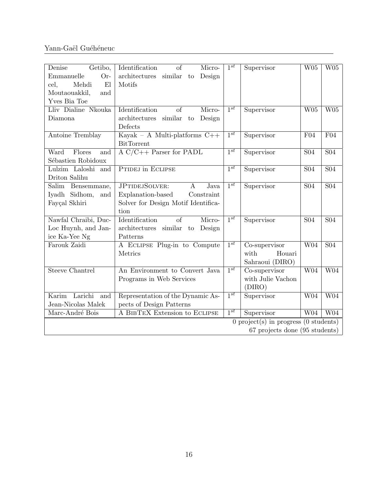| Getibo,<br>Denise<br>Emmanuelle<br>Or-<br>E1<br>cel,<br>Mehdi<br>Moutaouakkil,<br>and<br>Yves Bia Toe | Identification<br>of<br>Micro-<br>architectures<br>similar<br>Design<br>to<br>Motifs                                            | $1^{st}$            | Supervisor                                         | W05              | W05              |  |  |
|-------------------------------------------------------------------------------------------------------|---------------------------------------------------------------------------------------------------------------------------------|---------------------|----------------------------------------------------|------------------|------------------|--|--|
| Lliv Dialine Nkouka<br>Diamona                                                                        | Identification<br>Micro-<br>of<br>architectures<br>similar<br>Design<br>to<br>Defects                                           | $1^{st}$            | Supervisor                                         | W05              | W05              |  |  |
| Antoine Tremblay                                                                                      | Kayak - A Multi-platforms $C++$<br><b>BitTorrent</b>                                                                            | $1^{st}$            | Supervisor                                         | F04              | F04              |  |  |
| Flores<br>Ward<br>and<br>Sébastien Robidoux                                                           | $A C/C++$ Parser for PADL                                                                                                       | $\overline{1^{st}}$ | Supervisor                                         | <b>S04</b>       | $\overline{S04}$ |  |  |
| Lulzim Laloshi and<br>Driton Salihu                                                                   | PTIDEJ in ECLIPSE                                                                                                               | $1^{st}$            | Supervisor                                         | <b>S04</b>       | <b>S04</b>       |  |  |
| Salim<br>Bensemmane,<br>Iyadh Sidhom,<br>and<br>Fayçal Skhiri                                         | <b>JPTIDEJSOLVER:</b><br>Java<br>$\mathbf{A}$<br>Explanation-based<br>Constraint<br>Solver for Design Motif Identifica-<br>tion | $1^{st}$            | Supervisor                                         | S <sub>04</sub>  | $\overline{S04}$ |  |  |
| Nawfal Chraibi, Duc-<br>Loc Huynh, and Jan-<br>ice Ka-Yee Ng                                          | Identification<br>Micro-<br>of<br>architectures similar<br>Design<br>$\mathbf{to}$<br>Patterns                                  | $1^{st}$            | Supervisor                                         | <b>S04</b>       | <b>S04</b>       |  |  |
| Farouk Zaidi                                                                                          | A ECLIPSE Plug-in to Compute<br>Metrics                                                                                         | $1^{st}$            | Co-supervisor<br>with<br>Houari<br>Sahraoui (DIRO) | $\overline{W04}$ | $\overline{S04}$ |  |  |
| <b>Steeve Chantrel</b>                                                                                | An Environment to Convert Java<br>Programs in Web Services                                                                      | $1^{st}$            | Co-supervisor<br>with Julie Vachon<br>(DIRO)       | $\overline{W04}$ | $\overline{W04}$ |  |  |
| Karim Larichi<br>and<br>Jean-Nicolas Malek                                                            | Representation of the Dynamic As-<br>pects of Design Patterns                                                                   | $\overline{1^{st}}$ | Supervisor                                         | $\overline{W04}$ | W04              |  |  |
| Marc-André Bois                                                                                       | A BIBTEX Extension to ECLIPSE                                                                                                   | $1^{st}$            | Supervisor                                         | W04              | W <sub>04</sub>  |  |  |
| $\theta$ project(s) in progress ( $\theta$ students)<br>67 projects done (95 students)                |                                                                                                                                 |                     |                                                    |                  |                  |  |  |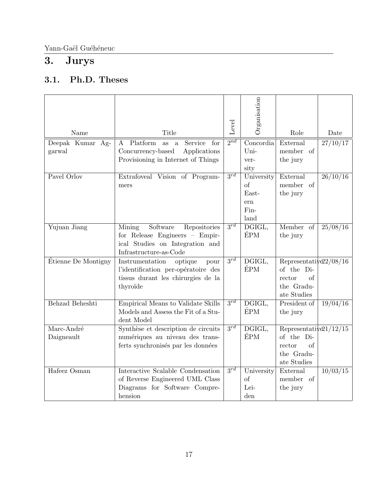# <span id="page-16-0"></span>3. Jurys

## <span id="page-16-1"></span>3.1. Ph.D. Theses

| Name                | Title                                                                       | Level               | Organisation                          | Role                       | Date                |
|---------------------|-----------------------------------------------------------------------------|---------------------|---------------------------------------|----------------------------|---------------------|
|                     | Platform                                                                    | $2^{nd}$            |                                       | External                   |                     |
| Deepak Kumar Ag-    | Service<br>for<br>$\mathbf{A}$<br>as a<br>Concurrency-based<br>Applications |                     | $\overline{\text{Concordia}}$<br>Uni- | member of                  | 27/10/17            |
| garwal              | Provisioning in Internet of Things                                          |                     | ver-                                  | the jury                   |                     |
|                     |                                                                             |                     | sity                                  |                            |                     |
| Pavel Orlov         | Extrafoveal Vision of Program-                                              | $3^{rd}$            | University                            | External                   | 26/10/16            |
|                     | mers                                                                        |                     | of                                    | member of                  |                     |
|                     |                                                                             |                     | East-                                 | the jury                   |                     |
|                     |                                                                             |                     | ern                                   |                            |                     |
|                     |                                                                             |                     | Fin-                                  |                            |                     |
|                     |                                                                             |                     | land                                  |                            |                     |
| Yujuan Jiang        | Software<br>Repositories<br>Mining                                          | $3^{rd}$            | DGIGL,                                | Member of                  | $\frac{25}{08}{16}$ |
|                     | for Release Engineers - Empir-                                              |                     | ÉPM                                   | the jury                   |                     |
|                     | ical Studies on Integration and                                             |                     |                                       |                            |                     |
|                     | Infrastructure-as-Code                                                      |                     |                                       |                            |                     |
| Étienne De Montigny | Instrumentation<br>optique<br>pour                                          | $\overline{3^{rd}}$ | DGIGL,                                | Representative $2/08/16$   |                     |
|                     | l'identification per-opératoire des                                         |                     | ÉPM                                   | of the Di-                 |                     |
|                     | tissus durant les chirurgies de la                                          |                     |                                       | rector<br>οf               |                     |
|                     | thyroïde                                                                    |                     |                                       | the Gradu-                 |                     |
|                     |                                                                             |                     |                                       | ate Studies                |                     |
| Behzad Beheshti     | Empirical Means to Validate Skills                                          | $3^{rd}$            | DGIGL,                                | President of               | 19/04/16            |
|                     | Models and Assess the Fit of a Stu-                                         |                     | ÉPM                                   | the jury                   |                     |
|                     | dent Model                                                                  |                     |                                       |                            |                     |
| Marc-André          | Synthèse et description de circuits                                         | $3^{rd}$            | DGIGL,                                | Representative $21/12/15$  |                     |
| Daigneault          | numériques au niveau des trans-                                             |                     | ÉPM                                   | of the Di-                 |                     |
|                     | ferts synchronisés par les données                                          |                     |                                       | rector<br>of<br>the Gradu- |                     |
|                     |                                                                             |                     |                                       | ate Studies                |                     |
| Hafeez Osman        | Interactive Scalable Condensation                                           | $3^{rd}$            | University                            | External                   | 10/03/15            |
|                     | of Reverse Engineered UML Class                                             |                     | of                                    | member of                  |                     |
|                     | Diagrams for Software Compre-                                               |                     | Lei-                                  |                            |                     |
|                     |                                                                             |                     |                                       | the jury                   |                     |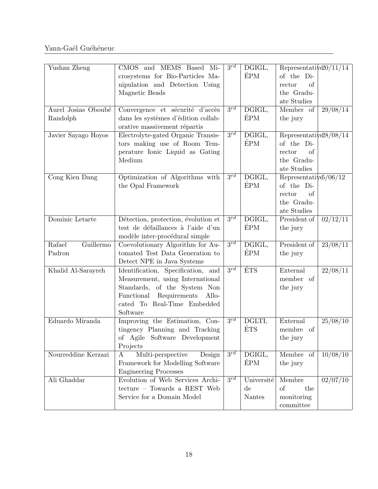| Yushan Zheng        | CMOS and MEMS Based<br>Mi-                       | $3^{rd}$            | DGIGL,                 | Representative $20/11/14$ |                     |
|---------------------|--------------------------------------------------|---------------------|------------------------|---------------------------|---------------------|
|                     | crosystems for Bio-Particles Ma-                 |                     | ÉPM                    | of the Di-                |                     |
|                     | nipulation and Detection Using                   |                     |                        | rector<br>of              |                     |
|                     | Magnetic Beads                                   |                     |                        | the Gradu-                |                     |
|                     |                                                  |                     |                        | ate Studies               |                     |
| Aurel Josias Oboubé | Convergence et sécurité d'accès                  | $3^{rd}$            | DGIGL,                 | Member of                 | 29/08/14            |
| Randolph            | dans les systèmes d'édition collab-              |                     | ÉPM                    | the jury                  |                     |
|                     | orative massivement répartis                     |                     |                        |                           |                     |
| Javier Sayago Hoyos | Electrolyte-gated Organic Transis-               | $3^{rd}$            | DGIGL,                 | Representative $28/08/14$ |                     |
|                     | tors making use of Room Tem-                     |                     | <b>ÉPM</b>             | of the Di-                |                     |
|                     | perature Ionic Liquid as Gating                  |                     |                        | rector<br>of              |                     |
|                     | Medium                                           |                     |                        | the Gradu-                |                     |
|                     |                                                  |                     |                        | ate Studies               |                     |
| Cong Kien Dang      | Optimization of Algorithms with                  | $3^{rd}$            | DGIGL,                 | Representative $/06/12$   |                     |
|                     | the Opal Framework                               |                     | ÉPM                    | of the Di-                |                     |
|                     |                                                  |                     |                        | of<br>rector              |                     |
|                     |                                                  |                     |                        | the Gradu-                |                     |
|                     |                                                  |                     |                        | ate Studies               |                     |
| Dominic Letarte     | Détection, protection, évolution et              | $3^{rd}$            | DGIGL,                 | President of              | $\frac{02}{12}{11}$ |
|                     | test de défaillances à l'aide d'un               |                     | ÉPM                    | the jury                  |                     |
|                     | modèle inter-procédural simple                   |                     |                        |                           |                     |
| Guillermo<br>Rafael | Coevolutionary Algorithm for Au-                 | $3^{rd}$            | DGIGL,                 | President of              | 23/08/11            |
| Padron              | tomated Test Data Generation to                  |                     | <b>ÉPM</b>             | the jury                  |                     |
|                     | Detect NPE in Java Systems                       |                     |                        |                           |                     |
| Khalid Al-Sarayreh  | Identification, Specification, and               | $3^{rd}$            | <b>ÉTS</b>             | External                  | 22/08/11            |
|                     | Measurement, using International                 |                     |                        | member of                 |                     |
|                     | Standards, of the System Non                     |                     |                        | the jury                  |                     |
|                     | Functional<br>Requirements<br>Allo-              |                     |                        |                           |                     |
|                     | cated To Real-Time Embedded                      |                     |                        |                           |                     |
|                     | Software                                         |                     |                        |                           |                     |
| Eduardo Miranda     | Improving the Estimation, Con-                   | $\overline{3^{rd}}$ | DGLTI,                 | External                  | 25/08/10            |
|                     | tingency Planning and Tracking                   |                     | ÉTS                    | membre of                 |                     |
|                     | of Agile Software Development                    |                     |                        | the jury                  |                     |
|                     | Projects                                         |                     |                        |                           |                     |
| Nourreddine Kerzazi | Multi-perspective<br>Design<br>A                 | $3^{rd}$            | DGIGL,                 | Membre of                 | 10/08/10            |
|                     | Framework for Modelling Software                 |                     | ÉPM                    | the jury                  |                     |
|                     | <b>Engineering Processes</b>                     |                     |                        |                           |                     |
| Ali Ghaddar         | Evolution of Web Services Archi-                 | $3^{rd}$            | Université             | Membre                    | 02/07/10            |
|                     | $\rm\,tecture\,-\,Towards\,$ a $\rm\,REST\,$ Web |                     | $\mathrm{d}\mathrm{e}$ | of<br>the                 |                     |
|                     | Service for a Domain Model                       |                     | $\rm{Nantes}$          | monitoring                |                     |
|                     |                                                  |                     |                        | committee                 |                     |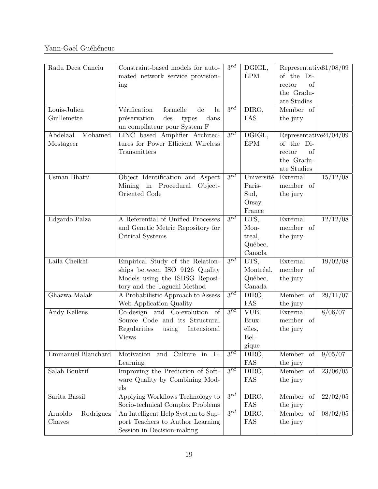| Radu Deca Canciu                 | Constraint-based models for auto-<br>mated network service provision-<br>ing                                                        | $3^{rd}$ | DGIGL,<br>ÉPM                                    | Representative $31/08/09$<br>of the Di-<br>of<br>rector<br>the Gradu-<br>ate Studies |          |
|----------------------------------|-------------------------------------------------------------------------------------------------------------------------------------|----------|--------------------------------------------------|--------------------------------------------------------------------------------------|----------|
| Louis-Julien<br>Guillemette      | Vérification<br>formelle<br>de<br>la<br>des<br>préservation<br>types<br>dans<br>un compilateur pour System F                        | $3^{rd}$ | DIRO,<br>FAS                                     | Member of<br>the jury                                                                |          |
| Abdelaal<br>Mohamed<br>Mostageer | LINC based Amplifier Architec-<br>tures for Power Efficient Wireless<br>Transmitters                                                | $3^{rd}$ | DGIGL,<br><b>ÉPM</b>                             | Representative $24/04/09$<br>of the Di-<br>rector<br>of<br>the Gradu-<br>ate Studies |          |
| Usman Bhatti                     | Object Identification and Aspect<br>Mining in Procedural<br>Object-<br>Oriented Code                                                | $3^{rd}$ | Université<br>Paris-<br>Sud,<br>Orsay,<br>France | External<br>member of<br>the jury                                                    | 15/12/08 |
| Edgardo Palza                    | A Referential of Unified Processes<br>and Genetic Metric Repository for<br>Critical Systems                                         | $3^{rd}$ | ETS,<br>Mon-<br>treal,<br>Québec,<br>Canada      | External<br>member of<br>the jury                                                    | 12/12/08 |
| Laila Cheikhi                    | Empirical Study of the Relation-<br>ships between ISO 9126 Quality<br>Models using the ISBSG Reposi-<br>tory and the Taguchi Method | $3^{rd}$ | ETS,<br>Montréal,<br>Québec,<br>Canada           | External<br>member of<br>the jury                                                    | 19/02/08 |
| Ghazwa Malak                     | A Probabilistic Approach to Assess<br>Web Application Quality                                                                       | $3^{rd}$ | DIRO,<br>FAS                                     | Member of<br>the jury                                                                | 29/11/07 |
| Andy Kellens                     | Co-design and Co-evolution of<br>Source Code and its Structural<br>Regularities<br>Intensional<br>using<br><b>Views</b>             | $3^{rd}$ | VUB,<br>Brux-<br>elles,<br>Bel-<br>gique         | External<br>member of<br>the jury                                                    | 8/06/07  |
| Emmanuel Blanchard               | Culture<br>in $E$ -<br>Motivation<br>and<br>Learning                                                                                | $3^{rd}$ | DIRO,<br>FAS                                     | Member of<br>the jury                                                                | 9/05/07  |
| Salah Bouktif                    | Improving the Prediction of Soft-<br>ware Quality by Combining Mod-<br>$_{\text{els}}$                                              | $3^{rd}$ | DIRO,<br>FAS                                     | Member of<br>the jury                                                                | 23/06/05 |
| Sarita Bassil                    | Applying Workflows Technology to<br>Socio-technical Complex Problems                                                                | $3^{rd}$ | DIRO,<br>FAS                                     | Member of<br>the jury                                                                | 22/02/05 |
| Arnoldo<br>Rodriguez<br>Chaves   | An Intelligent Help System to Sup-<br>port Teachers to Author Learning<br>Session in Decision-making                                | $3^{rd}$ | DIRO,<br>FAS                                     | Member of<br>the jury                                                                | 08/02/05 |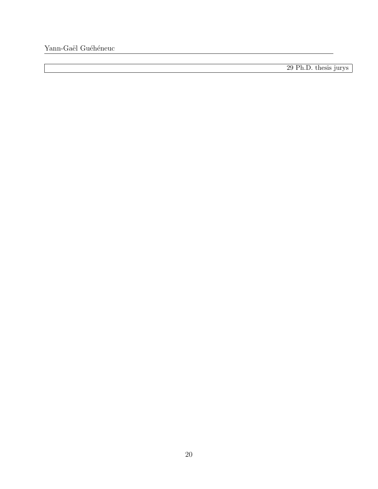29 Ph.D. thesis jurys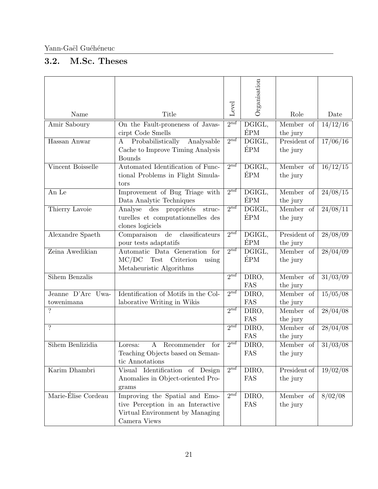## <span id="page-20-0"></span>3.2. M.Sc. Theses

|                                 |                                                                                                                        | Level               | Organisation                        |                          |                     |
|---------------------------------|------------------------------------------------------------------------------------------------------------------------|---------------------|-------------------------------------|--------------------------|---------------------|
| Name                            | Title                                                                                                                  |                     |                                     | Role                     | Date                |
| Amir Saboury                    | On the Fault-proneness of Javas-<br>cirpt Code Smells                                                                  | $2^{nd}$            | DGIGL,<br>ÉPM                       | Member of<br>the jury    | 14/12/16            |
| Hassan Anwar                    | Probabilistically<br>$\bf{A}$<br>Analysable<br>Cache to Improve Timing Analysis<br><b>Bounds</b>                       | 2nd                 | $\overline{\mathrm{DGIGL}},$<br>ÉPM | President of<br>the jury | 17/06/16            |
| Vincent Boisselle               | Automated Identification of Func-<br>tional Problems in Flight Simula-<br>tors                                         | $2^{nd}$            | DGIGL,<br>ÉPM                       | Member of<br>the jury    | 16/12/15            |
| An Le                           | Improvement of Bug Triage with<br>Data Analytic Techniques                                                             | $2^{nd}$            | DGIGL,<br><b>ÉPM</b>                | Member of<br>the jury    | $\frac{24}{08}/15$  |
| Thierry Lavoie                  | $\mathrm{des}$<br>propriétés<br>Analyse<br>$_\mathrm{struc}$<br>turelles et computationnelles des<br>clones logiciels  | $\overline{2^{nd}}$ | $\overline{\text{DGIGL}},$<br>ÉPM   | Member of<br>the jury    | $\frac{24}{08}{11}$ |
| Alexandre Spaeth                | classificateurs<br>Comparaison<br>$\mathrm{d}\mathrm{e}$<br>pour tests adaptatifs                                      | 2nd                 | DGIGL,<br><b>ÉPM</b>                | President of<br>the jury | 28/08/09            |
| Zeina Awedikian                 | Automatic Data Generation for<br>MC/DC<br>Test<br>Criterion<br>using<br>Metaheuristic Algorithms                       | $2^{nd}$            | DGIGL,<br>ÉPM                       | Member of<br>the jury    | $\frac{28}{04}{09}$ |
| <b>Sihem Benzalis</b>           |                                                                                                                        | 2nd                 | DIRO,<br>FAS                        | Member of<br>the jury    | $\frac{31}{03}{09}$ |
| Jeanne D'Arc Uwa-<br>towenimana | Identification of Motifs in the Col-<br>laborative Writing in Wikis                                                    | $2^{nd}$            | DIRO,<br>FAS                        | Member of<br>the jury    | 15/05/08            |
| ?                               |                                                                                                                        | 2nd                 | DIRO,<br>FAS                        | Member of<br>the jury    | $\sqrt{28/04/08}$   |
| $\overline{\cdot}$              |                                                                                                                        | 2nd                 | DIRO,<br>FAS                        | Member of<br>the jury    | 28/04/08            |
| Sihem Benlizidia                | $\bf{A}$<br>Recommender<br>for<br>Loresa:<br>Teaching Objects based on Seman-<br>tic Annotations                       | $2^{nd}$            | DIRO,<br>FAS                        | Member of<br>the jury    | 31/03/08            |
| Karim Dhambri                   | Identification<br>of Design<br>Visual<br>Anomalies in Object-oriented Pro-<br>grams                                    | $2^{nd}$            | DIRO,<br>FAS                        | President of<br>the jury | $\frac{19}{02}}$    |
| Marie-Élise Cordeau             | Improving the Spatial and Emo-<br>tive Perception in an Interactive<br>Virtual Environment by Managing<br>Camera Views | $2^{n\overline{d}}$ | DIRO,<br>FAS                        | Member of<br>the jury    | 8/02/08             |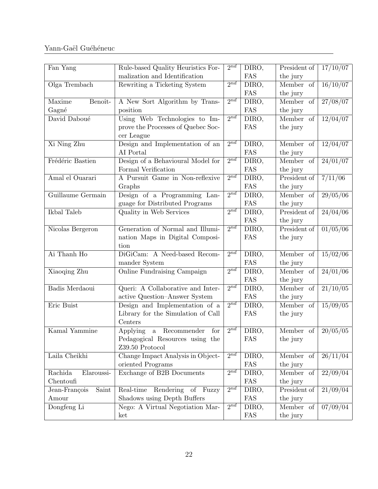| Fan Yang               | Rule-based Quality Heuristics For-                 | $2^{nd}$ | DIRO, | President of | 17/10/07            |
|------------------------|----------------------------------------------------|----------|-------|--------------|---------------------|
|                        | malization and Identification                      |          | FAS   | the jury     |                     |
| Olga Trembach          | Rewriting a Ticketing System                       | $2^{nd}$ | DIRO, | Member of    | 16/10/07            |
|                        |                                                    |          | FAS   | the jury     |                     |
| Maxime<br>Benoît-      | A New Sort Algorithm by Trans-                     | $2^{nd}$ | DIRO, | Member<br>of | 27/08/07            |
| Gagné                  | position                                           |          | FAS   | the jury     |                     |
| David Daboué           | Using Web Technologies to Im-                      | $2^{nd}$ | DIRO, | Member of    | 12/04/07            |
|                        | prove the Processes of Quebec Soc-                 |          | FAS   | the jury     |                     |
|                        | cer League                                         |          |       |              |                     |
| Xi Ning Zhu            | Design and Implementation of an                    | $2^{nd}$ | DIRO, | Member of    | $\frac{12}{04}{07}$ |
|                        | AI Portal                                          |          | FAS   | the jury     |                     |
| Frédéric Bastien       | Design of a Behavioural Model for                  | $2^{nd}$ | DIRO, | Member of    | $\frac{24}{01}{07}$ |
|                        | Formal Verification                                |          | FAS   | the jury     |                     |
| Amal el Ouarari        | A Pursuit Game in Non-reflexive                    | $2^{nd}$ | DIRO, | President of | 7/11/06             |
|                        | Graphs                                             |          | FAS   | the jury     |                     |
| Guillaume Germain      | Design of a Programming Lan-                       | $2^{nd}$ | DIRO, | Member of    | $\frac{29}{05}{06}$ |
|                        | guage for Distributed Programs                     |          | FAS   | the jury     |                     |
| Ikbal Taleb            | Quality in Web Services                            | 2nd      | DIRO, | President of | $\frac{24}{04}{06}$ |
|                        |                                                    |          | FAS   | the jury     |                     |
| Nicolas Bergeron       | Generation of Normal and Illumi-                   | $2^{nd}$ | DIRO, | President of | 01/05/06            |
|                        | nation Maps in Digital Composi-                    |          | FAS   | the jury     |                     |
|                        | tion                                               |          |       |              |                     |
| Ai Thanh Ho            | DiGiCam: A Need-based Recom-                       | $2^{nd}$ | DIRO, | Member of    | 15/02/06            |
|                        | mander System                                      |          | FAS   | the jury     |                     |
| Xiaoqing Zhu           | Online Fundraising Campaign                        | 2nd      | DIRO, | Member of    | $\frac{24}{01}{06}$ |
|                        |                                                    |          | FAS   | the jury     |                     |
| Badis Merdaoui         | Queri: A Collaborative and Inter-                  | $2^{nd}$ | DIRO, | Member of    | 21/10/05            |
|                        | active Question-Answer System                      |          | FAS   | the jury     |                     |
| Eric Buist             | Design and Implementation of a                     | $2^{nd}$ | DIRO, | Member of    | 15/09/05            |
|                        | Library for the Simulation of Call                 |          | FAS   | the jury     |                     |
|                        | Centers                                            | $2^{nd}$ |       |              |                     |
| Kamal Yammine          | a Recommender<br>Applying<br>for                   |          | DIRO, | Member of    | 20/05/05            |
|                        | Pedagogical Resources using the<br>Z39.50 Protocol |          | FAS   | the jury     |                     |
| Laila Cheikhi          | Change Impact Analysis in Object-                  | $2^{nd}$ | DIRO, | Member of    | 26/11/04            |
|                        | oriented Programs                                  |          | FAS   | the jury     |                     |
| Rachida<br>Elaroussi-  | Exchange of B2B Documents                          | $2^{nd}$ | DIRO, | Member of    | 22/09/04            |
| Chentoufi              |                                                    |          | FAS   | the jury     |                     |
| Jean-François<br>Saint | Rendering of Fuzzy<br>Real-time                    | 2nd      | DIRO, | President of | 21/09/04            |
| Amour                  | Shadows using Depth Buffers                        |          | FAS   | the jury     |                     |
| Dongfeng Li            | Nego: A Virtual Negotiation Mar-                   | $2^{nd}$ | DIRO, | Member of    | 07/09/04            |
|                        | ket                                                |          | FAS   | the jury     |                     |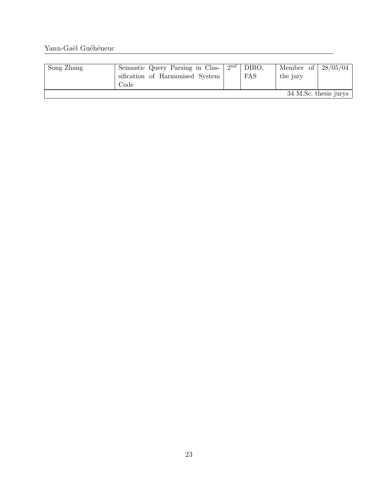| Song Zhang | Semantic Query Parsing in Clas-<br>sification of Harmonised System<br>Code | $2^{nd}$ | DIRO.<br>FAS | Member of<br>the jury | $28/05/04$            |
|------------|----------------------------------------------------------------------------|----------|--------------|-----------------------|-----------------------|
|            |                                                                            |          |              |                       | 34 M.Sc. thesis jurys |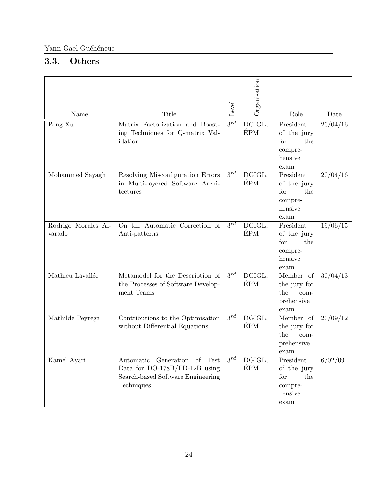### <span id="page-23-0"></span>3.3. Others

| Name                          | Title                                                                                                            | Level    | Organisation                | Role                                                                 | Date               |
|-------------------------------|------------------------------------------------------------------------------------------------------------------|----------|-----------------------------|----------------------------------------------------------------------|--------------------|
| Peng $\overline{\mathrm{Xu}}$ | Matrix Factorization and Boost-<br>ing Techniques for Q-matrix Val-<br>idation                                   | $3^{rd}$ | DGIGL,<br><b>ÉPM</b>        | President<br>of the jury<br>for<br>the<br>compre-<br>hensive<br>exam | 20/04/16           |
| Mohammed Sayagh               | Resolving Misconfiguration Errors<br>in Multi-layered Software Archi-<br>tectures                                | $3^{rd}$ | DGIGL,<br><b>ÉPM</b>        | President<br>of the jury<br>the<br>for<br>compre-<br>hensive<br>exam | $\frac{20}{04}/16$ |
| Rodrigo Morales Al-<br>varado | On the Automatic Correction of<br>Anti-patterns                                                                  | $3^{rd}$ | DGIGL,<br>ÉPM               | President<br>of the jury<br>for<br>the<br>compre-<br>hensive<br>exam | 19/06/15           |
| Mathieu Lavallée              | Metamodel for the Description of<br>the Processes of Software Develop-<br>ment Teams                             | $3^{rd}$ | $D\overline{GIGL}$ ,<br>ÉPM | Member of<br>the jury for<br>the<br>$com-$<br>prehensive<br>exam     | 30/04/13           |
| Mathilde Peyrega              | Contributions to the Optimisation<br>without Differential Equations                                              | $3^{rd}$ | DGIGL,<br><b>ÉPM</b>        | Member of<br>the jury for<br>the<br>com-<br>prehensive<br>exam       | 20/09/12           |
| Kamel Ayari                   | Automatic Generation of Test<br>Data for DO-178B/ED-12B using<br>Search-based Software Engineering<br>Techniques | $3^{rd}$ | DGIGL,<br><b>ÉPM</b>        | President<br>of the jury<br>for<br>the<br>compre-<br>hensive<br>exam | 6/02/09            |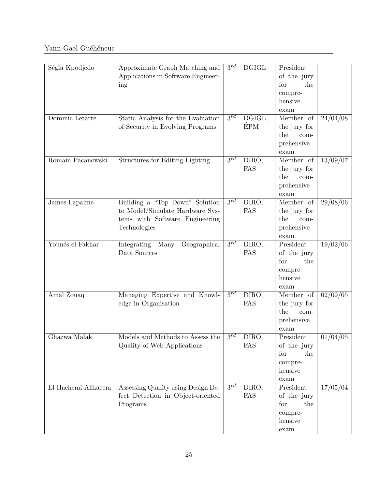| Ségla Kpodjedo      | Approximate Graph Matching and<br>Applications in Software Engineer-<br>ing                                         | $3^{rd}$ | $\operatorname{DGIGL}$ | President<br>of the jury<br>for<br>the<br>compre-<br>hensive<br>exam |          |
|---------------------|---------------------------------------------------------------------------------------------------------------------|----------|------------------------|----------------------------------------------------------------------|----------|
| Dominic Letarte     | Static Analysis for the Evaluation<br>of Security in Evolving Programs                                              | $3^{rd}$ | DGIGL,<br><b>ÉPM</b>   | Member of<br>the jury for<br>the<br>com-<br>prehensive<br>exam       | 24/04/08 |
| Romain Pacanowski   | Structures for Editing Lighting                                                                                     | $3^{rd}$ | DIRO,<br>FAS           | Member of<br>the jury for<br>the<br>$com-$<br>prehensive<br>exam     | 13/09/07 |
| James Lapalme       | Building a "Top Down" Solution<br>to Model/Simulate Hardware Sys-<br>tems with Software Engineering<br>Technologies | $3^{rd}$ | DIRO,<br>FAS           | Member of<br>the jury for<br>the<br>$com-$<br>prehensive<br>exam     | 29/08/06 |
| Younés el Fakhar    | Integrating<br>Many<br>Geographical<br>Data Sources                                                                 | $3^{rd}$ | DIRO,<br>FAS           | President<br>of the jury<br>for<br>the<br>compre-<br>hensive<br>exam | 19/02/06 |
| Amal Zouaq          | Managing Expertise and Knowl-<br>edge in Organisation                                                               | $3^{rd}$ | DIRO,<br>FAS           | Member of<br>the jury for<br>the<br>$com-$<br>prehensive<br>exam     | 02/09/05 |
| Ghazwa Malak        | Models and Methods to Assess the<br>Quality of Web Applications                                                     | 2rd      | DIRO,<br>FAS           | President<br>of the jury<br>for<br>the<br>compre-<br>hensive<br>exam | 01/04/05 |
| El Hachemi Alikacem | Assessing Quality using Design De-<br>fect Detection in Object-oriented<br>Programs                                 | $3^{rd}$ | DIRO,<br>FAS           | President<br>of the jury<br>for<br>the<br>compre-<br>hensive<br>exam | 17/05/04 |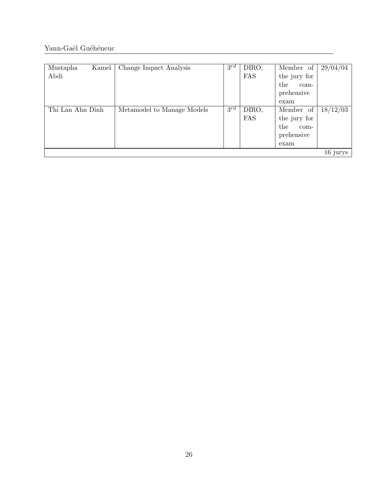| Mustapha<br>Abdi | Kamel | Change Impact Analysis     | $3^{rd}$ | DIRO,<br>FAS        | Member of<br>the jury for<br>the<br>com-<br>prehensive<br>exam | 29/04/04 |
|------------------|-------|----------------------------|----------|---------------------|----------------------------------------------------------------|----------|
| Thi Lan Ahn Dinh |       | Metamodel to Manage Models | $3^{rd}$ | DIRO,<br><b>FAS</b> | Member of<br>the jury for<br>the<br>com-<br>prehensive<br>exam | 18/12/03 |
|                  |       |                            |          |                     |                                                                | 16 jurys |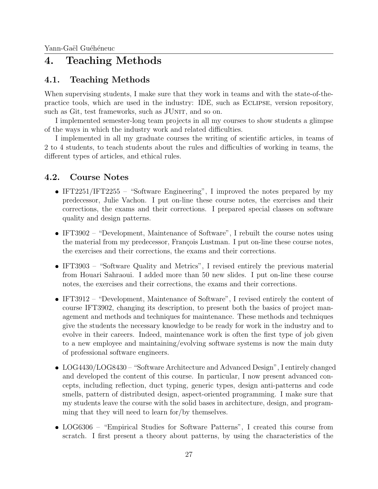## <span id="page-26-0"></span>4. Teaching Methods

### <span id="page-26-1"></span>4.1. Teaching Methods

When supervising students, I make sure that they work in teams and with the state-of-thepractice tools, which are used in the industry: IDE, such as Eclipse, version repository, such as Git, test frameworks, such as JUNIT, and so on.

I implemented semester-long team projects in all my courses to show students a glimpse of the ways in which the industry work and related difficulties.

I implemented in all my graduate courses the writing of scientific articles, in teams of 2 to 4 students, to teach students about the rules and difficulties of working in teams, the different types of articles, and ethical rules.

#### <span id="page-26-2"></span>4.2. Course Notes

- IFT2251/IFT2255 "Software Engineering", I improved the notes prepared by my predecessor, Julie Vachon. I put on-line these course notes, the exercises and their corrections, the exams and their corrections. I prepared special classes on software quality and design patterns.
- IFT3902 "Development, Maintenance of Software", I rebuilt the course notes using the material from my predecessor, François Lustman. I put on-line these course notes, the exercises and their corrections, the exams and their corrections.
- IFT3903 "Software Quality and Metrics", I revised entirely the previous material from Houari Sahraoui. I added more than 50 new slides. I put on-line these course notes, the exercises and their corrections, the exams and their corrections.
- IFT3912 "Development, Maintenance of Software", I revised entirely the content of course IFT3902, changing its description, to present both the basics of project management and methods and techniques for maintenance. These methods and techniques give the students the necessary knowledge to be ready for work in the industry and to evolve in their careers. Indeed, maintenance work is often the first type of job given to a new employee and maintaining/evolving software systems is now the main duty of professional software engineers.
- LOG4430/LOG8430 "Software Architecture and Advanced Design", I entirely changed and developed the content of this course. In particular, I now present advanced concepts, including reflection, duct typing, generic types, design anti-patterns and code smells, pattern of distributed design, aspect-oriented programming. I make sure that my students leave the course with the solid bases in architecture, design, and programming that they will need to learn for/by themselves.
- LOG6306 "Empirical Studies for Software Patterns", I created this course from scratch. I first present a theory about patterns, by using the characteristics of the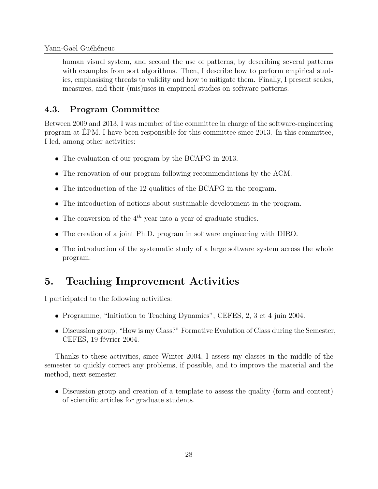human visual system, and second the use of patterns, by describing several patterns with examples from sort algorithms. Then, I describe how to perform empirical studies, emphasising threats to validity and how to mitigate them. Finally, I present scales, measures, and their (mis)uses in empirical studies on software patterns.

#### <span id="page-27-0"></span>4.3. Program Committee

Between 2009 and 2013, I was member of the committee in charge of the software-engineering program at EPM. I have been responsible for this committee since 2013. In this committee, ´ I led, among other activities:

- The evaluation of our program by the BCAPG in 2013.
- The renovation of our program following recommendations by the ACM.
- The introduction of the 12 qualities of the BCAPG in the program.
- The introduction of notions about sustainable development in the program.
- The conversion of the  $4^{th}$  year into a year of graduate studies.
- The creation of a joint Ph.D. program in software engineering with DIRO.
- The introduction of the systematic study of a large software system across the whole program.

# <span id="page-27-1"></span>5. Teaching Improvement Activities

I participated to the following activities:

- Programme, "Initiation to Teaching Dynamics", CEFES, 2, 3 et 4 juin 2004.
- Discussion group, "How is my Class?" Formative Evalution of Class during the Semester, CEFES, 19 février 2004.

Thanks to these activities, since Winter 2004, I assess my classes in the middle of the semester to quickly correct any problems, if possible, and to improve the material and the method, next semester.

 Discussion group and creation of a template to assess the quality (form and content) of scientific articles for graduate students.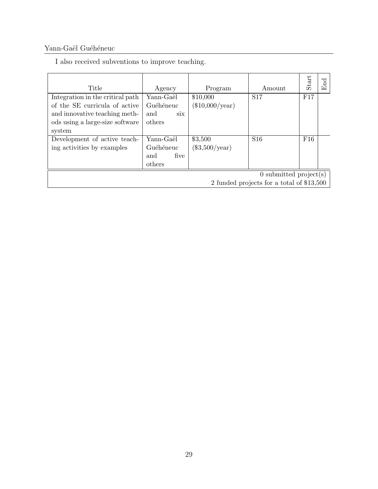ing activities by examples

<span id="page-28-0"></span>

| Title                            | Agency     | Program           | Amount          | Start |
|----------------------------------|------------|-------------------|-----------------|-------|
| Integration in the critical path | Yann-Gaël  | \$10,000          | S <sub>17</sub> | F17   |
| of the SE curricula of active    | Guéhéneuc  | $(\$10,000/year)$ |                 |       |
| and innovative teaching meth-    | and<br>six |                   |                 |       |
| ods using a large-size software  | others     |                   |                 |       |
| system                           |            |                   |                 |       |
| Development of active teach-     | Yann-Gaël  | \$3,500           | S <sub>16</sub> | F16   |

Guéhéneuc and five (\$3,500/year)

others

I also received subventions to improve teaching.

 $\overline{0}$  submitted project(s)

End

2 funded projects for a total of \$13,500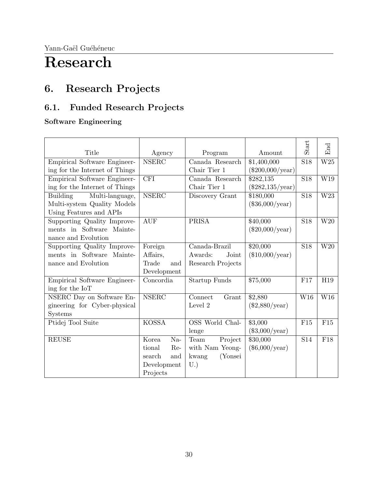# Research

# <span id="page-29-0"></span>6. Research Projects

# <span id="page-29-1"></span>6.1. Funded Research Projects

#### Software Engineering

| Title                              |                         |                      |                           | Start                   | End                     |
|------------------------------------|-------------------------|----------------------|---------------------------|-------------------------|-------------------------|
|                                    | Agency                  | Program              | Amount                    |                         |                         |
| Empirical Software Engineer-       | <b>NSERC</b>            | Canada Research      | \$1,400,000               | S18                     | $\overline{\text{W25}}$ |
| ing for the Internet of Things     |                         | Chair Tier 1         | $(\$200,000/year)$        |                         |                         |
| Empirical Software Engineer-       | $\overline{\text{CFI}}$ | Canada Research      | \$282,135                 | $\overline{$}$ S18      | W19                     |
| ing for the Internet of Things     |                         | Chair Tier 1         | $(\$282,135/\text{year})$ |                         |                         |
| Multi-language,<br><b>Building</b> | <b>NSERC</b>            | Discovery Grant      | \$180,000                 | <b>S18</b>              | $\overline{\text{W23}}$ |
| Multi-system Quality Models        |                         |                      | $(\$36,000/year)$         |                         |                         |
| Using Features and APIs            |                         |                      |                           |                         |                         |
| Supporting Quality Improve-        | <b>AUF</b>              | <b>PRISA</b>         | \$40,000                  | $\overline{S18}$        | $\overline{\text{W20}}$ |
| ments in Software Mainte-          |                         |                      | $(\$20,000/year)$         |                         |                         |
| nance and Evolution                |                         |                      |                           |                         |                         |
| Supporting Quality Improve-        | Foreign                 | Canada-Brazil        | \$20,000                  | $\overline{S18}$        | $\overline{\text{W20}}$ |
| ments in Software Mainte-          | Affairs,                | Awards:<br>Joint     | $(\$10,000/year)$         |                         |                         |
| nance and Evolution                | Trade<br>and            | Research Projects    |                           |                         |                         |
|                                    | Development             |                      |                           |                         |                         |
| Empirical Software Engineer-       | Concordia               | <b>Startup Funds</b> | \$75,000                  | F17                     | H19                     |
| ing for the IoT                    |                         |                      |                           |                         |                         |
| NSERC Day on Software En-          | <b>NSERC</b>            | Connect<br>Grant     | \$2,880                   | $\overline{\text{W16}}$ | $\overline{\text{W16}}$ |
| gineering for Cyber-physical       |                         | Level 2              | $(\$2,880/\text{year})$   |                         |                         |
| Systems                            |                         |                      |                           |                         |                         |
| Ptidej Tool Suite                  | <b>KOSSA</b>            | OSS World Chal-      | \$3,000                   | F15                     | F15                     |
|                                    |                         | lenge                | $(\$3,000/year)$          |                         |                         |
| <b>REUSE</b>                       | $Na-$<br>Korea          | Project<br>Team      | \$30,000                  | $\overline{S14}$        | F18                     |
|                                    | Re-<br>tional           | with Nam Yeong-      | $(\$6,000/year)$          |                         |                         |
|                                    | search<br>and           | (Yonsei<br>kwang     |                           |                         |                         |
|                                    | Development             | U.                   |                           |                         |                         |
|                                    | Projects                |                      |                           |                         |                         |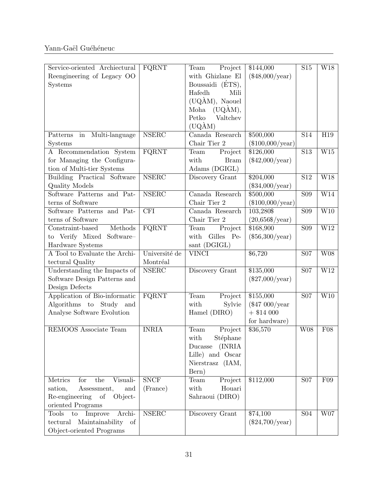| Service-oriented Archiectural                               | FQRNT                   | Project<br>Team                      | \$144,000                       | S15              | W18                     |
|-------------------------------------------------------------|-------------------------|--------------------------------------|---------------------------------|------------------|-------------------------|
| Reengineering of Legacy OO                                  |                         | with Ghizlane El<br>Boussaidi (ÉTS), | $(\$48,000/year)$               |                  |                         |
| Systems                                                     |                         | Hafedh<br>Mili                       |                                 |                  |                         |
|                                                             |                         | $(UQAM)$ , Naouel                    |                                 |                  |                         |
|                                                             |                         | (UQAM),<br>Moha                      |                                 |                  |                         |
|                                                             |                         | Petko<br>Valtchev                    |                                 |                  |                         |
|                                                             |                         | $(UQ\text{\AA}M)$                    |                                 |                  |                         |
| Multi-language<br>Patterns<br>in                            | <b>NSERC</b>            | Canada Research                      | \$500,000                       | $\overline{S14}$ | H19                     |
| Systems                                                     |                         | Chair Tier 2                         | $(\$100,000/year)$              |                  |                         |
| A Recommendation System                                     | FQRNT                   | Team<br>Project                      | \$126,000                       | $\overline{S13}$ | $\overline{\text{W15}}$ |
| for Managing the Configura-                                 |                         | with<br><b>Bram</b>                  | $(\$42,000/year)$               |                  |                         |
| tion of Multi-tier Systems                                  |                         | Adams (DGIGL)                        |                                 |                  |                         |
| Building Practical Software                                 | <b>NSERC</b>            | Discovery Grant                      | \$204,000                       | S12              | W18                     |
| Quality Models                                              |                         |                                      | $(\$34,000/year)$               |                  |                         |
| Software Patterns and Pat-<br>terns of Software             | <b>NSERC</b>            | Canada Research<br>Chair Tier 2      | \$500,000                       | <b>S09</b>       | W14                     |
| Software Patterns and Pat-                                  | $\overline{\text{CFI}}$ | Canada Research                      | $(\$100,000/year)$<br>103,280\$ | $\overline{S09}$ | W10                     |
| terns of Software                                           |                         | Chair Tier 2                         | $(20,656\sqrt{year})$           |                  |                         |
| Methods<br>Constraint-based                                 | FQRNT                   | Project<br>Team                      | \$168,900                       | <b>S09</b>       | W12                     |
| to Verify Mixed<br>Software-                                |                         | with<br>Gilles Pe-                   | $(\$56,300/year)$               |                  |                         |
| Hardware Systems                                            |                         | sant (DGIGL)                         |                                 |                  |                         |
|                                                             | Université de           |                                      | \$6,720                         |                  |                         |
| A Tool to Evaluate the Archi-                               |                         | <b>VINCI</b>                         |                                 | <b>S07</b>       | <b>W08</b>              |
| tectural Quality                                            | Montréal                |                                      |                                 |                  |                         |
| Understanding the Impacts of                                | <b>NSERC</b>            | Discovery Grant                      | \$135,000                       | <b>S07</b>       | W12                     |
| Software Design Patterns and                                |                         |                                      | $(\$27,000/year)$               |                  |                         |
| Design Defects                                              |                         |                                      |                                 |                  |                         |
| Application of Bio-informatic                               | FQRNT                   | Project<br>Team                      | \$155,000                       | S <sub>07</sub>  | $\overline{\text{W10}}$ |
| Algorithms to Study<br>and                                  |                         | with<br>Sylvie                       | $(\$47000/year$                 |                  |                         |
| Analyse Software Evolution                                  |                         | Hamel (DIRO)                         | $+$ \$14 000                    |                  |                         |
|                                                             |                         |                                      | for hardware)                   |                  |                         |
| REMOOS Associate Team                                       | <b>INRIA</b>            | Project<br>Team                      | \$36,570                        | <b>W08</b>       | F08                     |
|                                                             |                         | with<br>Stéphane                     |                                 |                  |                         |
|                                                             |                         | (INRIA<br>Ducasse                    |                                 |                  |                         |
|                                                             |                         | Lille) and Oscar                     |                                 |                  |                         |
|                                                             |                         | Nierstrasz (IAM,                     |                                 |                  |                         |
| for                                                         |                         | Bern)                                |                                 |                  |                         |
| Visuali-<br>Metrics<br>the<br>sation,<br>Assessment,<br>and | S NCF                   | Team<br>Project<br>with<br>Houari    | \$112,000                       | <b>S07</b>       | F09                     |
| Re-engineering<br>of<br>Object-                             | (France)                | Sahraoui (DIRO)                      |                                 |                  |                         |
| oriented Programs                                           |                         |                                      |                                 |                  |                         |
| Archi-<br>Tools<br>Improve<br>$\rm{to}$                     | NSERC                   | Discovery Grant                      | \$74,100                        | S <sub>04</sub>  | W07                     |
| tectural<br>Maintainability<br>of                           |                         |                                      | $(\$24,700/year)$               |                  |                         |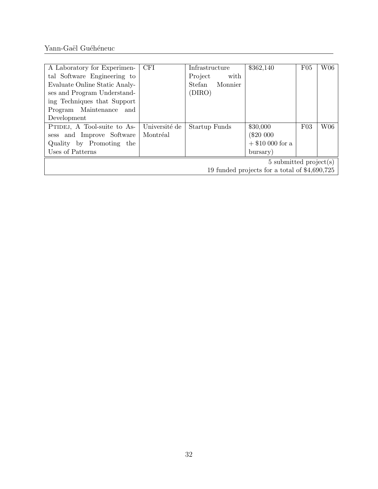| A Laboratory for Experimen-                   | <b>CFI</b>    | Infrastructure    | \$362,140          | F05 | W06 |  |  |
|-----------------------------------------------|---------------|-------------------|--------------------|-----|-----|--|--|
| tal Software Engineering to                   |               | Project<br>with   |                    |     |     |  |  |
| Evaluate Online Static Analy-                 |               | Stefan<br>Monnier |                    |     |     |  |  |
| ses and Program Understand-                   |               | (DIRO)            |                    |     |     |  |  |
| ing Techniques that Support                   |               |                   |                    |     |     |  |  |
| Program Maintenance and                       |               |                   |                    |     |     |  |  |
| Development                                   |               |                   |                    |     |     |  |  |
| PTIDEJ, A Tool-suite to As-                   | Université de | Startup Funds     | \$30,000           | F03 | W06 |  |  |
| sess and Improve Software                     | Montréal      |                   | (\$20 000          |     |     |  |  |
| Quality by Promoting the                      |               |                   | $+$ \$10 000 for a |     |     |  |  |
| Uses of Patterns                              |               |                   | bursary)           |     |     |  |  |
| $5 \text{ submitted project}(s)$              |               |                   |                    |     |     |  |  |
| 19 funded projects for a total of \$4,690,725 |               |                   |                    |     |     |  |  |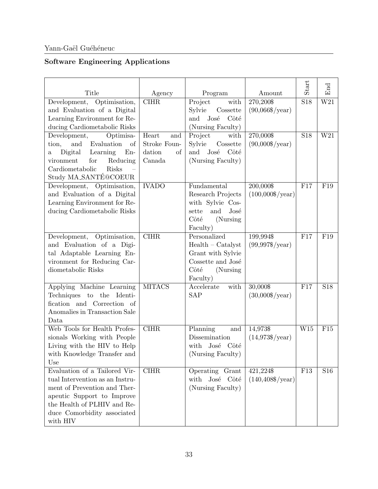## Software Engineering Applications

| Title                                                                                                                                                                                                    | Agency                                                 | Program                                                                                                        | Amount                                  | Start            | $\operatorname{End}$ |
|----------------------------------------------------------------------------------------------------------------------------------------------------------------------------------------------------------|--------------------------------------------------------|----------------------------------------------------------------------------------------------------------------|-----------------------------------------|------------------|----------------------|
| Development, Optimisation,<br>and Evaluation of a Digital                                                                                                                                                | C <sub>II</sub> HR                                     | Project<br>with<br>$\label{eq:cosset} \text{Cossette}$<br>Sylvie                                               | 270,200\$<br>$(90,066\sqrt{year})$      | $\overline{S18}$ | $\overline{W21}$     |
| Learning Environment for Re-<br>ducing Cardiometabolic Risks                                                                                                                                             |                                                        | José<br>Côté<br>and<br>(Nursing Faculty)                                                                       |                                         |                  |                      |
| Development,<br>Optimisa-<br>and<br>Evaluation<br>tion,<br>of<br>Learning<br>Digital<br>$En-$<br>$\rm{a}$<br>Reducing<br>vironment<br>for<br>Cardiometabolic<br>Risks<br>Study MA_SANTE@COEUR            | Heart<br>and<br>Stroke Foun-<br>dation<br>of<br>Canada | Project<br>with<br>Sylvie<br>Cossette<br>José<br>Côté<br>and<br>(Nursing Faculty)                              | 270,000\$<br>$(90,000\sqrt{$}$ /year)   | <b>S18</b>       | $\overline{W21}$     |
| Development, Optimisation,<br>and Evaluation of a Digital<br>Learning Environment for Re-<br>ducing Cardiometabolic Risks                                                                                | <b>IVADO</b>                                           | Fundamental<br>Research Projects<br>with Sylvie Cos-<br>and<br>José<br>sette<br>Côté<br>(Nursing)<br>Faculty)  | 200,000\$<br>$(100,000\sqrt{year})$     | F17              | F19                  |
| Development, Optimisation,<br>and Evaluation of a Digi-<br>tal Adaptable Learning En-<br>vironment for Reducing Car-<br>diometabolic Risks                                                               | $\overline{\text{CIHR}}$                               | Personalized<br>$Health - Catalyst$<br>Grant with Sylvie<br>Cossette and José<br>Côté<br>(Nursing)<br>Faculty) | 199,994\$<br>$(99,997\sqrt{$}$ /year)   | F17              | F19                  |
| Applying Machine Learning<br>Techniques to the Identi-<br>fication and Correction of<br>Anomalies in Transaction Sale<br>Data                                                                            | <b>MITACS</b>                                          | Accelerate<br>with<br>SAP                                                                                      | 30,000\$<br>$(30,000\sqrt{$}$ /year)    | F17              | S18                  |
| Web Tools for Health Profes-<br>sionals Working with People<br>Living with the HIV to Help<br>with Knowledge Transfer and<br>Use                                                                         | <b>CIHR</b>                                            | Planning<br>and<br>Dissemination<br>with<br>José Côté<br>(Nursing Faculty)                                     | 14,973\$<br>$(14,973\sqrt{$}$ /year)    | W15              | F15                  |
| Evaluation of a Tailored Vir-<br>tual Intervention as an Instru-<br>ment of Prevention and Ther-<br>apeutic Support to Improve<br>the Health of PLHIV and Re-<br>duce Comorbidity associated<br>with HIV | <b>CIHR</b>                                            | Operating<br>Grant<br>José<br>Côté<br>with<br>(Nursing Faculty)                                                | 421,224\$<br>$(140, 408\sqrt{$}$ /year) | F13              | S <sub>16</sub>      |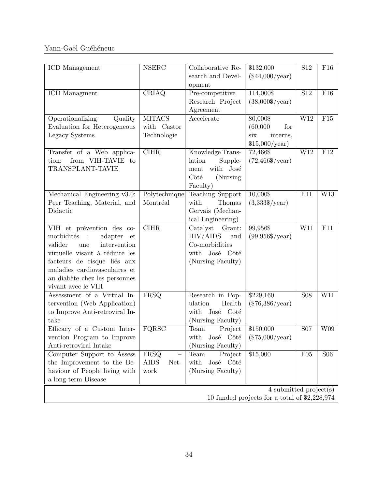| ICD Management                                                                                                                                                                                                                                        | <b>NSERC</b>                                                    | Collaborative Re-<br>search and Devel-<br>opment                                               | $\overline{$132,000}$<br>$(\$44,000/year)$                       | S12        | F16        |  |
|-------------------------------------------------------------------------------------------------------------------------------------------------------------------------------------------------------------------------------------------------------|-----------------------------------------------------------------|------------------------------------------------------------------------------------------------|------------------------------------------------------------------|------------|------------|--|
| <b>ICD</b> Managment                                                                                                                                                                                                                                  | CRIAQ                                                           | Pre-competitive<br>Research Project<br>Agreement                                               | 114,0008<br>$(38,000\sqrt{$}$ /year)                             | S12        | F16        |  |
| Operationalizing<br>Quality<br>Evaluation for Heterogeneous<br>Legacy Systems                                                                                                                                                                         | <b>MITACS</b><br>with Castor<br>Technologie                     | Accelerate                                                                                     | 80,000\$<br>(60,000)<br>for<br>six<br>interns,<br>\$15,000/year) | W12        | F15        |  |
| Transfer of a Web applica-<br>from VIH-TAVIE to<br>tion:<br>TRANSPLANT-TAVIE                                                                                                                                                                          | <b>CIHR</b>                                                     | Knowledge Trans-<br>lation<br>Supple-<br>with José<br>ment<br>Côté<br>(Nursing)<br>Faculty)    | 72,466\$<br>$(72,466\$/year)$                                    | W12        | F12        |  |
| Mechanical Engineering v3.0:<br>Peer Teaching, Material, and<br>Didactic                                                                                                                                                                              | Polytechnique<br>Montréal                                       | <b>Teaching Support</b><br>with<br>Thomas<br>Gervais (Mechan-<br>ical Engineering)             | $10,000$ \$<br>$(3,333\sqrt{year})$                              | E11        | W13        |  |
| VIH et prévention des co-<br>morbidités :<br>adapter<br>et<br>intervention<br>valider<br>une<br>virtuelle visant à réduire les<br>facteurs de risque liés aux<br>maladies cardiovasculaires et<br>au diabète chez les personnes<br>vivant avec le VIH | C <sub>II</sub> HR                                              | Catalyst<br>Grant:<br>HIV/AIDS<br>and<br>Co-morbidities<br>with José Côté<br>(Nursing Faculty) | $99,956$ \$<br>$(99,956\sqrt{$8]{year}})$                        | W11        | F11        |  |
| Assessment of a Virtual In-<br>tervention (Web Application)<br>to Improve Anti-retroviral In-<br>take                                                                                                                                                 | FRSQ                                                            | Research in Pop-<br>Health<br>ulation<br>with José Côté<br>(Nursing Faculty)                   | \$229,160<br>$(\$76,386/year)$                                   | <b>S08</b> | W11        |  |
| Efficacy of a Custom Inter-<br>vention Program to Improve<br>Anti-retroviral Intake                                                                                                                                                                   | FQRSC                                                           | Team<br>Project<br>with José Côté<br>(Nursing Faculty)                                         | \$150,000<br>$(\$75,000/year)$                                   | <b>S07</b> | W09        |  |
| Computer Support to Assess<br>the Improvement to the Be-<br>haviour of People living with<br>a long-term Disease                                                                                                                                      | FRSQ<br>$\overline{\phantom{0}}$<br><b>AIDS</b><br>Net-<br>work | Team<br>Project<br>with<br>José Côté<br>(Nursing Faculty)                                      | \$15,000                                                         | F05        | <b>S06</b> |  |
| 4 submitted $project(s)$<br>10 funded projects for a total of $2,228,974$                                                                                                                                                                             |                                                                 |                                                                                                |                                                                  |            |            |  |

34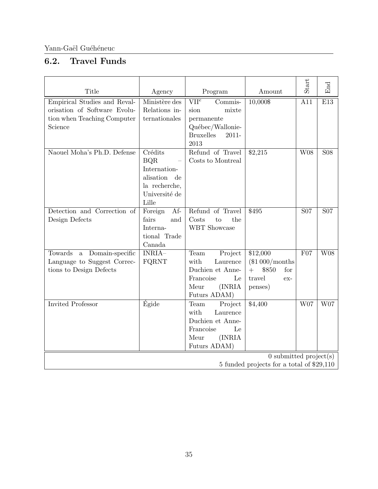## <span id="page-34-0"></span>6.2. Travel Funds

| Title                                                                                                  | Agency                                                                                           | Program                                                                                                                | Amount                                                                            | Start           | End             |  |
|--------------------------------------------------------------------------------------------------------|--------------------------------------------------------------------------------------------------|------------------------------------------------------------------------------------------------------------------------|-----------------------------------------------------------------------------------|-----------------|-----------------|--|
| Empirical Studies and Reval-<br>orisation of Software Evolu-<br>tion when Teaching Computer<br>Science | Ministère des<br>Relations in-<br>ternationales                                                  | VII <sup>e</sup><br>Commis-<br>mixte<br>sion<br>permanente<br>Québec/Wallonie-<br><b>Bruxelles</b><br>$2011 -$<br>2013 | 10,000\$                                                                          | A11             | E13             |  |
| Naouel Moha's Ph.D. Defense                                                                            | Crédits<br><b>BQR</b><br>Internation-<br>alisation de<br>la recherche,<br>Université de<br>Lille | Refund of Travel<br>Costs to Montreal                                                                                  | \$2,215                                                                           | W08             | <b>S08</b>      |  |
| Detection and Correction of<br>Design Defects                                                          | Af-<br>Foreign<br>fairs<br>and<br>Interna-<br>tional Trade<br>Canada                             | Refund of Travel<br>Costs<br>the<br>to<br>WBT Showcase                                                                 | \$495                                                                             | S <sub>07</sub> | S <sub>07</sub> |  |
| Towards<br>a Domain-specific<br>Language to Suggest Correc-<br>tions to Design Defects                 | INRIA-<br>FQRNT                                                                                  | Project<br>Team<br>with<br>Laurence<br>Duchien et Anne-<br>Francoise<br>Le<br>Meur<br>(INRIA<br>Futurs ADAM)           | \$12,000<br>$(\$1000/months$<br>\$850<br>$+$<br>for<br>travel<br>$ex-$<br>penses) | F07             | <b>W08</b>      |  |
| <b>Invited Professor</b>                                                                               | Égide                                                                                            | Team<br>Project<br>with<br>Laurence<br>Duchien et Anne-<br>Francoise<br>Le<br>Meur<br>(INRIA<br>Futurs ADAM)           | \$4,400                                                                           | W07             | W07             |  |
| $\overline{0}$ submitted project(s)<br>5 funded projects for a total of \$29,110                       |                                                                                                  |                                                                                                                        |                                                                                   |                 |                 |  |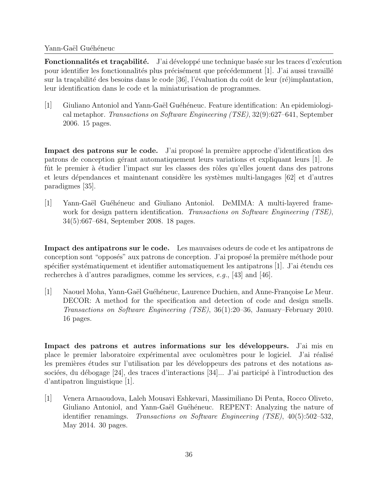Fonctionnalités et traçabilité. J'ai développé une technique basée sur les traces d'exécution pour identifier les fonctionnalités plus précisément que précédemment [1]. J'ai aussi travaillé sur la traçabilité des besoins dans le code [36], l'évaluation du coût de leur (ré)implantation, leur identification dans le code et la miniaturisation de programmes.

[1] Giuliano Antoniol and Yann-Gaël Guéhéneuc. Feature identification: An epidemiological metaphor. Transactions on Software Engineering (TSE), 32(9):627–641, September 2006. 15 pages.

Impact des patrons sur le code. J'ai proposé la première approche d'identification des patrons de conception gérant automatiquement leurs variations et expliquant leurs  $|1|$ . Je fût le premier à étudier l'impact sur les classes des rôles qu'elles jouent dans des patrons et leurs dépendances et maintenant considère les systèmes multi-langages [62] et d'autres paradigmes [35].

[1] Yann-Gaël Guéhéneuc and Giuliano Antoniol. DeMIMA: A multi-layered framework for design pattern identification. Transactions on Software Engineering (TSE), 34(5):667–684, September 2008. 18 pages.

Impact des antipatrons sur le code. Les mauvaises odeurs de code et les antipatrons de conception sont "opposés" aux patrons de conception. J'ai proposé la première méthode pour spécifier systématiquement et identifier automatiquement les antipatrons  $[1]$ . J'ai étendu ces recherches à d'autres paradigmes, comme les services,  $e.g., [43]$  and [46].

[1] Naouel Moha, Yann-Gaël Guéhéneuc, Laurence Duchien, and Anne-Françoise Le Meur. DECOR: A method for the specification and detection of code and design smells. Transactions on Software Engineering (TSE), 36(1):20–36, January–February 2010. 16 pages.

Impact des patrons et autres informations sur les développeurs. J'ai mis en place le premier laboratoire expérimental avec oculomètres pour le logiciel. J'ai réalisé les premières études sur l'utilisation par les développeurs des patrons et des notations associées, du débogage [24], des traces d'interactions  $[34]...$  J'ai participé à l'introduction des d'antipatron linguistique [1].

[1] Venera Arnaoudova, Laleh Mousavi Eshkevari, Massimiliano Di Penta, Rocco Oliveto, Giuliano Antoniol, and Yann-Gaël Guéhéneuc. REPENT: Analyzing the nature of identifier renamings. Transactions on Software Engineering (TSE), 40(5):502–532, May 2014. 30 pages.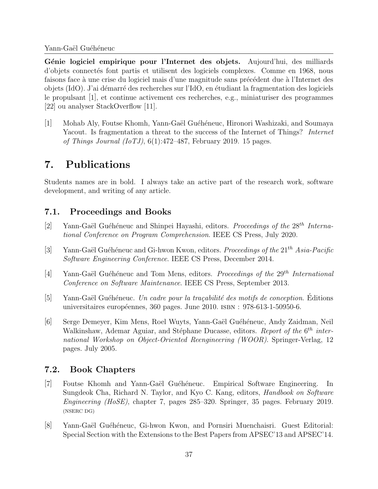Génie logiciel empirique pour l'Internet des objets. Aujourd'hui, des milliards d'objets connectés font partis et utilisent des logiciels complexes. Comme en 1968, nous faisons face à une crise du logiciel mais d'une magnitude sans précédent due à l'Internet des objets (IdO). J'ai démarré des recherches sur l'IdO, en étudiant la fragmentation des logiciels le propulsant [1], et continue activement ces recherches, e.g., miniaturiser des programmes [22] ou analyser StackOverflow [11].

[1] Mohab Aly, Foutse Khomh, Yann-Gaël Guéhéneuc, Hironori Washizaki, and Soumaya Yacout. Is fragmentation a threat to the success of the Internet of Things? Internet of Things Journal (IoTJ),  $6(1)$ :472–487, February 2019. 15 pages.

# 7. Publications

Students names are in bold. I always take an active part of the research work, software development, and writing of any article.

# 7.1. Proceedings and Books

- [2] Yann-Gaël Guéhéneuc and Shinpei Hayashi, editors. Proceedings of the  $28^{th}$  International Conference on Program Comprehension. IEEE CS Press, July 2020.
- [3] Yann-Gaël Guéhéneuc and Gi-hwon Kwon, editors. Proceedings of the  $21^{th}$  Asia-Pacific Software Engineering Conference. IEEE CS Press, December 2014.
- [4] Yann-Gaël Guéhéneuc and Tom Mens, editors. Proceedings of the  $29<sup>th</sup> International$ Conference on Software Maintenance. IEEE CS Press, September 2013.
- $[5]$  Yann-Gaël Guéhéneuc. Un cadre pour la traçabilité des motifs de conception. Editions universitaires européennes, 360 pages. June  $2010$ . ISBN :  $978-613-1-50950-6$ .
- [6] Serge Demeyer, Kim Mens, Roel Wuyts, Yann-Gaël Guéhéneuc, Andy Zaidman, Neil Walkinshaw, Ademar Aguiar, and Stéphane Ducasse, editors. Report of the 6<sup>th</sup> international Workshop on Object-Oriented Reengineering (WOOR). Springer-Verlag, 12 pages. July 2005.

# 7.2. Book Chapters

- [7] Foutse Khomh and Yann-Gaël Guéhéneuc. Empirical Software Engineering. In Sungdeok Cha, Richard N. Taylor, and Kyo C. Kang, editors, *Handbook on Software* Engineering (HoSE), chapter 7, pages 285–320. Springer, 35 pages. February 2019. (NSERC DG)
- [8] Yann-Gaël Guéhéneuc, Gi-hwon Kwon, and Pornsiri Muenchaisri. Guest Editorial: Special Section with the Extensions to the Best Papers from APSEC'13 and APSEC'14.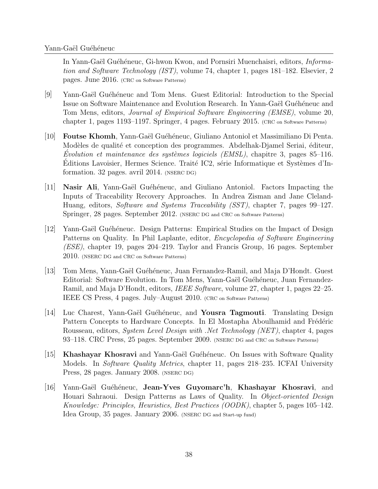In Yann-Gaël Guéhéneuc, Gi-hwon Kwon, and Pornsiri Muenchaisri, editors, *Informa*tion and Software Technology (IST), volume 74, chapter 1, pages 181–182. Elsevier, 2 pages. June 2016. (CRC on Software Patterns)

- [9] Yann-Gaël Guéhéneuc and Tom Mens. Guest Editorial: Introduction to the Special Issue on Software Maintenance and Evolution Research. In Yann-Gaël Guéhéneuc and Tom Mens, editors, Journal of Empirical Software Engineering (EMSE), volume 20, chapter 1, pages 1193–1197. Springer, 4 pages. February 2015. (CRC on Software Patterns)
- [10] Foutse Khomh, Yann-Ga¨el Gu´eh´eneuc, Giuliano Antoniol et Massimiliano Di Penta. Modèles de qualité et conception des programmes. Abdelhak-Djamel Seriai, éditeur, Evolution et maintenance des systèmes logiciels  $(EMSL)$ , chapitre 3, pages 85–116. Editions Lavoisier, Hermes Science. Traité IC2, série Informatique et Systèmes d'Information. 32 pages. avril 2014. (NSERC DG)
- $[11]$  Nasir Ali, Yann-Gaël Guéhéneuc, and Giuliano Antoniol. Factors Impacting the Inputs of Traceability Recovery Approaches. In Andrea Zisman and Jane Cleland-Huang, editors, Software and Systems Traceability (SST), chapter 7, pages 99–127. Springer, 28 pages. September 2012. (NSERC DG and CRC on Software Patterns)
- [12] Yann-Gaël Guéhéneuc. Design Patterns: Empirical Studies on the Impact of Design Patterns on Quality. In Phil Laplante, editor, Encyclopedia of Software Engineering (ESE), chapter 19, pages 204–219. Taylor and Francis Group, 16 pages. September 2010. (NSERC DG and CRC on Software Patterns)
- [13] Tom Mens, Yann-Ga¨el Gu´eh´eneuc, Juan Fernandez-Ramil, and Maja D'Hondt. Guest Editorial: Software Evolution. In Tom Mens, Yann-Gaël Guéhéneuc, Juan Fernandez-Ramil, and Maja D'Hondt, editors, *IEEE Software*, volume 27, chapter 1, pages 22–25. IEEE CS Press, 4 pages. July–August 2010. (CRC on Software Patterns)
- $|14|$  Luc Charest, Yann-Gaël Guéhéneuc, and **Yousra Tagmouti**. Translating Design Pattern Concepts to Hardware Concepts. In El Mostapha Aboulhamid and Frédéric Rousseau, editors, *System Level Design with .Net Technology (NET)*, chapter 4, pages 93–118. CRC Press, 25 pages. September 2009. (NSERC DG and CRC on Software Patterns)
- [15] Khashayar Khosravi and Yann-Gaël Guéhéneuc. On Issues with Software Quality Models. In *Software Quality Metrics*, chapter 11, pages 218–235. ICFAI University Press, 28 pages. January 2008. (NSERC DG)
- [16] Yann-Gaël Guéhéneuc, Jean-Yves Guyomarc'h, Khashayar Khosravi, and Houari Sahraoui. Design Patterns as Laws of Quality. In *Object-oriented Design* Knowledge: Principles, Heuristics, Best Practices (OODK), chapter 5, pages 105–142. Idea Group, 35 pages. January 2006. (NSERC DG and Start-up fund)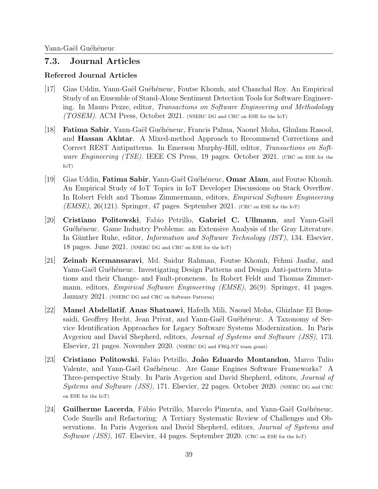## 7.3. Journal Articles

## Referred Journal Articles

- [17] Gias Uddin, Yann-Gaël Guéhéneuc, Foutse Khomh, and Chanchal Roy. An Empirical Study of an Ensemble of Stand-Alone Sentiment Detection Tools for Software Engineering. In Mauro Pezze, editor, Transactions on Software Engineering and Methodology  $(TOSEM)$ . ACM Press, October 2021. (NSERC DG and CRC on ESE for the IoT)
- [18] Fatima Sabir, Yann-Gaël Guéhéneuc, Francis Palma, Naouel Moha, Ghulam Rasool, and Hassan Akhtar. A Mixed-method Approach to Recommend Corrections and Correct REST Antipatterns. In Emerson Murphy-Hill, editor, Transactions on Software Engineering (TSE). IEEE CS Press, 19 pages. October 2021. (CRC on ESE for the IoT)
- $|19|$  Gias Uddin, **Fatima Sabir**, Yann-Gaël Guéhéneuc, **Omar Alam**, and Foutse Khomh. An Empirical Study of IoT Topics in IoT Developer Discussions on Stack Overflow. In Robert Feldt and Thomas Zimmermann, editors, Empirical Software Engineering  $(EMSE)$ , 26(121). Springer, 47 pages. September 2021. (CRC on ESE for the IoT)
- [20] Cristiano Politowski, Fabio Petrillo, Gabriel C. Ullmann, and Yann-Gaël Guéhéneuc. Game Industry Problems: an Extensive Analysis of the Gray Literature. In Günther Ruhe, editor, *Information and Software Technology (IST)*, 134. Elsevier, 18 pages. June 2021. (NSERC DG and CRC on ESE for the IoT)
- [21] Zeinab Kermansaravi, Md. Saidur Rahman, Foutse Khomh, Fehmi Jaafar, and Yann-Gaël Guéhéneuc. Investigating Design Patterns and Design Anti-pattern Mutations and their Change- and Fault-proneness. In Robert Feldt and Thomas Zimmermann, editors, *Empirical Software Engineering (EMSE)*, 26(9). Springer, 41 pages. January 2021. (NSERC DG and CRC on Software Patterns)
- [22] Manel Abdellatif, Anas Shatnawi, Hafedh Mili, Naouel Moha, Ghizlane El Boussaidi, Geoffrey Hecht, Jean Privat, and Yann-Gaël Guéhéneuc. A Taxonomy of Service Identification Approaches for Legacy Software Systems Modernization. In Paris Avgeriou and David Shepherd, editors, Journal of Systems and Software (JSS), 173. Elsevier, 21 pages. November 2020. (NSERC DG and FRQ-NT team grant)
- [23] Cristiano Politowski, Fabio Petrillo, Jo˜ao Eduardo Montandon, Marco Tulio Valente, and Yann-Gaël Guéhéneuc. Are Game Engines Software Frameworks? A Three-perspective Study. In Paris Avgeriou and David Shepherd, editors, Journal of Systems and Software (JSS), 171. Elsevier, 22 pages. October 2020. (NSERC DG and CRC on ESE for the IoT)
- [24] Guilherme Lacerda, Fábio Petrillo, Marcelo Pimenta, and Yann-Gaël Guéhéneuc. Code Smells and Refactoring: A Tertiary Systematic Review of Challenges and Observations. In Paris Avgeriou and David Shepherd, editors, *Journal of Systems and* Software (JSS), 167. Elsevier, 44 pages. September 2020. (CRC on ESE for the IoT)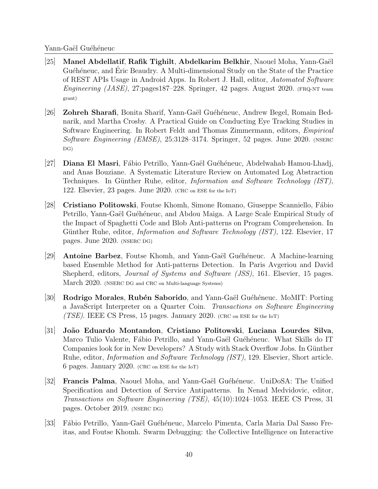- [25] Manel Abdellatif, Rafik Tighilt, Abdelkarim Belkhir, Naouel Moha, Yann-Gaël Guéhéneuc, and Eric Beaudry. A Multi-dimensional Study on the State of the Practice of REST APIs Usage in Android Apps. In Robert J. Hall, editor, Automated Software Engineering  $(JASE)$ , 27:pages187–228. Springer, 42 pages. August 2020. (FRQ-NT team grant)
- [26] **Zohreh Sharafi**, Bonita Sharif, Yann-Gaël Guéhéneuc, Andrew Begel, Romain Bednarik, and Martha Crosby. A Practical Guide on Conducting Eye Tracking Studies in Software Engineering. In Robert Feldt and Thomas Zimmermann, editors, Empirical Software Engineering (EMSE), 25:3128–3174. Springer, 52 pages. June 2020. (NSERC DG)
- [27] **Diana El Masri**, Fábio Petrillo, Yann-Gaël Guéhéneuc, Abdelwahab Hamou-Lhadj, and Anas Bouziane. A Systematic Literature Review on Automated Log Abstraction Techniques. In Günther Ruhe, editor, *Information and Software Technology (IST)*, 122. Elsevier, 23 pages. June 2020. (CRC on ESE for the IoT)
- [28] Cristiano Politowski, Foutse Khomh, Simone Romano, Giuseppe Scanniello, F´abio Petrillo, Yann-Gaël Guéhéneuc, and Abdou Maiga. A Large Scale Empirical Study of the Impact of Spaghetti Code and Blob Anti-patterns on Program Comprehension. In Günther Ruhe, editor, *Information and Software Technology (IST)*, 122. Elsevier, 17 pages. June 2020. (NSERC DG)
- [29] Antoine Barbez, Foutse Khomh, and Yann-Gaël Guéhéneuc. A Machine-learning based Ensemble Method for Anti-patterns Detection. In Paris Avgeriou and David Shepherd, editors, *Journal of Systems and Software (JSS)*, 161. Elsevier, 15 pages. March 2020. (NSERC DG and CRC on Multi-language Systems)
- [30] Rodrigo Morales, Rubén Saborido, and Yann-Gaël Guéhéneuc. MoMIT: Porting a JavaScript Interpreter on a Quarter Coin. Transactions on Software Engineering (TSE). IEEE CS Press, 15 pages. January 2020. (CRC on ESE for the IoT)
- [31] Jo˜ao Eduardo Montandon, Cristiano Politowski, Luciana Lourdes Silva, Marco Tulio Valente, Fábio Petrillo, and Yann-Gaël Guéhéneuc. What Skills do IT Companies look for in New Developers? A Study with Stack Overflow Jobs. In Günther Ruhe, editor, Information and Software Technology (IST), 129. Elsevier, Short article. 6 pages. January 2020. (CRC on ESE for the IoT)
- [32] **Francis Palma**, Naouel Moha, and Yann-Gaël Guéhéneuc. UniDoSA: The Unified Specification and Detection of Service Antipatterns. In Nenad Medvidovic, editor, Transactions on Software Engineering (TSE), 45(10):1024–1053. IEEE CS Press, 31 pages. October 2019. (NSERC DG)
- [33] F´abio Petrillo, Yann-Ga¨el Gu´eh´eneuc, Marcelo Pimenta, Carla Maria Dal Sasso Freitas, and Foutse Khomh. Swarm Debugging: the Collective Intelligence on Interactive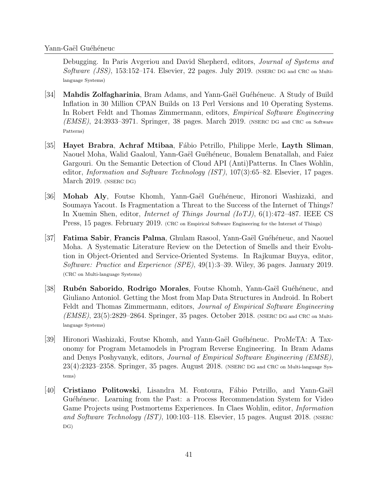Debugging. In Paris Avgeriou and David Shepherd, editors, *Journal of Systems and* Software (JSS), 153:152-174. Elsevier, 22 pages. July 2019. (NSERC DG and CRC on Multilanguage Systems)

- [34] Mahdis Zolfagharinia, Bram Adams, and Yann-Gaël Guéhéneuc. A Study of Build Inflation in 30 Million CPAN Builds on 13 Perl Versions and 10 Operating Systems. In Robert Feldt and Thomas Zimmermann, editors, Empirical Software Engineering (EMSE), 24:3933–3971. Springer, 38 pages. March 2019. (NSERC DG and CRC on Software Patterns)
- [35] Hayet Brabra, Achraf Mtibaa, F´abio Petrillo, Philippe Merle, Layth Sliman, Naouel Moha, Walid Gaaloul, Yann-Gaël Guéhéneuc, Boualem Benatallah, and Faîez Gargouri. On the Semantic Detection of Cloud API (Anti)Patterns. In Claes Wohlin, editor, *Information and Software Technology (IST)*, 107(3):65–82. Elsevier, 17 pages. March 2019. (NSERC DG)
- [36] Mohab Aly, Foutse Khomh, Yann-Gaël Guéhéneuc, Hironori Washizaki, and Soumaya Yacout. Is Fragmentation a Threat to the Success of the Internet of Things? In Xuemin Shen, editor, Internet of Things Journal (IoTJ), 6(1):472–487. IEEE CS Press, 15 pages. February 2019. (CRC on Empirical Software Engineering for the Internet of Things)
- [37] **Fatima Sabir, Francis Palma,** Ghulam Rasool, Yann-Gaël Guéhéneuc, and Naouel Moha. A Systematic Literature Review on the Detection of Smells and their Evolution in Object-Oriented and Service-Oriented Systems. In Rajkumar Buyya, editor, Software: Practice and Experience (SPE), 49(1):3–39. Wiley, 36 pages. January 2019. (CRC on Multi-language Systems)
- [38] Rubén Saborido, Rodrigo Morales, Foutse Khomh, Yann-Gaël Guéhéneuc, and Giuliano Antoniol. Getting the Most from Map Data Structures in Android. In Robert Feldt and Thomas Zimmermann, editors, *Journal of Empirical Software Engineering*  $(EMSE), 23(5):2829-2864.$  Springer, 35 pages. October 2018. (NSERC DG and CRC on Multilanguage Systems)
- [39] Hironori Washizaki, Foutse Khomh, and Yann-Ga¨el Gu´eh´eneuc. ProMeTA: A Taxonomy for Program Metamodels in Program Reverse Engineering. In Bram Adams and Denys Poshyvanyk, editors, Journal of Empirical Software Engineering (EMSE), 23(4):2323–2358. Springer, 35 pages. August 2018. (NSERC DG and CRC on Multi-language Systems)
- [40] Cristiano Politowski, Lisandra M. Fontoura, Fábio Petrillo, and Yann-Gaël Guéhéneuc. Learning from the Past: a Process Recommendation System for Video Game Projects using Postmortems Experiences. In Claes Wohlin, editor, Information and Software Technology (IST), 100:103-118. Elsevier, 15 pages. August 2018. (NSERC DG)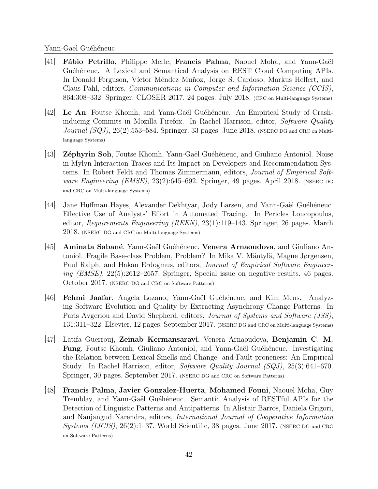- $[41]$  Fábio Petrillo, Philippe Merle, Francis Palma, Naouel Moha, and Yann-Gaël Guéhéneuc. A Lexical and Semantical Analysis on REST Cloud Computing APIs. In Donald Ferguson, Víctor Méndez Muñoz, Jorge S. Cardoso, Markus Helfert, and Claus Pahl, editors, Communications in Computer and Information Science (CCIS), 864:308–332. Springer, CLOSER 2017. 24 pages. July 2018. (CRC on Multi-language Systems)
- [42] Le An, Foutse Khomh, and Yann-Gaël Guéhéneuc. An Empirical Study of Crashinducing Commits in Mozilla Firefox. In Rachel Harrison, editor, Software Quality Journal  $(SQJ)$ ,  $26(2):$ 553–584. Springer, 33 pages. June 2018. (NSERC DG and CRC on Multilanguage Systems)
- <sup>[43]</sup> Zéphyrin Soh, Foutse Khomh, Yann-Gaël Guéhéneuc, and Giuliano Antoniol. Noise in Mylyn Interaction Traces and Its Impact on Developers and Recommendation Systems. In Robert Feldt and Thomas Zimmermann, editors, Journal of Empirical Software Engineering (EMSE),  $23(2)$ :645–692. Springer, 49 pages. April 2018. (NSERC DG and CRC on Multi-language Systems)
- [44] Jane Huffman Hayes, Alexander Dekhtyar, Jody Larsen, and Yann-Gaël Guéhéneuc. Effective Use of Analysts' Effort in Automated Tracing. In Pericles Loucopoulos, editor, Requirements Engineering (REEN), 23(1):119–143. Springer, 26 pages. March 2018. (NSERC DG and CRC on Multi-language Systems)
- <sup>[45]</sup> Aminata Sabané, Yann-Gaël Guéhéneuc, Venera Arnaoudova, and Giuliano Antoniol. Fragile Base-class Problem, Problem? In Mika V. Mäntylä, Magne Jørgensen, Paul Ralph, and Hakan Erdogmus, editors, Journal of Empirical Software Engineering (EMSE),  $22(5):2612-2657$ . Springer, Special issue on negative results. 46 pages. October 2017. (NSERC DG and CRC on Software Patterns)
- [46] **Fehmi Jaafar**, Angela Lozano, Yann-Gaël Guéhéneuc, and Kim Mens. Analyzing Software Evolution and Quality by Extracting Asynchrony Change Patterns. In Paris Avgeriou and David Shepherd, editors, Journal of Systems and Software (JSS), 131:311–322. Elsevier, 12 pages. September 2017. (NSERC DG and CRC on Multi-language Systems)
- [47] Latifa Guerrouj, Zeinab Kermansaravi, Venera Arnaoudova, Benjamin C. M. **Fung**, Foutse Khomh, Giuliano Antoniol, and Yann-Gaël Guéhéneuc. Investigating the Relation between Lexical Smells and Change- and Fault-proneness: An Empirical Study. In Rachel Harrison, editor, Software Quality Journal (SQJ), 25(3):641–670. Springer, 30 pages. September 2017. (NSERC DG and CRC on Software Patterns)
- [48] Francis Palma, Javier Gonzalez-Huerta, Mohamed Founi, Naouel Moha, Guy Tremblay, and Yann-Gaël Guéhéneuc. Semantic Analysis of RESTful APIs for the Detection of Linguistic Patterns and Antipatterns. In Alistair Barros, Daniela Grigori, and Nanjangud Narendra, editors, International Journal of Cooperative Information Systems (IJCIS),  $26(2)$ :1–37. World Scientific, 38 pages. June 2017. (NSERC DG and CRC) on Software Patterns)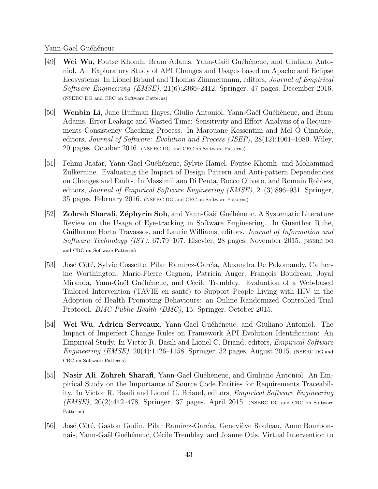- <sup>[49]</sup> Wei Wu, Foutse Khomh, Bram Adams, Yann-Gaël Guéhéneuc, and Giuliano Antoniol. An Exploratory Study of API Changes and Usages based on Apache and Eclipse Ecosystems. In Lionel Briand and Thomas Zimmermann, editors, Journal of Empirical Software Engineering (EMSE), 21(6):2366–2412. Springer, 47 pages. December 2016. (NSERC DG and CRC on Software Patterns)
- [50] Wenbin Li, Jane Huffman Hayes, Giulio Antoniol, Yann-Gaël Guéhéneuc, and Bram Adams. Error Leakage and Wasted Time: Sensitivity and Effort Analysis of a Requirements Consistency Checking Process. In Marouane Kessentini and Mel O Cinnéide, editors, Journal of Software: Evolution and Process (JSEP), 28(12):1061–1080. Wiley, 20 pages. October 2016. (NSERC DG and CRC on Software Patterns)
- [51] Fehmi Jaafar, Yann-Gaël Guéhéneuc, Sylvie Hamel, Foutse Khomh, and Mohammad Zulkernine. Evaluating the Impact of Design Pattern and Anti-pattern Dependencies on Changes and Faults. In Massimiliano Di Penta, Rocco Oliveto, and Romain Robbes, editors, Journal of Empirical Software Engineering (EMSE), 21(3):896–931. Springer, 35 pages. February 2016. (NSERC DG and CRC on Software Patterns)
- [52] **Zohreh Sharafi, Zéphyrin Soh,** and Yann-Gaël Guéhéneuc. A Systematic Literature Review on the Usage of Eye-tracking in Software Engineering. In Guenther Ruhe, Guilherme Horta Travassos, and Laurie Williams, editors, Journal of Information and Software Technology (IST), 67:79-107. Elsevier, 28 pages. November 2015. (NSERC DG and CRC on Software Patterns)
- [53] José Côté, Sylvie Cossette, Pilar Ramirez-Garcìa, Alexandra De Pokomandy, Catherine Worthington, Marie-Pierre Gagnon, Patricia Auger, François Boudreau, Joyal Miranda, Yann-Gaël Guéhéneuc, and Cécile Tremblay. Evaluation of a Web-based Tailored Intervention (TAVIE en santé) to Support People Living with HIV in the Adoption of Health Promoting Behaviours: an Online Randomized Controlled Trial Protocol. BMC Public Health (BMC), 15. Springer, October 2015.
- [54] Wei Wu, Adrien Serveaux, Yann-Gaël Guéhéneuc, and Giuliano Antoniol. The Impact of Imperfect Change Rules on Framework API Evolution Identification: An Empirical Study. In Victor R. Basili and Lionel C. Briand, editors, Empirical Software Engineering (EMSE),  $20(4)$ :1126–1158. Springer, 32 pages. August 2015. (NSERC DG and CRC on Software Patterns)
- [55] Nasir Ali, Zohreh Sharafi, Yann-Gaël Guéhéneuc, and Giuliano Antoniol. An Empirical Study on the Importance of Source Code Entities for Requirements Traceability. In Victor R. Basili and Lionel C. Briand, editors, Empirical Software Engineering  $(EMSE)$ ,  $20(2):442-478$ . Springer, 37 pages. April 2015. (NSERC DG and CRC on Software Patterns)
- [56] José Côté, Gaston Godin, Pilar Ramirez-García, Geneviève Rouleau, Anne Bourbonnais, Yann-Gaël Guéhéneuc, Cécile Tremblay, and Joanne Otis. Virtual Intervention to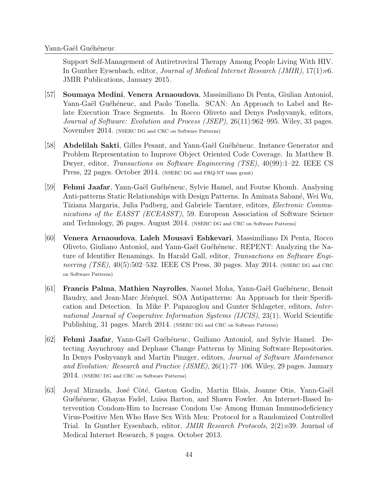Support Self-Management of Antiretroviral Therapy Among People Living With HIV. In Gunther Eysenbach, editor, Journal of Medical Internet Research (JMIR), 17(1):e6. JMIR Publications, January 2015.

- [57] Soumaya Medini, Venera Arnaoudova, Massimiliano Di Penta, Giulian Antoniol, Yann-Gaël Guéhéneuc, and Paolo Tonella. SCAN: An Approach to Label and Relate Execution Trace Segments. In Rocco Oliveto and Denys Poshyvanyk, editors, Journal of Software: Evolution and Process (JSEP), 26(11):962–995. Wiley, 33 pages. November 2014. (NSERC DG and CRC on Software Patterns)
- [58] **Abdelilah Sakti**, Gilles Pesant, and Yann-Gaël Guéhéneuc. Instance Generator and Problem Representation to Improve Object Oriented Code Coverage. In Matthew B. Dwyer, editor, Transactions on Software Engineering (TSE), 40(99):1–22. IEEE CS Press, 22 pages. October 2014. (NSERC DG and FRQ-NT team grant)
- [59] Fehmi Jaafar, Yann-Ga¨el Gu´eh´eneuc, Sylvie Hamel, and Foutse Khomh. Analysing Anti-patterns Static Relationships with Design Patterns. In Aminata Sabané, Wei Wu, Tiziana Margaria, Julia Padberg, and Gabriele Taentzer, editors, Electronic Communications of the EASST (ECEASST), 59. European Association of Software Science and Technology, 26 pages. August 2014. (NSERC DG and CRC on Software Patterns)
- [60] Venera Arnaoudova, Laleh Mousavi Eshkevari, Massimiliano Di Penta, Rocco Oliveto, Giuliano Antoniol, and Yann-Gaël Guéhéneuc. REPENT: Analyzing the Nature of Identifier Renamings. In Harald Gall, editor, Transactions on Software Engineering  $(TSE)$ , 40(5):502–532. IEEE CS Press, 30 pages. May 2014. (NSERC DG and CRC on Software Patterns)
- [61] **Francis Palma, Mathieu Nayrolles,** Naouel Moha, Yann-Gaël Guéhéneuc, Benoit Baudry, and Jean-Marc Jézéquel. SOA Antipatterns: An Approach for their Specification and Detection. In Mike P. Papazoglou and Gunter Schlageter, editors, International Journal of Cooperative Information Systems (IJCIS), 23(1). World Scientific Publishing, 31 pages. March 2014. (NSERC DG and CRC on Software Patterns)
- [62] **Fehmi Jaafar**, Yann-Gaël Guéhéneuc, Guiliano Antoniol, and Sylvie Hamel. Detecting Asynchrony and Dephase Change Patterns by Mining Software Repositories. In Denys Poshyvanyk and Martin Pinzger, editors, Journal of Software Maintenance and Evolution: Research and Practice (JSME), 26(1):77–106. Wiley, 29 pages. January 2014. (NSERC DG and CRC on Software Patterns)
- [63] Joyal Miranda, José Côté, Gaston Godin, Martin Blais, Joanne Otis, Yann-Gaël Guéhéneuc, Ghayas Fadel, Luisa Barton, and Shawn Fowler. An Internet-Based Intervention Condom-Him to Increase Condom Use Among Human Immunodeficiency Virus-Positive Men Who Have Sex With Men: Protocol for a Randomized Controlled Trial. In Gunther Eysenbach, editor, JMIR Research Protocols, 2(2):e39. Journal of Medical Internet Research, 8 pages. October 2013.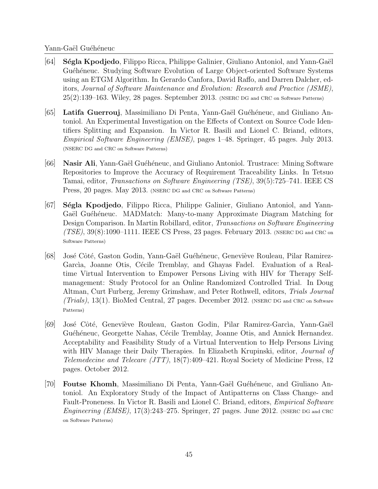- [64] S´egla Kpodjedo, Filippo Ricca, Philippe Galinier, Giuliano Antoniol, and Yann-Ga¨el Guéhéneuc. Studying Software Evolution of Large Object-oriented Software Systems using an ETGM Algorithm. In Gerardo Canfora, David Raffo, and Darren Dalcher, editors, Journal of Software Maintenance and Evolution: Research and Practice (JSME), 25(2):139–163. Wiley, 28 pages. September 2013. (NSERC DG and CRC on Software Patterns)
- [65] Latifa Guerrouj, Massimiliano Di Penta, Yann-Gaël Guéhéneuc, and Giuliano Antoniol. An Experimental Investigation on the Effects of Context on Source Code Identifiers Splitting and Expansion. In Victor R. Basili and Lionel C. Briand, editors, Empirical Software Engineering (EMSE), pages 1–48. Springer, 45 pages. July 2013. (NSERC DG and CRC on Software Patterns)
- [66] Nasir Ali, Yann-Gaël Guéhéneuc, and Giuliano Antoniol. Trustrace: Mining Software Repositories to Improve the Accuracy of Requirement Traceability Links. In Tetsuo Tamai, editor, Transactions on Software Engineering (TSE), 39(5):725–741. IEEE CS Press, 20 pages. May 2013. (NSERC DG and CRC on Software Patterns)
- [67] Ségla Kpodjedo, Filippo Ricca, Philippe Galinier, Giuliano Antoniol, and Yann-Gaël Guéhéneuc. MADMatch: Many-to-many Approximate Diagram Matching for Design Comparison. In Martin Robillard, editor, Transactions on Software Engineering  $(TSE)$ ,  $39(8)$ :1090–1111. IEEE CS Press, 23 pages. February 2013. (NSERC DG and CRC on Software Patterns)
- [68] José Côté, Gaston Godin, Yann-Gaël Guéhéneuc, Geneviève Rouleau, Pilar Ramirez-García, Joanne Otis, Cécile Tremblay, and Ghayas Fadel. Evaluation of a Realtime Virtual Intervention to Empower Persons Living with HIV for Therapy Selfmanagement: Study Protocol for an Online Randomized Controlled Trial. In Doug Altman, Curt Furberg, Jeremy Grimshaw, and Peter Rothwell, editors, Trials Journal (Trials), 13(1). BioMed Central, 27 pages. December 2012. (NSERC DG and CRC on Software Patterns)
- [69] Jos´e Cˆot´e, Genevi`eve Rouleau, Gaston Godin, Pilar Ramirez-Garc`ıa, Yann-Ga¨el Guéhéneuc, Georgette Nahas, Cécile Tremblay, Joanne Otis, and Annick Hernandez. Acceptability and Feasibility Study of a Virtual Intervention to Help Persons Living with HIV Manage their Daily Therapies. In Elizabeth Krupinski, editor, *Journal of* Telemedecine and Telecare (JTT), 18(7):409–421. Royal Society of Medicine Press, 12 pages. October 2012.
- [70] **Foutse Khomh**, Massimiliano Di Penta, Yann-Gaël Guéhéneuc, and Giuliano Antoniol. An Exploratory Study of the Impact of Antipatterns on Class Change- and Fault-Proneness. In Victor R. Basili and Lionel C. Briand, editors, *Empirical Software* Engineering (EMSE),  $17(3):243-275$ . Springer, 27 pages. June 2012. (NSERC DG and CRC) on Software Patterns)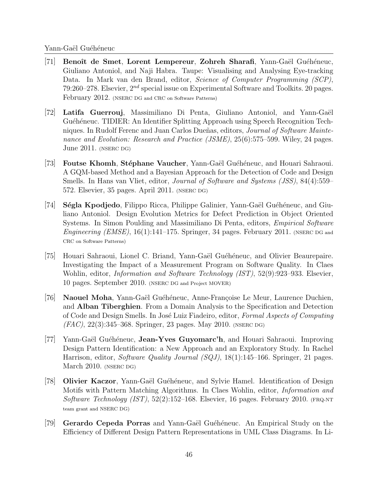- [71] Benoît de Smet, Lorent Lempereur, Zohreh Sharafi, Yann-Gaël Guéhéneuc, Giuliano Antoniol, and Naji Habra. Taupe: Visualising and Analysing Eye-tracking Data. In Mark van den Brand, editor, Science of Computer Programming (SCP), 79:260–278. Elsevier,  $2^{nd}$  special issue on Experimental Software and Toolkits. 20 pages. February 2012. (NSERC DG and CRC on Software Patterns)
- [72] Latifa Guerrouj, Massimiliano Di Penta, Giuliano Antoniol, and Yann-Gaël Guéhéneuc. TIDIER: An Identifier Splitting Approach using Speech Recognition Techniques. In Rudolf Ferenc and Juan Carlos Dueñas, editors, *Journal of Software Mainte*nance and Evolution: Research and Practice (JSME), 25(6):575–599. Wiley, 24 pages. June 2011. (NSERC DG)
- [73] Foutse Khomh, Stéphane Vaucher, Yann-Gaël Guéhéneuc, and Houari Sahraoui. A GQM-based Method and a Bayesian Approach for the Detection of Code and Design Smells. In Hans van Vliet, editor, Journal of Software and Systems (JSS), 84(4):559– 572. Elsevier, 35 pages. April 2011. (NSERC DG)
- [74] Ségla Kpodjedo, Filippo Ricca, Philippe Galinier, Yann-Gaël Guéhéneuc, and Giuliano Antoniol. Design Evolution Metrics for Defect Prediction in Object Oriented Systems. In Simon Poulding and Massimiliano Di Penta, editors, *Empirical Software* Engineering (EMSE),  $16(1)$ :141–175. Springer, 34 pages. February 2011. (NSERC DG and CRC on Software Patterns)
- [75] Houari Sahraoui, Lionel C. Briand, Yann-Gaël Guéhéneuc, and Olivier Beaurepaire. Investigating the Impact of a Measurement Program on Software Quality. In Claes Wohlin, editor, *Information and Software Technology (IST)*, 52(9):923–933. Elsevier, 10 pages. September 2010. (NSERC DG and Project MOVER)
- [76] Naouel Moha, Yann-Gaël Guéhéneuc, Anne-Françoise Le Meur, Laurence Duchien, and Alban Tiberghien. From a Domain Analysis to the Specification and Detection of Code and Design Smells. In José Luiz Fiadeiro, editor, Formal Aspects of Computing  $(FAC)$ , 22(3):345–368. Springer, 23 pages. May 2010. (NSERC DG)
- [77] Yann-Ga¨el Gu´eh´eneuc, Jean-Yves Guyomarc'h, and Houari Sahraoui. Improving Design Pattern Identification: a New Approach and an Exploratory Study. In Rachel Harrison, editor, *Software Quality Journal (SQJ)*,  $18(1)$ :145–166. Springer, 21 pages. March 2010. (NSERC DG)
- [78] Olivier Kaczor, Yann-Gaël Guéhéneuc, and Sylvie Hamel. Identification of Design Motifs with Pattern Matching Algorithms. In Claes Wohlin, editor, Information and Software Technology (IST), 52(2):152–168. Elsevier, 16 pages. February 2010. (FRQ-NT team grant and NSERC DG)
- [79] Gerardo Cepeda Porras and Yann-Gaël Guéhéneuc. An Empirical Study on the Efficiency of Different Design Pattern Representations in UML Class Diagrams. In Li-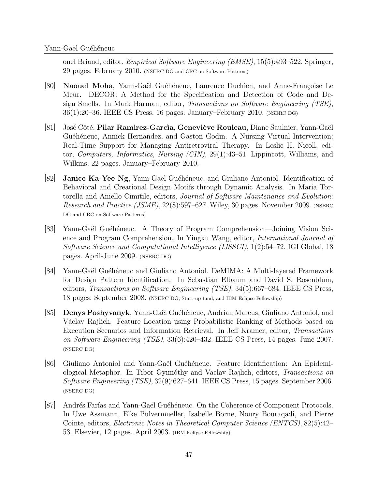onel Briand, editor, Empirical Software Engineering (EMSE), 15(5):493–522. Springer, 29 pages. February 2010. (NSERC DG and CRC on Software Patterns)

- [80] Naouel Moha, Yann-Gaël Guéhéneuc, Laurence Duchien, and Anne-Françoise Le Meur. DECOR: A Method for the Specification and Detection of Code and Design Smells. In Mark Harman, editor, Transactions on Software Engineering (TSE), 36(1):20–36. IEEE CS Press, 16 pages. January–February 2010. (NSERC DG)
- [81] José Côté, Pilar Ramirez-García, Geneviève Rouleau, Diane Saulnier, Yann-Gaël Guéhéneuc, Annick Hernandez, and Gaston Godin. A Nursing Virtual Intervention: Real-Time Support for Managing Antiretroviral Therapy. In Leslie H. Nicoll, editor, Computers, Informatics, Nursing (CIN), 29(1):43–51. Lippincott, Williams, and Wilkins, 22 pages. January–February 2010.
- [82] **Janice Ka-Yee Ng**, Yann-Gaël Guéhéneuc, and Giuliano Antoniol. Identification of Behavioral and Creational Design Motifs through Dynamic Analysis. In Maria Tortorella and Aniello Cimitile, editors, Journal of Software Maintenance and Evolution: Research and Practice (JSME), 22(8):597–627. Wiley, 30 pages. November 2009. (NSERC) DG and CRC on Software Patterns)
- [83] Yann-Gaël Guéhéneuc. A Theory of Program Comprehension—Joining Vision Science and Program Comprehension. In Yingxu Wang, editor, International Journal of Software Science and Computational Intelligence (IJSSCI), 1(2):54–72. IGI Global, 18 pages. April-June 2009. (NSERC DG)
- [84] Yann-Gaël Guéhéneuc and Giuliano Antoniol. DeMIMA: A Multi-layered Framework for Design Pattern Identification. In Sebastian Elbaum and David S. Rosenblum, editors, Transactions on Software Engineering (TSE), 34(5):667–684. IEEE CS Press, 18 pages. September 2008. (NSERC DG, Start-up fund, and IBM Eclipse Fellowship)
- [85] **Denys Poshyvanyk**, Yann-Gaël Guéhéneuc, Andrian Marcus, Giuliano Antoniol, and Václav Rajlich. Feature Location using Probabilistic Ranking of Methods based on Execution Scenarios and Information Retrieval. In Jeff Kramer, editor, Transactions on Software Engineering (TSE), 33(6):420–432. IEEE CS Press, 14 pages. June 2007. (NSERC DG)
- [86] Giuliano Antoniol and Yann-Gaël Guéhéneuc. Feature Identification: An Epidemiological Metaphor. In Tibor Gyim´othy and Vaclav Rajlich, editors, Transactions on Software Engineering (TSE), 32(9):627–641. IEEE CS Press, 15 pages. September 2006. (NSERC DG)
- [87] Andrés Farías and Yann-Gaël Guéhéneuc. On the Coherence of Component Protocols. In Uwe Assmann, Elke Pulvermueller, Isabelle Borne, Noury Bouraqadi, and Pierre Cointe, editors, Electronic Notes in Theoretical Computer Science (ENTCS), 82(5):42– 53. Elsevier, 12 pages. April 2003. (IBM Eclipse Fellowship)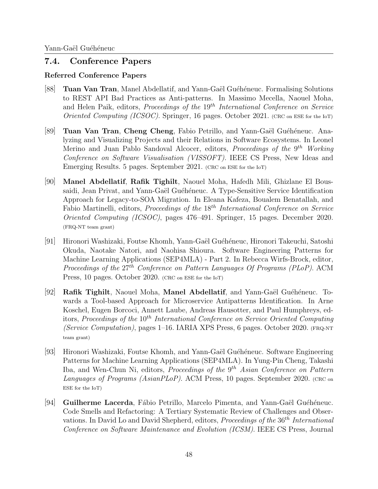## 7.4. Conference Papers

## Referred Conference Papers

- [88] **Tuan Van Tran**, Manel Abdellatif, and Yann-Gaël Guéhéneuc. Formalising Solutions to REST API Bad Practices as Anti-patterns. In Massimo Mecella, Naouel Moha, and Helen Paik, editors, *Proceedings of the* 19<sup>th</sup> International Conference on Service Oriented Computing (ICSOC). Springer, 16 pages. October 2021. (CRC on ESE for the IoT)
- [89] Tuan Van Tran, Cheng Cheng, Fabio Petrillo, and Yann-Gaël Guéhéneuc. Analyzing and Visualizing Projects and their Relations in Software Ecosystems. In Leonel Merino and Juan Pablo Sandoval Alcocer, editors, *Proceedings of the* 9<sup>th</sup> Working Conference on Software Visualisation (VISSOFT). IEEE CS Press, New Ideas and Emerging Results. 5 pages. September 2021. (CRC on ESE for the IoT)
- [90] Manel Abdellatif, Rafik Tighilt, Naouel Moha, Hafedh Mili, Ghizlane El Boussaidi, Jean Privat, and Yann-Gaël Guéhéneuc. A Type-Sensitive Service Identification Approach for Legacy-to-SOA Migration. In Eleana Kafeza, Boualem Benatallah, and Fabio Martinelli, editors, *Proceedings of the*  $18<sup>th</sup> International Conference on Service$ Oriented Computing (ICSOC), pages 476–491. Springer, 15 pages. December 2020. (FRQ-NT team grant)
- [91] Hironori Washizaki, Foutse Khomh, Yann-Gaël Guéhéneuc, Hironori Takeuchi, Satoshi Okuda, Naotake Natori, and Naohisa Shioura. Software Engineering Patterns for Machine Learning Applications (SEP4MLA) - Part 2. In Rebecca Wirfs-Brock, editor, Proceedings of the 27<sup>th</sup> Conference on Pattern Languages Of Programs (PLoP). ACM Press, 10 pages. October 2020. (CRC on ESE for the IoT)
- [92] Rafik Tighilt, Naouel Moha, Manel Abdellatif, and Yann-Gaël Guéhéneuc. Towards a Tool-based Approach for Microservice Antipatterns Identification. In Arne Koschel, Eugen Borcoci, Annett Laube, Andreas Hausotter, and Paul Humphreys, editors, Proceedings of the  $10^{th}$  International Conference on Service Oriented Computing (Service Computation), pages 1–16. IARIA XPS Press, 6 pages. October 2020. (FRQ-NT team grant)
- [93] Hironori Washizaki, Foutse Khomh, and Yann-Gaël Guéhéneuc. Software Engineering Patterns for Machine Learning Applications (SEP4MLA). In Yung-Pin Cheng, Takashi Iba, and Wen-Chun Ni, editors, Proceedings of the  $9<sup>th</sup> Asian Conference on Pattern$ Languages of Programs (AsianPLoP). ACM Press, 10 pages. September 2020. (CRC on ESE for the IoT)
- $[94]$  Guilherme Lacerda, Fábio Petrillo, Marcelo Pimenta, and Yann-Gaël Guéhéneuc. Code Smells and Refactoring: A Tertiary Systematic Review of Challenges and Observations. In David Lo and David Shepherd, editors, Proceedings of the  $36<sup>th</sup> International$ Conference on Software Maintenance and Evolution (ICSM). IEEE CS Press, Journal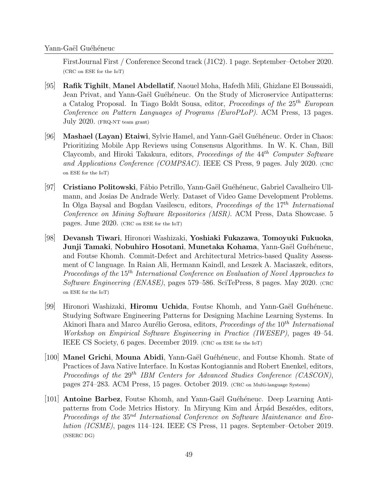FirstJournal First / Conference Second track (J1C2). 1 page. September–October 2020. (CRC on ESE for the IoT)

- [95] Rafik Tighilt, Manel Abdellatif, Naouel Moha, Hafedh Mili, Ghizlane El Boussaidi, Jean Privat, and Yann-Gaël Guéhéneuc. On the Study of Microservice Antipatterns: a Catalog Proposal. In Tiago Boldt Sousa, editor, *Proceedings of the*  $25<sup>th</sup>$  *European* Conference on Pattern Languages of Programs (EuroPLoP). ACM Press, 13 pages. July 2020. (FRQ-NT team grant)
- [96] Mashael (Layan) Etaiwi, Sylvie Hamel, and Yann-Gaël Guéhéneuc. Order in Chaos: Prioritizing Mobile App Reviews using Consensus Algorithms. In W. K. Chan, Bill Claycomb, and Hiroki Takakura, editors, *Proceedings of the 44<sup>th</sup>* Computer Software and Applications Conference (COMPSAC). IEEE CS Press, 9 pages. July 2020. (CRC on ESE for the IoT)
- <sup>[97]</sup> Cristiano Politowski, Fábio Petrillo, Yann-Gaël Guéhéneuc, Gabriel Cavalheiro Ullmann, and Josias De Andrade Werly. Dataset of Video Game Development Problems. In Olga Baysal and Bogdan Vasilescu, editors, *Proceedings of the*  $17<sup>th</sup> International$ Conference on Mining Software Repositories (MSR). ACM Press, Data Showcase. 5 pages. June 2020. (CRC on ESE for the IoT)
- [98] Devansh Tiwari, Hironori Washizaki, Yoshiaki Fukazawa, Tomoyuki Fukuoka, Junji Tamaki, Nobuhiro Hosotani, Munetaka Kohama, Yann-Gaël Guéhéneuc, and Foutse Khomh. Commit-Defect and Architectural Metrics-based Quality Assessment of C language. In Raian Ali, Hermann Kaindl, and Leszek A. Maciaszek, editors, Proceedings of the 15<sup>th</sup> International Conference on Evaluation of Novel Approaches to Software Engineering (ENASE), pages 579–586. SciTePress, 8 pages. May 2020. (CRC on ESE for the IoT)
- [99] Hironori Washizaki, **Hiromu Uchida**, Foutse Khomh, and Yann-Gaël Guéhéneuc. Studying Software Engineering Patterns for Designing Machine Learning Systems. In Akinori Ihara and Marco Aurélio Gerosa, editors, Proceedings of the 10<sup>th</sup> International Workshop on Empirical Software Engineering in Practice (IWESEP), pages 49–54. IEEE CS Society, 6 pages. December 2019. (CRC on ESE for the IoT)
- [100] Manel Grichi, Mouna Abidi, Yann-Gaël Guéhéneuc, and Foutse Khomh. State of Practices of Java Native Interface. In Kostas Kontogiannis and Robert Enenkel, editors, Proceedings of the  $29^{th}$  IBM Centers for Advanced Studies Conference (CASCON), pages 274–283. ACM Press, 15 pages. October 2019. (CRC on Multi-language Systems)
- [101] **Antoine Barbez**, Foutse Khomh, and Yann-Gaël Guéhéneuc. Deep Learning Antipatterns from Code Metrics History. In Miryung Kim and Árpád Beszédes, editors, Proceedings of the 35<sup>nd</sup> International Conference on Software Maintenance and Evolution (ICSME), pages 114–124. IEEE CS Press, 11 pages. September–October 2019. (NSERC DG)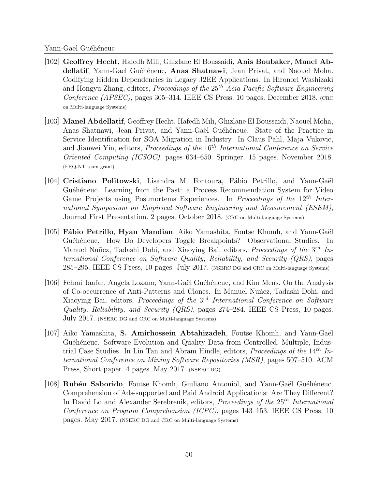- [102] Geoffrey Hecht, Hafedh Mili, Ghizlane El Boussaidi, Anis Boubaker, Manel Abdellatif, Yann-Gael Guéhéneuc, Anas Shatnawi, Jean Privat, and Naouel Moha. Codifying Hidden Dependencies in Legacy J2EE Applications. In Hironori Washizaki and Hongyu Zhang, editors, *Proceedings of the*  $25<sup>th</sup> Asia-Pacific Software Engineering$ Conference (APSEC), pages 305–314. IEEE CS Press, 10 pages. December 2018. (CRC on Multi-language Systems)
- [103] Manel Abdellatif, Geoffrey Hecht, Hafedh Mili, Ghizlane El Boussaidi, Naouel Moha, Anas Shatnawi, Jean Privat, and Yann-Gaël Guéhéneuc. State of the Practice in Service Identification for SOA Migration in Industry. In Claus Pahl, Maja Vukovic, and Jianwei Yin, editors, Proceedings of the 16<sup>th</sup> International Conference on Service Oriented Computing (ICSOC), pages 634–650. Springer, 15 pages. November 2018. (FRQ-NT team grant)
- [104] Cristiano Politowski, Lisandra M. Fontoura, Fábio Petrillo, and Yann-Gaël Guéhéneuc. Learning from the Past: a Process Recommendation System for Video Game Projects using Postmortems Experiences. In Proceedings of the 12<sup>th</sup> International Symposium on Empirical Software Engineering and Measurement (ESEM), Journal First Presentation. 2 pages. October 2018. (CRC on Multi-language Systems)
- [105] Fábio Petrillo, Hyan Mandian, Aiko Yamashita, Foutse Khomh, and Yann-Gaël Guéhéneuc. How Do Developers Toggle Breakpoints? Observational Studies. In Manuel Nuñez, Tadashi Dohi, and Xiaoying Bai, editors, *Proceedings of the* 3<sup>rd</sup> International Conference on Software Quality, Reliability, and Security (QRS), pages 285–295. IEEE CS Press, 10 pages. July 2017. (NSERC DG and CRC on Multi-language Systems)
- [106] Fehmi Jaafar, Angela Lozano, Yann-Ga¨el Gu´eh´eneuc, and Kim Mens. On the Analysis of Co-occurrence of Anti-Patterns and Clones. In Manuel Nuñez, Tadashi Dohi, and Xiaoying Bai, editors, *Proceedings of the 3<sup>rd</sup> International Conference on Software* Quality, Reliability, and Security (QRS), pages 274–284. IEEE CS Press, 10 pages. July 2017. (NSERC DG and CRC on Multi-language Systems)
- $|107|$  Aiko Yamashita, S. Amirhossein Abtahizadeh, Foutse Khomh, and Yann-Gaël Guéhéneuc. Software Evolution and Quality Data from Controlled, Multiple, Industrial Case Studies. In Lin Tan and Abram Hindle, editors, *Proceedings of the*  $14<sup>th</sup>$  International Conference on Mining Software Repositories (MSR), pages 507–510. ACM Press, Short paper. 4 pages. May 2017. (NSERC DG)
- [108] Rubén Saborido, Foutse Khomh, Giuliano Antoniol, and Yann-Gaël Guéhéneuc. Comprehension of Ads-supported and Paid Android Applications: Are They Different? In David Lo and Alexander Serebrenik, editors, Proceedings of the  $25<sup>th</sup> International$ Conference on Program Comprehension (ICPC), pages 143–153. IEEE CS Press, 10 pages. May 2017. (NSERC DG and CRC on Multi-language Systems)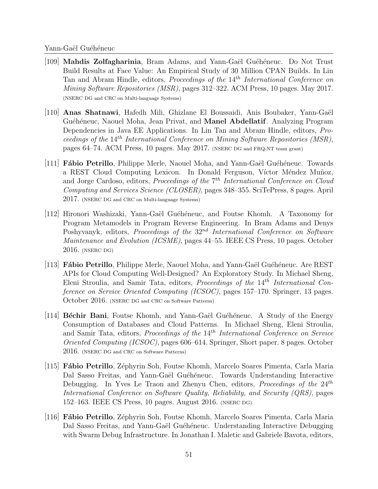- [109] Mahdis Zolfagharinia, Bram Adams, and Yann-Gaël Guéhéneuc. Do Not Trust Build Results at Face Value: An Empirical Study of 30 Million CPAN Builds. In Lin Tan and Abram Hindle, editors, *Proceedings of the* 14<sup>th</sup> International Conference on Mining Software Repositories (MSR), pages 312–322. ACM Press, 10 pages. May 2017. (NSERC DG and CRC on Multi-language Systems)
- [110] Anas Shatnawi, Hafedh Mili, Ghizlane El Boussaidi, Anis Boubaker, Yann-Ga¨el Guéhéneuc, Naouel Moha, Jean Privat, and **Manel Abdellatif**. Analyzing Program Dependencies in Java EE Applications. In Lin Tan and Abram Hindle, editors, Proceedings of the  $14^{th}$  International Conference on Mining Software Repositories (MSR), pages 64–74. ACM Press, 10 pages. May 2017. (NSERC DG and FRQ-NT team grant)
- $[111]$  Fábio Petrillo, Philippe Merle, Naouel Moha, and Yann-Gaël Guéhéneuc. Towards a REST Cloud Computing Lexicon. In Donald Ferguson, Víctor Méndez Muñoz, and Jorge Cardoso, editors, *Proceedings of the* 7<sup>th</sup> International Conference on Cloud Computing and Services Science (CLOSER), pages 348–355. SciTePress, 8 pages. April 2017. (NSERC DG and CRC on Multi-language Systems)
- [112] Hironori Washizaki, Yann-Gaël Guéhéneuc, and Foutse Khomh. A Taxonomy for Program Metamodels in Program Reverse Engineering. In Bram Adams and Denys Poshyvanyk, editors, *Proceedings of the*  $32<sup>nd</sup> International Conference on Software$ Maintenance and Evolution (ICSME), pages 44–55. IEEE CS Press, 10 pages. October 2016. (NSERC DG)
- [113] Fábio Petrillo, Philippe Merle, Naouel Moha, and Yann-Gaël Guéhéneuc. Are REST APIs for Cloud Computing Well-Designed? An Exploratory Study. In Michael Sheng, Eleni Stroulia, and Samir Tata, editors, *Proceedings of the*  $14<sup>th</sup> International Con$ ference on Service Oriented Computing (ICSOC), pages 157–170. Springer, 13 pages. October 2016. (NSERC DG and CRC on Software Patterns)
- [114] Béchir Bani, Foutse Khomh, and Yann-Gaël Guéhéneuc. A Study of the Energy Consumption of Databases and Cloud Patterns. In Michael Sheng, Eleni Stroulia, and Samir Tata, editors, *Proceedings of the*  $14<sup>th</sup> International Conference on Service$ Oriented Computing (ICSOC), pages 606–614. Springer, Short paper. 8 pages. October 2016. (NSERC DG and CRC on Software Patterns)
- [115] F´abio Petrillo, Z´ephyrin Soh, Foutse Khomh, Marcelo Soares Pimenta, Carla Maria Dal Sasso Freitas, and Yann-Gaël Guéhéneuc. Towards Understanding Interactive Debugging. In Yves Le Traon and Zhenyu Chen, editors, *Proceedings of the*  $24<sup>th</sup>$ International Conference on Software Quality, Reliability, and Security (QRS), pages 152–163. IEEE CS Press, 10 pages. August 2016. (NSERC DG)
- [116] F´abio Petrillo, Z´ephyrin Soh, Foutse Khomh, Marcelo Soares Pimenta, Carla Maria Dal Sasso Freitas, and Yann-Gaël Guéhéneuc. Understanding Interactive Debugging with Swarm Debug Infrastructure. In Jonathan I. Maletic and Gabriele Bavota, editors,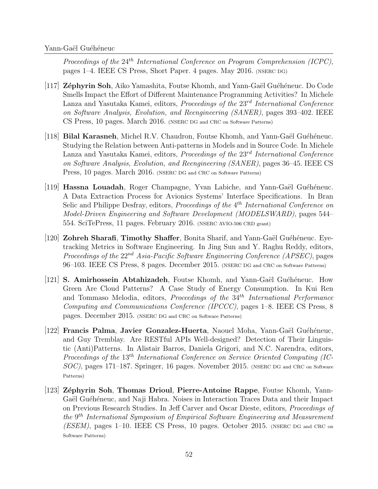Proceedings of the  $24^{th}$  International Conference on Program Comprehension (ICPC), pages 1–4. IEEE CS Press, Short Paper. 4 pages. May 2016. (NSERC DG)

- $[117]$  Zéphyrin Soh, Aiko Yamashita, Foutse Khomh, and Yann-Gaël Guéhéneuc. Do Code Smells Impact the Effort of Different Maintenance Programming Activities? In Michele Lanza and Yasutaka Kamei, editors, *Proceedings of the*  $23<sup>rd</sup> International Conference$ on Software Analysis, Evolution, and Reengineering (SANER), pages 393–402. IEEE CS Press, 10 pages. March 2016. (NSERC DG and CRC on Software Patterns)
- [118] Bilal Karasneh, Michel R.V. Chaudron, Foutse Khomh, and Yann-Gaël Guéhéneuc. Studying the Relation between Anti-patterns in Models and in Source Code. In Michele Lanza and Yasutaka Kamei, editors, Proceedings of the  $23^{rd}$  International Conference on Software Analysis, Evolution, and Reengineering (SANER), pages 36–45. IEEE CS Press, 10 pages. March 2016. (NSERC DG and CRC on Software Patterns)
- $[119]$  Hassna Louadah, Roger Champagne, Yvan Labiche, and Yann-Gaël Guéhéneuc. A Data Extraction Process for Avionics Systems' Interface Specifications. In Bran Selic and Philippe Desfray, editors, *Proceedings of the* 4<sup>th</sup> International Conference on Model-Driven Engineering and Software Development (MODELSWARD), pages 544– 554. SciTePress, 11 pages. February 2016. (NSERC AVIO-506 CRD grant)
- [120] Zohreh Sharafi, Timothy Shaffer, Bonita Sharif, and Yann-Gaël Guéhéneuc. Eyetracking Metrics in Software Engineering. In Jing Sun and Y. Raghu Reddy, editors, Proceedings of the  $22^{nd}$  Asia-Pacific Software Engineering Conference (APSEC), pages 96–103. IEEE CS Press, 8 pages. December 2015. (NSERC DG and CRC on Software Patterns)
- $[121]$  S. Amirhossein Abtahizadeh, Foutse Khomh, and Yann-Gaël Guéhéneuc. How Green Are Cloud Patterns? A Case Study of Energy Consumption. In Kui Ren and Tommaso Melodia, editors, *Proceedings of the*  $34<sup>th</sup> International Performance$ Computing and Communications Conference (IPCCC), pages 1–8. IEEE CS Press, 8 pages. December 2015. (NSERC DG and CRC on Software Patterns)
- [122] Francis Palma, Javier Gonzalez-Huerta, Naouel Moha, Yann-Gaël Guéhéneuc, and Guy Tremblay. Are RESTful APIs Well-designed? Detection of Their Linguistic (Anti)Patterns. In Alistair Barros, Daniela Grigori, and N.C. Narendra, editors, Proceedings of the 13th International Conference on Service Oriented Computing (IC-SOC), pages 171–187. Springer, 16 pages. November 2015. (NSERC DG and CRC on Software Patterns)
- [123] Zéphyrin Soh, Thomas Drioul, Pierre-Antoine Rappe, Foutse Khomh, Yann-Gaël Guéhéneuc, and Naji Habra. Noises in Interaction Traces Data and their Impact on Previous Research Studies. In Jeff Carver and Oscar Dieste, editors, Proceedings of the 9 th International Symposium of Empirical Software Engineering and Measurement (ESEM), pages 1–10. IEEE CS Press, 10 pages. October 2015. (NSERC DG and CRC on Software Patterns)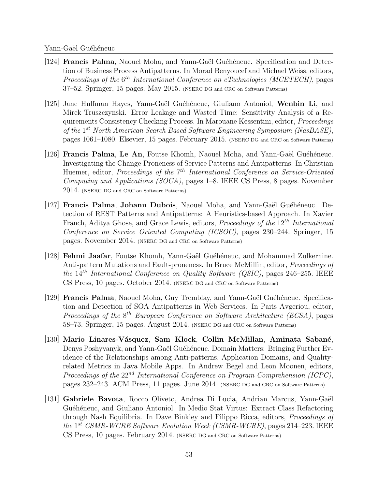- $[124]$  Francis Palma, Naouel Moha, and Yann-Gaël Guéhéneuc. Specification and Detection of Business Process Antipatterns. In Morad Benyoucef and Michael Weiss, editors, Proceedings of the  $6^{th}$  International Conference on eTechnologies (MCETECH), pages 37–52. Springer, 15 pages. May 2015. (NSERC DG and CRC on Software Patterns)
- [125] Jane Huffman Hayes, Yann-Gaël Guéhéneuc, Giuliano Antoniol, Wenbin Li, and Mirek Truszczynski. Error Leakage and Wasted Time: Sensitivity Analysis of a Requirements Consistency Checking Process. In Marouane Kessentini, editor, Proceedings of the 1<sup>st</sup> North American Search Based Software Engineering Symposium (NasBASE), pages 1061–1080. Elsevier, 15 pages. February 2015. (NSERC DG and CRC on Software Patterns)
- [126] **Francis Palma, Le An,** Foutse Khomh, Naouel Moha, and Yann-Gaël Guéhéneuc. Investigating the Change-Proneness of Service Patterns and Antipatterns. In Christian Huemer, editor, Proceedings of the 7<sup>th</sup> International Conference on Service-Oriented Computing and Applications (SOCA), pages 1–8. IEEE CS Press, 8 pages. November 2014. (NSERC DG and CRC on Software Patterns)
- $[127]$  Francis Palma, Johann Dubois, Naouel Moha, and Yann-Gaël Guéhéneuc. Detection of REST Patterns and Antipatterns: A Heuristics-based Approach. In Xavier Franch, Aditya Ghose, and Grace Lewis, editors, Proceedings of the  $12^{th}$  International Conference on Service Oriented Computing (ICSOC), pages 230–244. Springer, 15 pages. November 2014. (NSERC DG and CRC on Software Patterns)
- [128] **Fehmi Jaafar**, Foutse Khomh, Yann-Gaël Guéhéneuc, and Mohammad Zulkernine. Anti-pattern Mutations and Fault-proneness. In Bruce McMillin, editor, Proceedings of the  $14^{th}$  International Conference on Quality Software (QSIC), pages 246–255. IEEE CS Press, 10 pages. October 2014. (NSERC DG and CRC on Software Patterns)
- [129] **Francis Palma**, Naouel Moha, Guy Tremblay, and Yann-Gaël Guéhéneuc. Specification and Detection of SOA Antipatterns in Web Services. In Paris Avgeriou, editor, Proceedings of the  $8^{th}$  European Conference on Software Architecture (ECSA), pages 58–73. Springer, 15 pages. August 2014. (NSERC DG and CRC on Software Patterns)
- $[130]$  Mario Linares-Vásquez, Sam Klock, Collin McMillan, Aminata Sabané, Denys Poshyvanyk, and Yann-Gaël Guéhéneuc. Domain Matters: Bringing Further Evidence of the Relationships among Anti-patterns, Application Domains, and Qualityrelated Metrics in Java Mobile Apps. In Andrew Begel and Leon Moonen, editors, Proceedings of the  $22^{nd}$  International Conference on Program Comprehension (ICPC), pages 232–243. ACM Press, 11 pages. June 2014. (NSERC DG and CRC on Software Patterns)
- [131] Gabriele Bavota, Rocco Oliveto, Andrea Di Lucia, Andrian Marcus, Yann-Gaël Guéhéneuc, and Giuliano Antoniol. In Medio Stat Virtus: Extract Class Refactoring through Nash Equilibria. In Dave Binkley and Filippo Ricca, editors, Proceedings of the 1<sup>st</sup> CSMR-WCRE Software Evolution Week (CSMR-WCRE), pages 214–223. IEEE CS Press, 10 pages. February 2014. (NSERC DG and CRC on Software Patterns)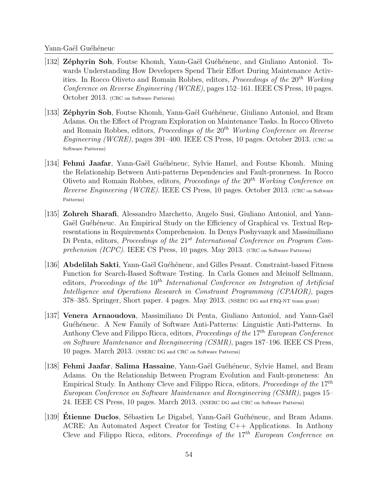- [132] Zéphyrin Soh, Foutse Khomh, Yann-Gaël Guéhéneuc, and Giuliano Antoniol. Towards Understanding How Developers Spend Their Effort During Maintenance Activities. In Rocco Oliveto and Romain Robbes, editors, *Proceedings of the* 20<sup>th</sup> Working Conference on Reverse Engineering (WCRE), pages 152–161. IEEE CS Press, 10 pages. October 2013. (CRC on Software Patterns)
- [133] Zéphyrin Soh, Foutse Khomh, Yann-Gaël Guéhéneuc, Giuliano Antoniol, and Bram Adams. On the Effect of Program Exploration on Maintenance Tasks. In Rocco Oliveto and Romain Robbes, editors, Proceedings of the  $20<sup>th</sup>$  Working Conference on Reverse Engineering (WCRE), pages 391–400. IEEE CS Press, 10 pages. October 2013. (CRC on Software Patterns)
- [134] **Fehmi Jaafar**, Yann-Gaël Guéhéneuc, Sylvie Hamel, and Foutse Khomh. Mining the Relationship Between Anti-patterns Dependencies and Fault-proneness. In Rocco Oliveto and Romain Robbes, editors, *Proceedings of the*  $20<sup>th</sup>$  Working Conference on Reverse Engineering (WCRE). IEEE CS Press, 10 pages. October 2013. (CRC on Software Patterns)
- [135] Zohreh Sharafi, Alessandro Marchetto, Angelo Susi, Giuliano Antoniol, and Yann-Gaël Guéhéneuc. An Empirical Study on the Efficiency of Graphical vs. Textual Representations in Requirements Comprehension. In Denys Poshyvanyk and Massimiliano Di Penta, editors, Proceedings of the  $21^{st}$  International Conference on Program Comprehension (ICPC). IEEE CS Press, 10 pages. May 2013. (CRC on Software Patterns)
- [136] Abdelilah Sakti, Yann-Gaël Guéhéneuc, and Gilles Pesant. Constraint-based Fitness Function for Search-Based Software Testing. In Carla Gomes and Meinolf Sellmann, editors, Proceedings of the  $10^{th}$  International Conference on Integration of Artificial Intelligence and Operations Research in Constraint Programming (CPAIOR), pages 378–385. Springer, Short paper. 4 pages. May 2013. (NSERC DG and FRQ-NT team grant)
- [137] Venera Arnaoudova, Massimiliano Di Penta, Giuliano Antoniol, and Yann-Gaël Guéhéneuc. A New Family of Software Anti-Patterns: Linguistic Anti-Patterns. In Anthony Cleve and Filippo Ricca, editors, *Proceedings of the*  $17<sup>th</sup> European Conference$ on Software Maintenance and Reengineering (CSMR), pages 187–196. IEEE CS Press, 10 pages. March 2013. (NSERC DG and CRC on Software Patterns)
- [138] Fehmi Jaafar, Salima Hassaine, Yann-Gaël Guéhéneuc, Sylvie Hamel, and Bram Adams. On the Relationship Between Program Evolution and Fault-proneness: An Empirical Study. In Anthony Cleve and Filippo Ricca, editors, *Proceedings of the*  $17<sup>th</sup>$ European Conference on Software Maintenance and Reengineering (CSMR), pages 15– 24. IEEE CS Press, 10 pages. March 2013. (NSERC DG and CRC on Software Patterns)
- [139] Etienne Duclos, Sébastien Le Digabel, Yann-Gaël Guéhéneuc, and Bram Adams. ACRE: An Automated Aspect Creator for Testing C++ Applications. In Anthony Cleve and Filippo Ricca, editors, *Proceedings of the*  $17<sup>th</sup>$  *European Conference on*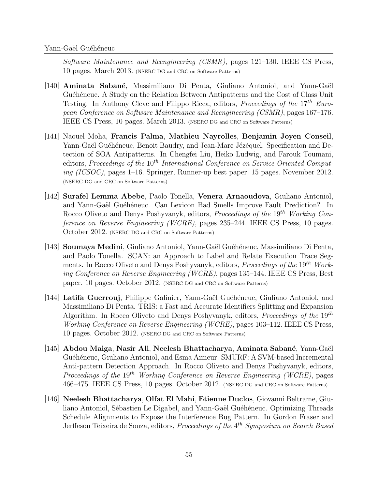Software Maintenance and Reengineering (CSMR), pages 121–130. IEEE CS Press, 10 pages. March 2013. (NSERC DG and CRC on Software Patterns)

- $[140]$  **Aminata Sabané**, Massimiliano Di Penta, Giuliano Antoniol, and Yann-Gaël Guéhéneuc. A Study on the Relation Between Antipatterns and the Cost of Class Unit Testing. In Anthony Cleve and Filippo Ricca, editors, Proceedings of the  $17^{th}$  European Conference on Software Maintenance and Reengineering (CSMR), pages 167–176. IEEE CS Press, 10 pages. March 2013. (NSERC DG and CRC on Software Patterns)
- [141] Naouel Moha, Francis Palma, Mathieu Nayrolles, Benjamin Joyen Conseil, Yann-Gaël Guéhéneuc, Benoit Baudry, and Jean-Marc Jézéquel. Specification and Detection of SOA Antipatterns. In Chengfei Liu, Heiko Ludwig, and Farouk Toumani, editors, Proceedings of the  $10^{th}$  International Conference on Service Oriented Computing (ICSOC), pages 1–16. Springer, Runner-up best paper. 15 pages. November 2012. (NSERC DG and CRC on Software Patterns)
- [142] Surafel Lemma Abebe, Paolo Tonella, Venera Arnaoudova, Giuliano Antoniol, and Yann-Gaël Guéhéneuc. Can Lexicon Bad Smells Improve Fault Prediction? In Rocco Oliveto and Denys Poshyvanyk, editors, Proceedings of the 19<sup>th</sup> Working Conference on Reverse Engineering (WCRE), pages 235–244. IEEE CS Press, 10 pages. October 2012. (NSERC DG and CRC on Software Patterns)
- [143] Soumaya Medini, Giuliano Antoniol, Yann-Gaël Guéhéneuc, Massimiliano Di Penta, and Paolo Tonella. SCAN: an Approach to Label and Relate Execution Trace Segments. In Rocco Oliveto and Denys Poshyvanyk, editors, *Proceedings of the*  $19<sup>th</sup>$  Working Conference on Reverse Engineering (WCRE), pages 135–144. IEEE CS Press, Best paper. 10 pages. October 2012. (NSERC DG and CRC on Software Patterns)
- [144] Latifa Guerrouj, Philippe Galinier, Yann-Gaël Guéhéneuc, Giuliano Antoniol, and Massimiliano Di Penta. TRIS: a Fast and Accurate Identifiers Splitting and Expansion Algorithm. In Rocco Oliveto and Denys Poshyvanyk, editors, *Proceedings of the*  $19^{th}$ Working Conference on Reverse Engineering (WCRE), pages 103–112. IEEE CS Press, 10 pages. October 2012. (NSERC DG and CRC on Software Patterns)
- $[145]$  Abdou Maiga, Nasir Ali, Neelesh Bhattacharya, Aminata Sabané, Yann-Gaël Guéhéneuc, Giuliano Antoniol, and Esma Aimeur. SMURF: A SVM-based Incremental Anti-pattern Detection Approach. In Rocco Oliveto and Denys Poshyvanyk, editors, Proceedings of the 19<sup>th</sup> Working Conference on Reverse Engineering (WCRE), pages 466–475. IEEE CS Press, 10 pages. October 2012. (NSERC DG and CRC on Software Patterns)
- [146] Neelesh Bhattacharya, Olfat El Mahi, Etienne Duclos, Giovanni Beltrame, Giuliano Antoniol, Sébastien Le Digabel, and Yann-Gaël Guéhéneuc. Optimizing Threads Schedule Alignments to Expose the Interference Bug Pattern. In Gordon Fraser and Jerffeson Teixeira de Souza, editors, Proceedings of the 4<sup>th</sup> Symposium on Search Based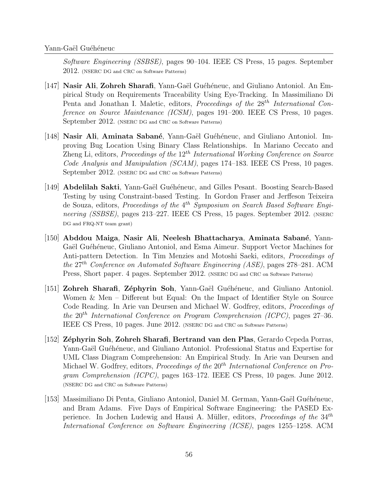Software Engineering (SSBSE), pages 90–104. IEEE CS Press, 15 pages. September 2012. (NSERC DG and CRC on Software Patterns)

- [147] Nasir Ali, Zohreh Sharafi, Yann-Gaël Guéhéneuc, and Giuliano Antoniol. An Empirical Study on Requirements Traceability Using Eye-Tracking. In Massimiliano Di Penta and Jonathan I. Maletic, editors, *Proceedings of the*  $28<sup>th</sup> International Con$ ference on Source Maintenance (ICSM), pages 191–200. IEEE CS Press, 10 pages. September 2012. (NSERC DG and CRC on Software Patterns)
- $[148]$  Nasir Ali, Aminata Sabané, Yann-Gaël Guéhéneuc, and Giuliano Antoniol. Improving Bug Location Using Binary Class Relationships. In Mariano Ceccato and Zheng Li, editors, *Proceedings of the*  $12<sup>th</sup> International Working Conference on Source$ Code Analysis and Manipulation (SCAM), pages 174–183. IEEE CS Press, 10 pages. September 2012. (NSERC DG and CRC on Software Patterns)
- [149] **Abdelilah Sakti**, Yann-Gaël Guéhéneuc, and Gilles Pesant. Boosting Search-Based Testing by using Constraint-based Testing. In Gordon Fraser and Jerffeson Teixeira de Souza, editors, Proceedings of the 4<sup>th</sup> Symposium on Search Based Software Engineering (SSBSE), pages 213–227. IEEE CS Press, 15 pages. September 2012. (NSERC DG and FRQ-NT team grant)
- [150] Abddou Maiga, Nasir Ali, Neelesh Bhattacharya, Aminata Sabané, Yann-Gaël Guéhéneuc, Giuliano Antoniol, and Esma Aimeur. Support Vector Machines for Anti-pattern Detection. In Tim Menzies and Motoshi Saeki, editors, Proceedings of the  $27<sup>th</sup>$  Conference on Automated Software Engineering (ASE), pages 278–281. ACM Press, Short paper. 4 pages. September 2012. (NSERC DG and CRC on Software Patterns)
- [151] Zohreh Sharafi, Zéphyrin Soh, Yann-Gaël Guéhéneuc, and Giuliano Antoniol. Women & Men – Different but Equal: On the Impact of Identifier Style on Source Code Reading. In Arie van Deursen and Michael W. Godfrey, editors, Proceedings of the  $20^{th}$  International Conference on Program Comprehension (ICPC), pages  $27-36$ . IEEE CS Press, 10 pages. June 2012. (NSERC DG and CRC on Software Patterns)
- [152] Z´ephyrin Soh, Zohreh Sharafi, Bertrand van den Plas, Gerardo Cepeda Porras, Yann-Gaël Guéhéneuc, and Giuliano Antoniol. Professional Status and Expertise for UML Class Diagram Comprehension: An Empirical Study. In Arie van Deursen and Michael W. Godfrey, editors, Proceedings of the 20<sup>th</sup> International Conference on Program Comprehension (ICPC), pages 163–172. IEEE CS Press, 10 pages. June 2012. (NSERC DG and CRC on Software Patterns)
- [153] Massimiliano Di Penta, Giuliano Antoniol, Daniel M. German, Yann-Gaël Guéhéneuc, and Bram Adams. Five Days of Empirical Software Engineering: the PASED Experience. In Jochen Ludewig and Hausi A. Müller, editors, Proceedings of the 34<sup>th</sup> International Conference on Software Engineering (ICSE), pages 1255–1258. ACM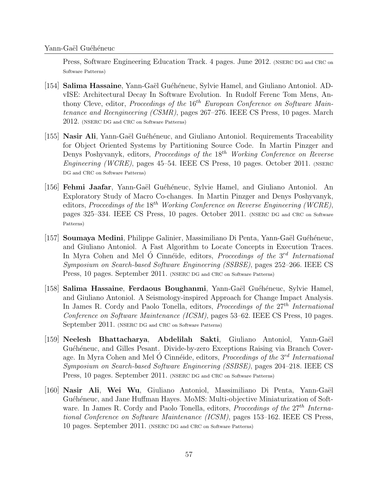Press, Software Engineering Education Track. 4 pages. June 2012. (NSERC DG and CRC on Software Patterns)

- [154] **Salima Hassaine**, Yann-Gaël Guéhéneuc, Sylvie Hamel, and Giuliano Antoniol. ADvISE: Architectural Decay In Software Evolution. In Rudolf Ferenc Tom Mens, Anthony Cleve, editor, *Proceedings of the*  $16<sup>th</sup> European Conference on Software Main$ tenance and Reengineering (CSMR), pages 267–276. IEEE CS Press, 10 pages. March 2012. (NSERC DG and CRC on Software Patterns)
- [155] Nasir Ali, Yann-Gaël Guéhéneuc, and Giuliano Antoniol. Requirements Traceability for Object Oriented Systems by Partitioning Source Code. In Martin Pinzger and Denys Poshyvanyk, editors, *Proceedings of the*  $18<sup>th</sup>$  Working Conference on Reverse Engineering (WCRE), pages 45–54. IEEE CS Press, 10 pages. October 2011. (NSERC DG and CRC on Software Patterns)
- [156] Fehmi Jaafar, Yann-Gaël Guéhéneuc, Sylvie Hamel, and Giuliano Antoniol. An Exploratory Study of Macro Co-changes. In Martin Pinzger and Denys Poshyvanyk, editors, Proceedings of the 18<sup>th</sup> Working Conference on Reverse Engineering (WCRE), pages 325–334. IEEE CS Press, 10 pages. October 2011. (NSERC DG and CRC on Software Patterns)
- [157] **Soumaya Medini**, Philippe Galinier, Massimiliano Di Penta, Yann-Gaël Guéhéneuc, and Giuliano Antoniol. A Fast Algorithm to Locate Concepts in Execution Traces. In Myra Cohen and Mel  $\acute{O}$  Cinnéide, editors, *Proceedings of the 3<sup>rd</sup> International* Symposium on Search-based Software Engineering (SSBSE), pages 252–266. IEEE CS Press, 10 pages. September 2011. (NSERC DG and CRC on Software Patterns)
- [158] Salima Hassaine, Ferdaous Boughanmi, Yann-Gaël Guéhéneuc, Sylvie Hamel, and Giuliano Antoniol. A Seismology-inspired Approach for Change Impact Analysis. In James R. Cordy and Paolo Tonella, editors, Proceedings of the  $27<sup>th</sup>$  International Conference on Software Maintenance (ICSM), pages 53–62. IEEE CS Press, 10 pages. September 2011. (NSERC DG and CRC on Software Patterns)
- [159] Neelesh Bhattacharya, Abdelilah Sakti, Giuliano Antoniol, Yann-Gaël Guéhéneuc, and Gilles Pesant. Divide-by-zero Exceptions Raising via Branch Coverage. In Myra Cohen and Mel Ó Cinnéide, editors, *Proceedings of the*  $3^{rd}$  International Symposium on Search-based Software Engineering (SSBSE), pages 204–218. IEEE CS Press, 10 pages. September 2011. (NSERC DG and CRC on Software Patterns)
- [160] Nasir Ali, Wei Wu, Giuliano Antoniol, Massimiliano Di Penta, Yann-Gaël Guéhéneuc, and Jane Huffman Hayes. MoMS: Multi-objective Miniaturization of Software. In James R. Cordy and Paolo Tonella, editors, Proceedings of the 27<sup>th</sup> International Conference on Software Maintenance (ICSM), pages 153–162. IEEE CS Press, 10 pages. September 2011. (NSERC DG and CRC on Software Patterns)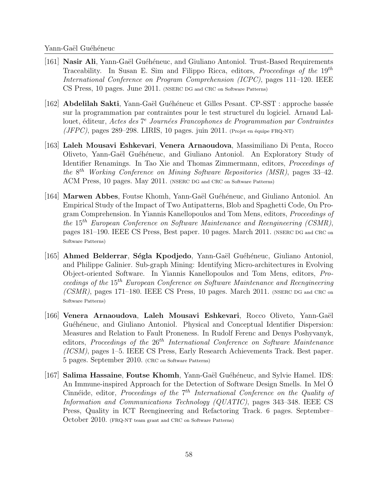- [161] Nasir Ali, Yann-Gaël Guéhéneuc, and Giuliano Antoniol. Trust-Based Requirements Traceability. In Susan E. Sim and Filippo Ricca, editors, *Proceedings of the*  $19<sup>th</sup>$ International Conference on Program Comprehension (ICPC), pages 111–120. IEEE CS Press, 10 pages. June 2011. (NSERC DG and CRC on Software Patterns)
- [162] Abdelilah Sakti, Yann-Gaël Guéhéneuc et Gilles Pesant. CP-SST : approche bassée sur la programmation par contraintes pour le test structurel du logiciel. Arnaud Lallouet, éditeur, Actes des 7<sup>e</sup> Journées Francophones de Programmation par Contraintes  $(JFPC)$ , pages 289–298. LIRIS, 10 pages. juin 2011. (Projet en équipe FRQ-NT)
- [163] Laleh Mousavi Eshkevari, Venera Arnaoudova, Massimiliano Di Penta, Rocco Oliveto, Yann-Gaël Guéhéneuc, and Giuliano Antoniol. An Exploratory Study of Identifier Renamings. In Tao Xie and Thomas Zimmermann, editors, Proceedings of the  $8^{th}$  Working Conference on Mining Software Repositories (MSR), pages 33-42. ACM Press, 10 pages. May 2011. (NSERC DG and CRC on Software Patterns)
- [164] **Marwen Abbes**, Foutse Khomh, Yann-Gaël Guéhéneuc, and Giuliano Antoniol. An Empirical Study of the Impact of Two Antipatterns, Blob and Spaghetti Code, On Program Comprehension. In Yiannis Kanellopoulos and Tom Mens, editors, Proceedings of the  $15^{th}$  European Conference on Software Maintenance and Reengineering (CSMR), pages 181–190. IEEE CS Press, Best paper. 10 pages. March 2011. (NSERC DG and CRC on Software Patterns)
- [165] Ahmed Belderrar, Ségla Kpodjedo, Yann-Gaël Guéhéneuc, Giuliano Antoniol, and Philippe Galinier. Sub-graph Mining: Identifying Micro-architectures in Evolving Object-oriented Software. In Yiannis Kanellopoulos and Tom Mens, editors, Proceedings of the 15th European Conference on Software Maintenance and Reengineering  $(CSMR)$ , pages 171–180. IEEE CS Press, 10 pages. March 2011. (NSERC DG and CRC on Software Patterns)
- [166] Venera Arnaoudova, Laleh Mousavi Eshkevari, Rocco Oliveto, Yann-Gaël Guéhéneuc, and Giuliano Antoniol. Physical and Conceptual Identifier Dispersion: Measures and Relation to Fault Proneness. In Rudolf Ferenc and Denys Poshyvanyk, editors, Proceedings of the  $26<sup>th</sup> International Conference on Software Maintenance$ (ICSM), pages 1–5. IEEE CS Press, Early Research Achievements Track. Best paper. 5 pages. September 2010. (CRC on Software Patterns)
- [167] Salima Hassaine, Foutse Khomh, Yann-Gaël Guéhéneuc, and Sylvie Hamel. IDS: An Immune-inspired Approach for the Detection of Software Design Smells. In Mel O´ Cinnéide, editor, Proceedings of the  $7<sup>th</sup> International Conference on the Quality of$ Information and Communications Technology (QUATIC), pages 343–348. IEEE CS Press, Quality in ICT Reengineering and Refactoring Track. 6 pages. September– October 2010. (FRQ-NT team grant and CRC on Software Patterns)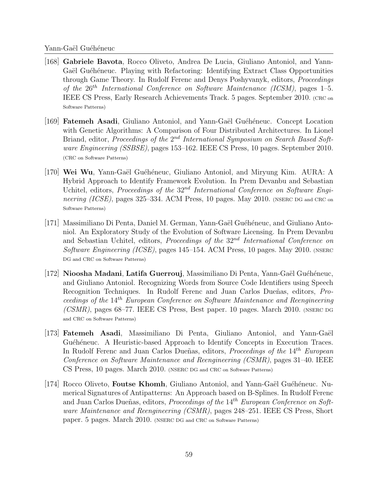- [168] Gabriele Bavota, Rocco Oliveto, Andrea De Lucia, Giuliano Antoniol, and Yann-Gaël Guéhéneuc. Playing with Refactoring: Identifying Extract Class Opportunities through Game Theory. In Rudolf Ferenc and Denys Poshyvanyk, editors, *Proceedings* of the  $26^{th}$  International Conference on Software Maintenance (ICSM), pages 1–5. IEEE CS Press, Early Research Achievements Track. 5 pages. September 2010. (CRC on Software Patterns)
- [169] **Fatemeh Asadi**, Giuliano Antoniol, and Yann-Gaël Guéhéneuc. Concept Location with Genetic Algorithms: A Comparison of Four Distributed Architectures. In Lionel Briand, editor, Proceedings of the 2<sup>nd</sup> International Symposium on Search Based Software Engineering (SSBSE), pages 153–162. IEEE CS Press, 10 pages. September 2010. (CRC on Software Patterns)
- [170] Wei Wu, Yann-Gaël Guéhéneuc, Giuliano Antoniol, and Miryung Kim. AURA: A Hybrid Approach to Identify Framework Evolution. In Prem Devanbu and Sebastian Uchitel, editors, Proceedings of the  $32^{nd}$  International Conference on Software Engineering (ICSE), pages 325–334. ACM Press, 10 pages. May 2010. (NSERC DG and CRC on Software Patterns)
- [171] Massimiliano Di Penta, Daniel M. German, Yann-Gaël Guéhéneuc, and Giuliano Antoniol. An Exploratory Study of the Evolution of Software Licensing. In Prem Devanbu and Sebastian Uchitel, editors, Proceedings of the  $32<sup>nd</sup>$  International Conference on Software Engineering (ICSE), pages 145–154. ACM Press, 10 pages. May 2010. (NSERC) DG and CRC on Software Patterns)
- $[172]$  Nioosha Madani, Latifa Guerrouj, Massimiliano Di Penta, Yann-Gaël Guéhéneuc, and Giuliano Antoniol. Recognizing Words from Source Code Identifiers using Speech Recognition Techniques. In Rudolf Ferenc and Juan Carlos Dueñas, editors, Proceedings of the 14th European Conference on Software Maintenance and Reengineering  $(CSMR)$ , pages 68–77. IEEE CS Press, Best paper. 10 pages. March 2010. (NSERC DG) and CRC on Software Patterns)
- [173] **Fatemeh Asadi**, Massimiliano Di Penta, Giuliano Antoniol, and Yann-Gaël Guéhéneuc. A Heuristic-based Approach to Identify Concepts in Execution Traces. In Rudolf Ferenc and Juan Carlos Dueñas, editors, *Proceedings of the*  $14<sup>th</sup>$  *European* Conference on Software Maintenance and Reengineering (CSMR), pages 31–40. IEEE CS Press, 10 pages. March 2010. (NSERC DG and CRC on Software Patterns)
- [174] Rocco Oliveto, **Foutse Khomh**, Giuliano Antoniol, and Yann-Gaël Guéhéneuc. Numerical Signatures of Antipatterns: An Approach based on B-Splines. In Rudolf Ferenc and Juan Carlos Dueñas, editors, *Proceedings of the*  $14<sup>th</sup> European Conference on Soft$ ware Maintenance and Reengineering (CSMR), pages 248–251. IEEE CS Press, Short paper. 5 pages. March 2010. (NSERC DG and CRC on Software Patterns)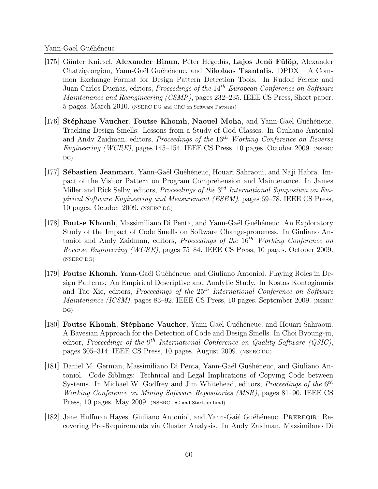- $|175|$  Günter Kniesel, Alexander Binun, Péter Hegedűs, Lajos Jenő Fülöp, Alexander Chatzigeorgiou, Yann-Gaël Guéhéneuc, and Nikolaos Tsantalis. DPDX – A Common Exchange Format for Design Pattern Detection Tools. In Rudolf Ferenc and Juan Carlos Dueñas, editors, Proceedings of the 14<sup>th</sup> European Conference on Software Maintenance and Reengineering (CSMR), pages 232–235. IEEE CS Press, Short paper. 5 pages. March 2010. (NSERC DG and CRC on Software Patterns)
- $|176|$  Stéphane Vaucher, Foutse Khomh, Naouel Moha, and Yann-Gaël Guéhéneuc. Tracking Design Smells: Lessons from a Study of God Classes. In Giuliano Antoniol and Andy Zaidman, editors, *Proceedings of the*  $16<sup>th</sup>$  Working Conference on Reverse Engineering (WCRE), pages 145–154. IEEE CS Press, 10 pages. October 2009. (NSERC DG)
- [177] Sébastien Jeanmart, Yann-Gaël Guéhéneuc, Houari Sahraoui, and Naji Habra. Impact of the Visitor Pattern on Program Comprehension and Maintenance. In James Miller and Rick Selby, editors, *Proceedings of the*  $3<sup>rd</sup> International Symposium on Em$ pirical Software Engineering and Measurement (ESEM), pages 69–78. IEEE CS Press, 10 pages. October 2009. (NSERC DG)
- [178] **Foutse Khomh**, Massimiliano Di Penta, and Yann-Gaël Guéhéneuc. An Exploratory Study of the Impact of Code Smells on Software Change-proneness. In Giuliano Antoniol and Andy Zaidman, editors, Proceedings of the  $16<sup>th</sup>$  Working Conference on Reverse Engineering (WCRE), pages 75–84. IEEE CS Press, 10 pages. October 2009. (NSERC DG)
- [179] **Foutse Khomh**, Yann-Gaël Guéhéneuc, and Giuliano Antoniol. Playing Roles in Design Patterns: An Empirical Descriptive and Analytic Study. In Kostas Kontogiannis and Tao Xie, editors, *Proceedings of the*  $25<sup>th</sup> International Conference on Software$ Maintenance (ICSM), pages 83–92. IEEE CS Press, 10 pages. September 2009. (NSERC DG)
- [180] Foutse Khomh, Stéphane Vaucher, Yann-Gaël Guéhéneuc, and Houari Sahraoui. A Bayesian Approach for the Detection of Code and Design Smells. In Choi Byoung-ju, editor, Proceedings of the  $9^{th}$  International Conference on Quality Software (QSIC), pages 305–314. IEEE CS Press, 10 pages. August 2009. (NSERC DG)
- [181] Daniel M. German, Massimiliano Di Penta, Yann-Gaël Guéhéneuc, and Giuliano Antoniol. Code Siblings: Technical and Legal Implications of Copying Code between Systems. In Michael W. Godfrey and Jim Whitehead, editors, Proceedings of the  $6<sup>th</sup>$ Working Conference on Mining Software Repositories (MSR), pages 81–90. IEEE CS Press, 10 pages. May 2009. (NSERC DG and Start-up fund)
- [182] Jane Huffman Hayes, Giuliano Antoniol, and Yann-Gaël Guéhéneuc. PREREQIR: Recovering Pre-Requirements via Cluster Analysis. In Andy Zaidman, Massimilano Di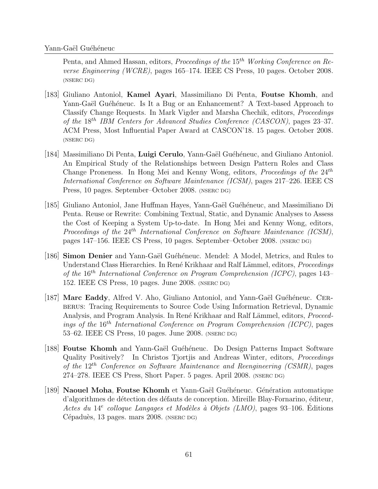Penta, and Ahmed Hassan, editors, *Proceedings of the*  $15<sup>th</sup>$  Working Conference on Reverse Engineering (WCRE), pages 165–174. IEEE CS Press, 10 pages. October 2008. (NSERC DG)

- [183] Giuliano Antoniol, Kamel Ayari, Massimiliano Di Penta, Foutse Khomh, and Yann-Gaël Guéhéneuc. Is It a Bug or an Enhancement? A Text-based Approach to Classify Change Requests. In Mark Vigder and Marsha Chechik, editors, Proceedings of the 18th IBM Centers for Advanced Studies Conference (CASCON), pages 23–37. ACM Press, Most Influential Paper Award at CASCON'18. 15 pages. October 2008. (NSERC DG)
- [184] Massimiliano Di Penta, Luigi Cerulo, Yann-Gaël Guéhéneuc, and Giuliano Antoniol. An Empirical Study of the Relationships between Design Pattern Roles and Class Change Proneness. In Hong Mei and Kenny Wong, editors, Proceedings of the  $24<sup>th</sup>$ International Conference on Software Maintenance (ICSM), pages 217–226. IEEE CS Press, 10 pages. September–October 2008. (NSERC DG)
- [185] Giuliano Antoniol, Jane Huffman Hayes, Yann-Gaël Guéhéneuc, and Massimiliano Di Penta. Reuse or Rewrite: Combining Textual, Static, and Dynamic Analyses to Assess the Cost of Keeping a System Up-to-date. In Hong Mei and Kenny Wong, editors, Proceedings of the  $24^{th}$  International Conference on Software Maintenance (ICSM), pages 147–156. IEEE CS Press, 10 pages. September–October 2008. (NSERC DG)
- [186] Simon Denier and Yann-Gaël Guéhéneuc. Mendel: A Model, Metrics, and Rules to Understand Class Hierarchies. In René Krikhaar and Ralf Lämmel, editors, Proceedings of the 16th International Conference on Program Comprehension (ICPC), pages 143– 152. IEEE CS Press, 10 pages. June 2008. (NSERC DG)
- [187] **Marc Eaddy**, Alfred V. Aho, Giuliano Antoniol, and Yann-Gaël Guéhéneuc. CERberus: Tracing Requirements to Source Code Using Information Retrieval, Dynamic Analysis, and Program Analysis. In René Krikhaar and Ralf Lämmel, editors, Proceedings of the  $16^{th}$  International Conference on Program Comprehension (ICPC), pages 53–62. IEEE CS Press, 10 pages. June 2008. (NSERC DG)
- [188] **Foutse Khomh** and Yann-Gaël Guéhéneuc. Do Design Patterns Impact Software Quality Positively? In Christos Tjortjis and Andreas Winter, editors, Proceedings of the  $12^{th}$  Conference on Software Maintenance and Reengineering (CSMR), pages 274–278. IEEE CS Press, Short Paper. 5 pages. April 2008. (NSERC DG)
- [189] Naouel Moha, Foutse Khomh et Yann-Gaël Guéhéneuc. Génération automatique d'algorithmes de détection des défauts de conception. Mireille Blay-Fornarino, éditeur, Actes du 14<sup>e</sup> colloque Langages et Modèles à Objets (LMO), pages 93-106. Éditions Cépaduès, 13 pages. mars 2008. (NSERC DG)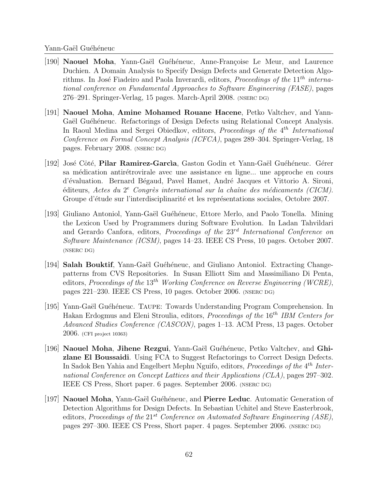- [190] **Naouel Moha**, Yann-Gaël Guéhéneuc, Anne-Françoise Le Meur, and Laurence Duchien. A Domain Analysis to Specify Design Defects and Generate Detection Algorithms. In José Fiadeiro and Paola Inverardi, editors, *Proceedings of the*  $11<sup>th</sup>$  international conference on Fundamental Approaches to Software Engineering (FASE), pages 276–291. Springer-Verlag, 15 pages. March-April 2008. (NSERC DG)
- [191] Naouel Moha, Amine Mohamed Rouane Hacene, Petko Valtchev, and Yann-Gaël Guéhéneuc. Refactorings of Design Defects using Relational Concept Analysis. In Raoul Medina and Sergei Obiedkov, editors, Proceedings of the 4<sup>th</sup> International Conference on Formal Concept Analysis (ICFCA), pages 289–304. Springer-Verlag, 18 pages. February 2008. (NSERC DG)
- [192] José Côté, Pilar Ramirez-García, Gaston Godin et Yann-Gaël Guéhéneuc. Gérer sa médication antirétrovirale avec une assistance en ligne... une approche en cours d'évaluation. Bernard Bégaud, Pavel Hamet, André Jacques et Vittorio A. Sironi, éditeurs, Actes du  $2^e$  Congrès international sur la chaîne des médicaments (CICM). Groupe d'étude sur l'interdisciplinarité et les représentations sociales, Octobre 2007.
- [193] Giuliano Antoniol, Yann-Ga¨el Gu´eh´eneuc, Ettore Merlo, and Paolo Tonella. Mining the Lexicon Used by Programmers during Software Evolution. In Ladan Tahvildari and Gerardo Canfora, editors, *Proceedings of the*  $23^{rd}$  *International Conference on* Software Maintenance (ICSM), pages 14–23. IEEE CS Press, 10 pages. October 2007. (NSERC DG)
- [194] Salah Bouktif, Yann-Gaël Guéhéneuc, and Giuliano Antoniol. Extracting Changepatterns from CVS Repositories. In Susan Elliott Sim and Massimiliano Di Penta, editors, Proceedings of the 13<sup>th</sup> Working Conference on Reverse Engineering (WCRE), pages 221–230. IEEE CS Press, 10 pages. October 2006. (NSERC DG)
- [195] Yann-Ga¨el Gu´eh´eneuc. Taupe: Towards Understanding Program Comprehension. In Hakan Erdogmus and Eleni Stroulia, editors, *Proceedings of the* 16<sup>th</sup> IBM Centers for Advanced Studies Conference (CASCON), pages 1–13. ACM Press, 13 pages. October 2006. (CFI project 10363)
- [196] Naouel Moha, Jihene Rezgui, Yann-Gaël Guéhéneuc, Petko Valtchev, and Ghizlane El Boussaidi. Using FCA to Suggest Refactorings to Correct Design Defects. In Sadok Ben Yahia and Engelbert Mephu Nguifo, editors, Proceedings of the 4<sup>th</sup> International Conference on Concept Lattices and their Applications (CLA), pages 297–302. IEEE CS Press, Short paper. 6 pages. September 2006. (NSERC DG)
- [197] Naouel Moha, Yann-Gaël Guéhéneuc, and Pierre Leduc. Automatic Generation of Detection Algorithms for Design Defects. In Sebastian Uchitel and Steve Easterbrook, editors, Proceedings of the  $21^{st}$  Conference on Automated Software Engineering (ASE), pages 297–300. IEEE CS Press, Short paper. 4 pages. September 2006. (NSERC DG)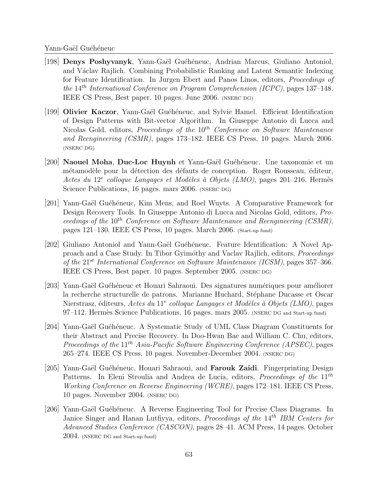- [198] **Denys Poshyvanyk**, Yann-Gaël Guéhéneuc, Andrian Marcus, Giuliano Antoniol, and Václav Rajlich. Combining Probabilistic Ranking and Latent Semantic Indexing for Feature Identification. In Jurgen Ebert and Panos Linos, editors, Proceedings of the  $14^{th}$  International Conference on Program Comprehension (ICPC), pages 137–148. IEEE CS Press, Best paper. 10 pages. June 2006. (NSERC DG)
- [199] Olivier Kaczor, Yann-Gaël Guéhéneuc, and Sylvie Hamel. Efficient Identification of Design Patterns with Bit-vector Algorithm. In Giuseppe Antonio di Lucca and Nicolas Gold, editors, Proceedings of the  $10^{th}$  Conference on Software Maintenance and Reengineering (CSMR), pages 173–182. IEEE CS Press, 10 pages. March 2006. (NSERC DG)
- [200] Naouel Moha, Duc-Loc Huynh et Yann-Gaël Guéhéneuc. Une taxonomie et un métamodèle pour la détection des défauts de conception. Roger Rousseau, éditeur, Actes du 12<sup>e</sup> colloque Langages et Modèles à Objets (LMO), pages 201-216. Hermès Science Publications, 16 pages. mars 2006. (NSERC DG)
- [201] Yann-Gaël Guéhéneuc, Kim Mens, and Roel Wuyts. A Comparative Framework for Design Recovery Tools. In Giuseppe Antonio di Lucca and Nicolas Gold, editors, Proceedings of the  $10^{th}$  Conference on Software Maintenance and Reengineering (CSMR), pages 121–130. IEEE CS Press, 10 pages. March 2006. (Start-up fund)
- [202] Giuliano Antoniol and Yann-Gaël Guéhéneuc. Feature Identification: A Novel Approach and a Case Study. In Tibor Gyim´othy and Vaclav Rajlich, editors, Proceedings of the  $21^{st}$  International Conference on Software Maintenance (ICSM), pages 357-366. IEEE CS Press, Best paper. 10 pages. September 2005. (NSERC DG)
- [203] Yann-Gaël Guéhéneuc et Houari Sahraoui. Des signatures numériques pour améliorer la recherche structurelle de patrons. Marianne Huchard, Stéphane Ducasse et Oscar Nierstrasz, éditeurs, Actes du 11<sup>e</sup> colloque Langages et Modèles à Objets (LMO), pages 97–112. Hermès Science Publications, 16 pages. mars 2005. (NSERC DG and Start-up fund)
- [204] Yann-Gaël Guéhéneuc. A Systematic Study of UML Class Diagram Constituents for their Abstract and Precise Recovery. In Doo-Hwan Bae and William C. Chu, editors, Proceedings of the  $11^{th}$  Asia-Pacific Software Engineering Conference (APSEC), pages 265–274. IEEE CS Press, 10 pages. November-December 2004. (NSERC DG)
- [205] Yann-Gaël Guéhéneuc, Houari Sahraoui, and **Farouk Zaidi**. Fingerprinting Design Patterns. In Eleni Stroulia and Andrea de Lucia, editors, Proceedings of the 11<sup>th</sup> Working Conference on Reverse Engineering (WCRE), pages 172–181. IEEE CS Press, 10 pages. November 2004. (NSERC DG)
- [206] Yann-Gaël Guéhéneuc. A Reverse Engineering Tool for Precise Class Diagrams. In Janice Singer and Hanan Lutfiyya, editors, *Proceedings of the* 14<sup>th</sup> IBM Centers for Advanced Studies Conference (CASCON), pages 28–41. ACM Press, 14 pages. October 2004. (NSERC DG and Start-up fund)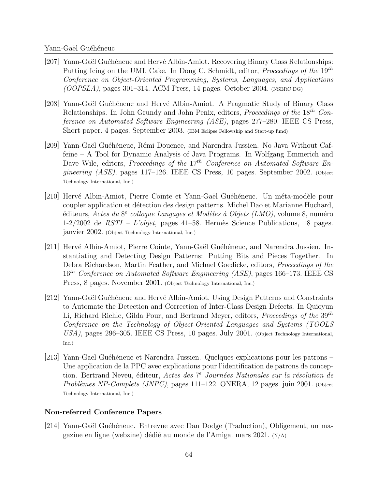- [207] Yann-Gaël Guéhéneuc and Hervé Albin-Amiot. Recovering Binary Class Relationships: Putting Icing on the UML Cake. In Doug C. Schmidt, editor, *Proceedings of the*  $19<sup>th</sup>$ Conference on Object-Oriented Programming, Systems, Languages, and Applications  $(OOPSLA)$ , pages 301–314. ACM Press, 14 pages. October 2004. (NSERC DG)
- [208] Yann-Gaël Guéhéneuc and Hervé Albin-Amiot. A Pragmatic Study of Binary Class Relationships. In John Grundy and John Penix, editors, Proceedings of the 18<sup>th</sup> Conference on Automated Software Engineering (ASE), pages 277–280. IEEE CS Press, Short paper. 4 pages. September 2003. (IBM Eclipse Fellowship and Start-up fund)
- [209] Yann-Gaël Guéhéneuc, Rémi Douence, and Narendra Jussien. No Java Without Caffeine – A Tool for Dynamic Analysis of Java Programs. In Wolfgang Emmerich and Dave Wile, editors, Proceedings of the  $17<sup>th</sup>$  Conference on Automated Software Engineering (ASE), pages 117–126. IEEE CS Press, 10 pages. September 2002. (Object Technology International, Inc.)
- [210] Hervé Albin-Amiot, Pierre Cointe et Yann-Gaël Guéhéneuc. Un méta-modèle pour coupler application et détection des design patterns. Michel Dao et Marianne Huchard, éditeurs, Actes du 8<sup>e</sup> colloque Langages et Modèles à Objets (LMO), volume 8, numéro  $1-2/2002$  de  $RSTI - L'objet$ , pages  $41-58$ . Hermès Science Publications, 18 pages. janvier 2002. (Object Technology International, Inc.)
- [211] Hervé Albin-Amiot, Pierre Cointe, Yann-Gaël Guéhéneuc, and Narendra Jussien. Instantiating and Detecting Design Patterns: Putting Bits and Pieces Together. In Debra Richardson, Martin Feather, and Michael Goedicke, editors, Proceedings of the 16<sup>th</sup> Conference on Automated Software Engineering (ASE), pages 166–173. IEEE CS Press, 8 pages. November 2001. (Object Technology International, Inc.)
- [212] Yann-Gaël Guéhéneuc and Hervé Albin-Amiot. Using Design Patterns and Constraints to Automate the Detection and Correction of Inter-Class Design Defects. In Quioyun Li, Richard Riehle, Gilda Pour, and Bertrand Meyer, editors, *Proceedings of the*  $39<sup>th</sup>$ Conference on the Technology of Object-Oriented Languages and Systems (TOOLS USA), pages 296–305. IEEE CS Press, 10 pages. July 2001. (Object Technology International, Inc.)
- [213] Yann-Gaël Guéhéneuc et Narendra Jussien. Quelques explications pour les patrons Une application de la PPC avec explications pour l'identification de patrons de conception. Bertrand Neveu, éditeur, Actes des 7<sup>e</sup> Journées Nationales sur la résolution de Problèmes NP-Complets (JNPC), pages  $111-122$ . ONERA, 12 pages. juin 2001. (Object Technology International, Inc.)

### Non-referred Conference Papers

[214] Yann-Gaël Guéhéneuc. Entrevue avec Dan Dodge (Traduction), Obligement, un magazine en ligne (webzine) dédié au monde de l'Amiga. mars 2021. (N/A)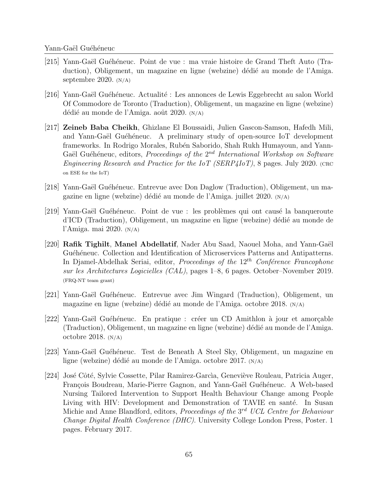- [215] Yann-Ga¨el Gu´eh´eneuc. Point de vue : ma vraie histoire de Grand Theft Auto (Traduction), Obligement, un magazine en ligne (webzine) dédié au monde de l'Amiga. septembre 2020. (N/A)
- [216] Yann-Gaël Guéhéneuc. Actualité : Les annonces de Lewis Eggebrecht au salon World Of Commodore de Toronto (Traduction), Obligement, un magazine en ligne (webzine) dédié au monde de l'Amiga. août 2020.  $(N/A)$
- [217] Zeineb Baba Cheikh, Ghizlane El Boussaidi, Julien Gascon-Samson, Hafedh Mili, and Yann-Gaël Guéhéneuc. A preliminary study of open-source IoT development frameworks. In Rodrigo Morales, Rubén Saborido, Shah Rukh Humayoun, and Yann-Gaël Guéhéneuc, editors, Proceedings of the  $2^{nd}$  International Workshop on Software Engineering Research and Practice for the IoT (SERP4IoT), 8 pages. July 2020. (CRC) on ESE for the IoT)
- [218] Yann-Gaël Guéhéneuc. Entrevue avec Don Daglow (Traduction), Obligement, un magazine en ligne (webzine) dédié au monde de l'Amiga. juillet 2020. (N/A)
- [219] Yann-Gaël Guéhéneuc. Point de vue : les problèmes qui ont causé la banqueroute d'ICD (Traduction), Obligement, un magazine en ligne (webzine) dédié au monde de l'Amiga. mai 2020. (N/A)
- [220] Rafik Tighilt, Manel Abdellatif, Nader Abu Saad, Naouel Moha, and Yann-Gaël Guéhéneuc. Collection and Identification of Microservices Patterns and Antipatterns. In Djamel-Abdelhak Seriai, editor, *Proceedings of the*  $12<sup>th</sup>$  Conference Francophone sur les Architectures Logicielles (CAL), pages 1–8, 6 pages. October–November 2019. (FRQ-NT team grant)
- [221] Yann-Gaël Guéhéneuc. Entrevue avec Jim Wingard (Traduction), Obligement, un magazine en ligne (webzine) dédié au monde de l'Amiga. octobre 2018.  $(N/A)$
- [222] Yann-Gaël Guéhéneuc. En pratique : créer un CD Amithlon à jour et amorçable (Traduction), Obligement, un magazine en ligne (webzine) dédié au monde de l'Amiga. octobre 2018.  $(N/A)$
- [223] Yann-Gaël Guéhéneuc. Test de Beneath A Steel Sky, Obligement, un magazine en ligne (webzine) dédié au monde de l'Amiga. octobre 2017.  $(N/A)$
- [224] José Côté, Sylvie Cossette, Pilar Ramirez-García, Geneviève Rouleau, Patricia Auger, François Boudreau, Marie-Pierre Gagnon, and Yann-Gaël Guéhéneuc. A Web-based Nursing Tailored Intervention to Support Health Behaviour Change among People Living with HIV: Development and Demonstration of TAVIE en santé. In Susan Michie and Anne Blandford, editors, Proceedings of the 3<sup>rd</sup> UCL Centre for Behaviour Change Digital Health Conference (DHC). University College London Press, Poster. 1 pages. February 2017.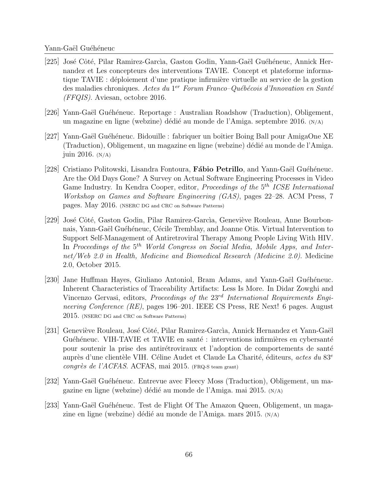- [225] José Côté, Pilar Ramirez-García, Gaston Godin, Yann-Gaël Guéhéneuc, Annick Hernandez et Les concepteurs des interventions TAVIE. Concept et plateforme informatique TAVIE : déploiement d'une pratique infirmière virtuelle au service de la gestion des maladies chroniques. Actes du 1<sup>er</sup> Forum Franco–Québécois d'Innovation en Santé (FFQIS). Aviesan, octobre 2016.
- [226] Yann-Gaël Guéhéneuc. Reportage : Australian Roadshow (Traduction), Obligement, un magazine en ligne (webzine) dédié au monde de l'Amiga. septembre 2016.  $(N/A)$
- [227] Yann-Gaël Guéhéneuc. Bidouille : fabriquer un boîtier Boing Ball pour AmigaOne XE (Traduction), Obligement, un magazine en ligne (webzine) dédié au monde de l'Amiga. juin 2016.  $(N/A)$
- [228] Cristiano Politowski, Lisandra Fontoura, Fábio Petrillo, and Yann-Gaël Guéhéneuc. Are the Old Days Gone? A Survey on Actual Software Engineering Processes in Video Game Industry. In Kendra Cooper, editor, *Proceedings of the* 5<sup>th</sup> ICSE International Workshop on Games and Software Engineering (GAS), pages 22–28. ACM Press, 7 pages. May 2016. (NSERC DG and CRC on Software Patterns)
- [229] José Côté, Gaston Godin, Pilar Ramirez-Garcìa, Geneviève Rouleau, Anne Bourbonnais, Yann-Gaël Guéhéneuc, Cécile Tremblay, and Joanne Otis. Virtual Intervention to Support Self-Management of Antiretroviral Therapy Among People Living With HIV. In Proceedings of the  $5<sup>th</sup>$  World Congress on Social Media, Mobile Apps, and Internet/Web 2.0 in Health, Medicine and Biomedical Research (Medicine 2.0). Medicine 2.0, October 2015.
- [230] Jane Huffman Hayes, Giuliano Antoniol, Bram Adams, and Yann-Gaël Guéhéneuc. Inherent Characteristics of Traceability Artifacts: Less Is More. In Didar Zowghi and Vincenzo Gervasi, editors, Proceedings of the  $23<sup>rd</sup>$  International Requirements Engineering Conference (RE), pages 196–201. IEEE CS Press, RE Next! 6 pages. August 2015. (NSERC DG and CRC on Software Patterns)
- [231] Geneviève Rouleau, José Côté, Pilar Ramirez-Garcìa, Annick Hernandez et Yann-Gaël Guéhéneuc. VIH-TAVIE et TAVIE en santé : interventions infirmières en cybersanté pour soutenir la prise des antirétroviraux et l'adoption de comportements de santé auprès d'une clientèle VIH. Céline Audet et Claude La Charité, éditeurs, actes du 83<sup>e</sup> congrès de l'ACFAS. ACFAS, mai 2015. (FRQ-S team grant)
- [232] Yann-Gaël Guéhéneuc. Entrevue avec Fleecy Moss (Traduction), Obligement, un magazine en ligne (webzine) dédié au monde de l'Amiga. mai 2015. (N/A)
- [233] Yann-Gaël Guéhéneuc. Test de Flight Of The Amazon Queen, Obligement, un magazine en ligne (webzine) dédié au monde de l'Amiga. mars 2015. (N/A)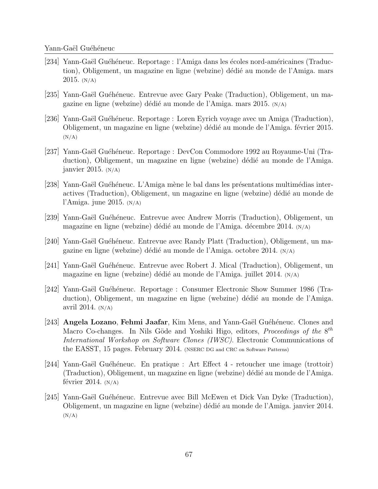- [234] Yann-Gaël Guéhéneuc. Reportage : l'Amiga dans les écoles nord-américaines (Traduction), Obligement, un magazine en ligne (webzine) dédié au monde de l'Amiga. mars 2015.  $(N/A)$
- [235] Yann-Gaël Guéhéneuc. Entrevue avec Gary Peake (Traduction), Obligement, un magazine en ligne (webzine) dédié au monde de l'Amiga. mars 2015. (N/A)
- [236] Yann-Gaël Guéhéneuc. Reportage : Loren Eyrich voyage avec un Amiga (Traduction), Obligement, un magazine en ligne (webzine) dédié au monde de l'Amiga. février 2015.  $(N/A)$
- [237] Yann-Ga¨el Gu´eh´eneuc. Reportage : DevCon Commodore 1992 au Royaume-Uni (Traduction), Obligement, un magazine en ligne (webzine) dédié au monde de l'Amiga. janvier 2015.  $(N/A)$
- [238] Yann-Gaël Guéhéneuc. L'Amiga mène le bal dans les présentations multimédias interactives (Traduction), Obligement, un magazine en ligne (webzine) dédié au monde de l'Amiga. june 2015.  $(N/A)$
- [239] Yann-Gaël Guéhéneuc. Entrevue avec Andrew Morris (Traduction), Obligement, un magazine en ligne (webzine) dédié au monde de l'Amiga. décembre 2014.  $(N/A)$
- [240] Yann-Gaël Guéhéneuc. Entrevue avec Randy Platt (Traduction), Obligement, un magazine en ligne (webzine) dédié au monde de l'Amiga. octobre 2014. (N/A)
- [241] Yann-Gaël Guéhéneuc. Entrevue avec Robert J. Mical (Traduction), Obligement, un magazine en ligne (webzine) dédié au monde de l'Amiga. juillet  $2014$ .  $(N/A)$
- [242] Yann-Gaël Guéhéneuc. Reportage : Consumer Electronic Show Summer 1986 (Traduction), Obligement, un magazine en ligne (webzine) dédié au monde de l'Amiga. avril 2014.  $(N/A)$
- [243] Angela Lozano, Fehmi Jaafar, Kim Mens, and Yann-Gaël Guéhéneuc. Clones and Macro Co-changes. In Nils Göde and Yoshiki Higo, editors, Proceedings of the  $8^{th}$ International Workshop on Software Clones (IWSC). Electronic Communications of the EASST, 15 pages. February 2014. (NSERC DG and CRC on Software Patterns)
- [244] Yann-Gaël Guéhéneuc. En pratique : Art Effect 4 retoucher une image (trottoir) (Traduction), Obligement, un magazine en ligne (webzine) dédié au monde de l'Amiga. février 2014.  $(N/A)$
- [245] Yann-Gaël Guéhéneuc. Entrevue avec Bill McEwen et Dick Van Dyke (Traduction), Obligement, un magazine en ligne (webzine) d´edi´e au monde de l'Amiga. janvier 2014.  $(N/A)$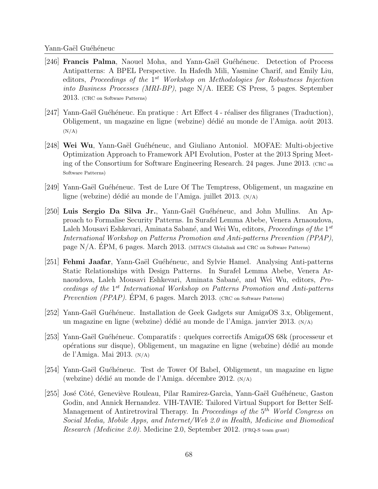- [246] **Francis Palma**, Naouel Moha, and Yann-Gaël Guéhéneuc. Detection of Process Antipatterns: A BPEL Perspective. In Hafedh Mili, Yasmine Charif, and Emily Liu, editors, Proceedings of the 1<sup>st</sup> Workshop on Methodologies for Robustness Injection into Business Processes (MRI-BP), page N/A. IEEE CS Press, 5 pages. September 2013. (CRC on Software Patterns)
- $|247|$  Yann-Gaël Guéhéneuc. En pratique : Art Effect 4 réaliser des filigranes (Traduction), Obligement, un magazine en ligne (webzine) dédié au monde de l'Amiga. août 2013.  $(N/A)$
- [248] Wei Wu, Yann-Gaël Guéhéneuc, and Giuliano Antoniol. MOFAE: Multi-objective Optimization Approach to Framework API Evolution, Poster at the 2013 Spring Meeting of the Consortium for Software Engineering Research. 24 pages. June 2013. (CRC on Software Patterns)
- [249] Yann-Gaël Guéhéneuc. Test de Lure Of The Temptress, Obligement, un magazine en ligne (webzine) dédié au monde de l'Amiga. juillet  $2013$ .  $(N/A)$
- [250] Luis Sergio Da Silva Jr., Yann-Gaël Guéhéneuc, and John Mullins. An Approach to Formalise Security Patterns. In Surafel Lemma Abebe, Venera Arnaoudova, Laleh Mousavi Eshkevari, Aminata Sabané, and Wei Wu, editors, Proceedings of the 1<sup>st</sup> International Workshop on Patterns Promotion and Anti-patterns Prevention (PPAP), page  $N/A$ . EPM, 6 pages. March 2013. (MITACS Globalink and CRC on Software Patterns)
- [251] **Fehmi Jaafar**, Yann-Gaël Guéhéneuc, and Sylvie Hamel. Analysing Anti-patterns Static Relationships with Design Patterns. In Surafel Lemma Abebe, Venera Arnaoudova, Laleh Mousavi Eshkevari, Aminata Sabané, and Wei Wu, editors, *Pro*ceedings of the 1<sup>st</sup> International Workshop on Patterns Promotion and Anti-patterns *Prevention (PPAP)*. EPM, 6 pages. March 2013. (CRC on Software Patterns)
- [252] Yann-Gaël Guéhéneuc. Installation de Geek Gadgets sur AmigaOS 3.x, Obligement, un magazine en ligne (webzine) dédié au monde de l'Amiga. janvier 2013. (N/A)
- [253] Yann-Gaël Guéhéneuc. Comparatifs : quelques correctifs AmigaOS 68k (processeur et op´erations sur disque), Obligement, un magazine en ligne (webzine) d´edi´e au monde de l'Amiga. Mai 2013. (N/A)
- [254] Yann-Gaël Guéhéneuc. Test de Tower Of Babel, Obligement, un magazine en ligne (webzine) dédié au monde de l'Amiga. décembre 2012.  $(N/A)$
- [255] José Côté, Geneviève Rouleau, Pilar Ramirez-Garcìa, Yann-Gaël Guéhéneuc, Gaston Godin, and Annick Hernandez. VIH-TAVIE: Tailored Virtual Support for Better Self-Management of Antiretroviral Therapy. In Proceedings of the 5<sup>th</sup> World Congress on Social Media, Mobile Apps, and Internet/Web 2.0 in Health, Medicine and Biomedical Research (Medicine 2.0). Medicine 2.0, September 2012. (FRQ-S team grant)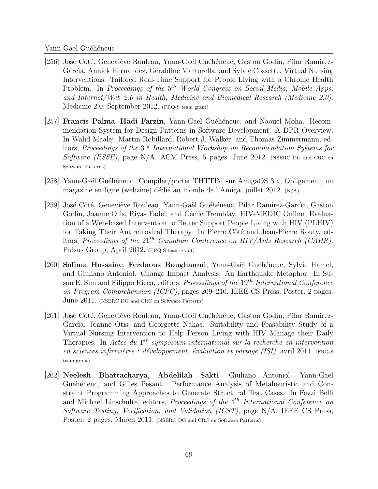- [256] José Côté, Geneviève Rouleau, Yann-Gaël Guéhéneuc, Gaston Godin, Pilar Ramirez-Garcìa, Annick Hernandez, Géraldine Martorella, and Sylvie Cossette. Virtual Nursing Interventions: Tailored Real-Time Support for People Living with a Chronic Health Problem. In Proceedings of the  $5<sup>th</sup>$  World Congress on Social Media, Mobile Apps, and Internet/Web 2.0 in Health, Medicine and Biomedical Research (Medicine 2.0). Medicine 2.0, September 2012. (FRQ-S team grant)
- [257] Francis Palma, Hadi Farzin, Yann-Gaël Guéhéneuc, and Naouel Moha. Recommendation System for Design Patterns in Software Development: A DPR Overview. In Walid Maalej, Martin Robillard, Robert J. Walker, and Thomas Zimmermann, editors, Proceedings of the  $3^{rd}$  International Workshop on Recommendation Systems for Software (RSSE), page N/A. ACM Press, 5 pages. June 2012. (NSERC DG and CRC on Software Patterns)
- [258] Yann-Gaël Guéhéneuc. Compiler/porter THTTPd sur AmigaOS 3.x, Obligement, un magazine en ligne (webzine) dédié au monde de l'Amiga. juillet  $2012$ .  $(N/A)$
- [259] José Côté, Geneviève Rouleau, Yann-Gaël Guéhéneuc, Pilar Ramirez-García, Gaston Godin, Joanne Otis, Riyas Fadel, and Cécile Tremblay. HIV-MEDIC Online: Evaluation of a Web-based Intervention to Better Support People Living with HIV (PLHIV) for Taking Their Antiretroviral Therapy. In Pierre Côté and Jean-Pierre Routy, editors, Proceedings of the  $21^{th}$  Canadian Conference on HIV/Aids Research (CAHR). Pulsus Group, April 2012. (FRQ-S team grant)
- [260] Salima Hassaine, Ferdaous Boughanmi, Yann-Gaël Guéhéneuc, Sylvie Hamel, and Giuliano Antoniol. Change Impact Analysis: An Earthquake Metaphor. In Susan E. Sim and Filippo Ricca, editors, *Proceedings of the*  $19<sup>th</sup> International Conference$ on Program Comprehension (ICPC), pages 209–210. IEEE CS Press, Poster. 2 pages. June 2011. (NSERC DG and CRC on Software Patterns)
- [261] José Côté, Geneviève Rouleau, Yann-Gaël Guéhéneuc, Gaston Godin, Pilar Ramirez-García, Joanne Otis, and Georgette Nahas. Suitability and Feasability Study of a Virtual Nursing Intervention to Help Person Living with HIV Manage their Daily Therapies. In Actes du  $1<sup>er</sup>$  symposium international sur la recherche en intervention en sciences infirmières : développement, évaluation et partage (ISI), avril 2011. (FRQ-S team grant)
- [262] Neelesh Bhattacharya, Abdelilah Sakti, Giuliano Antoniol, Yann-Gaël Guéhéneuc, and Gilles Pesant. Performance Analysis of Metaheuristic and Constraint Programming Approaches to Generate Structural Test Cases. In Fevzi Belli and Michael Linschulte, editors, Proceedings of the 4<sup>th</sup> International Conference on Software Testing, Verification, and Validation (ICST), page N/A. IEEE CS Press, Poster. 2 pages. March 2011. (NSERC DG and CRC on Software Patterns)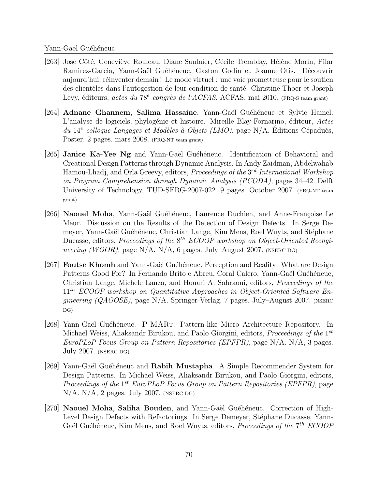- [263] José Côté, Geneviève Rouleau, Diane Saulnier, Cécile Tremblay, Hélène Morin, Pilar Ramirez-Garcìa, Yann-Gaël Guéhéneuc, Gaston Godin et Joanne Otis. Découvrir aujourd'hui, réinventer demain ! Le mode virtuel : une voie prometteuse pour le soutien des clientèles dans l'autogestion de leur condition de santé. Christine Thoer et Joseph Levy, éditeurs, actes du 78<sup>e</sup> congrès de l'ACFAS. ACFAS, mai 2010. (FRQ-S team grant)
- [264] Adnane Ghannem, Salima Hassaine, Yann-Gaël Guéhéneuc et Sylvie Hamel. L'analyse de logiciels, phylogénie et histoire. Mireille Blay-Fornarino, éditeur, Actes du 14<sup>e</sup> colloque Langages et Modèles à Objets (LMO), page N/A. Éditions Cépaduès, Poster. 2 pages. mars 2008. (FRQ-NT team grant)
- [265] Janice Ka-Yee Ng and Yann-Gaël Guéhéneuc. Identification of Behavioral and Creational Design Patterns through Dynamic Analysis. In Andy Zaidman, Abdelwahab Hamou-Lhadj, and Orla Greevy, editors, *Proceedings of the* 3<sup>rd</sup> International Workshop on Program Comprehension through Dynamic Analysis (PCODA), pages 34–42. Delft University of Technology, TUD-SERG-2007-022. 9 pages. October 2007. (FRQ-NT team grant)
- [266] Naouel Moha, Yann-Gaël Guéhéneuc, Laurence Duchien, and Anne-Françoise Le Meur. Discussion on the Results of the Detection of Design Defects. In Serge Demeyer, Yann-Gaël Guéhéneuc, Christian Lange, Kim Mens, Roel Wuyts, and Stéphane Ducasse, editors, Proceedings of the  $8^{th}$  ECOOP workshop on Object-Oriented Reengineering (WOOR), page N/A. N/A, 6 pages. July–August 2007. (NSERC DG)
- [267] **Foutse Khomh** and Yann-Gaël Guéhéneuc. Perception and Reality: What are Design Patterns Good For? In Fernando Brito e Abreu, Coral Calero, Yann-Gaël Guéhéneuc, Christian Lange, Michele Lanza, and Houari A. Sahraoui, editors, Proceedings of the  $11<sup>th</sup> ECOOP$  workshop on Quantitative Approaches in Object-Oriented Software En*gineering (QAOOSE)*, page N/A. Springer-Verlag, 7 pages. July–August 2007. (NSERC) DG)
- [268] Yann-Gaël Guéhéneuc. P-MART: Pattern-like Micro Architecture Repository. In Michael Weiss, Aliaksandr Birukou, and Paolo Giorgini, editors, *Proceedings of the* 1<sup>st</sup> EuroPLoP Focus Group on Pattern Repositories (EPFPR), page N/A. N/A, 3 pages. July 2007. (NSERC DG)
- [269] Yann-Gaël Guéhéneuc and Rabih Mustapha. A Simple Recommender System for Design Patterns. In Michael Weiss, Aliaksandr Birukou, and Paolo Giorgini, editors, Proceedings of the 1<sup>st</sup> EuroPLoP Focus Group on Pattern Repositories (EPFPR), page  $N/A$ .  $N/A$ , 2 pages. July 2007. (NSERC DG)
- $[270]$  Naouel Moha, Saliha Bouden, and Yann-Gaël Guéhéneuc. Correction of High-Level Design Defects with Refactorings. In Serge Demeyer, Stéphane Ducasse, Yann-Gaël Guéhéneuc, Kim Mens, and Roel Wuyts, editors, Proceedings of the  $7<sup>th</sup> ECOOP$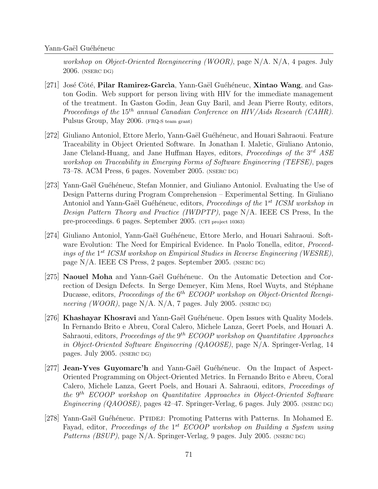workshop on Object-Oriented Reengineering (WOOR), page N/A. N/A, 4 pages. July 2006. (NSERC DG)

- [271] José Côté, Pilar Ramirez-García, Yann-Gaël Guéhéneuc, Xintao Wang, and Gaston Godin. Web support for person living with HIV for the immediate management of the treatment. In Gaston Godin, Jean Guy Baril, and Jean Pierre Routy, editors, Proceedings of the  $15^{th}$  annual Canadian Conference on HIV/Aids Research (CAHR). Pulsus Group, May 2006. (FRQ-S team grant)
- [272] Giuliano Antoniol, Ettore Merlo, Yann-Gaël Guéhéneuc, and Houari Sahraoui. Feature Traceability in Object Oriented Software. In Jonathan I. Maletic, Giuliano Antonio, Jane Cleland-Huang, and Jane Huffman Hayes, editors, *Proceedings of the* 3<sup>rd</sup> ASE workshop on Traceability in Emerging Forms of Software Engineering (TEFSE), pages 73–78. ACM Press, 6 pages. November 2005. (NSERC DG)
- [273] Yann-Gaël Guéhéneuc, Stefan Monnier, and Giuliano Antoniol. Evaluating the Use of Design Patterns during Program Comprehension – Experimental Setting. In Giuliano Antoniol and Yann-Gaël Guéhéneuc, editors, Proceedings of the 1<sup>st</sup> ICSM workshop in Design Pattern Theory and Practice (IWDPTP), page N/A. IEEE CS Press, In the pre-proceedings. 6 pages. September 2005. (CFI project 10363)
- [274] Giuliano Antoniol, Yann-Gaël Guéhéneuc, Ettore Merlo, and Houari Sahraoui. Software Evolution: The Need for Empirical Evidence. In Paolo Tonella, editor, *Proceed*ings of the 1<sup>st</sup> ICSM workshop on Empirical Studies in Reverse Engineering (WESRE), page N/A. IEEE CS Press, 2 pages. September 2005. (NSERC DG)
- [275] Naouel Moha and Yann-Gaël Guéhéneuc. On the Automatic Detection and Correction of Design Defects. In Serge Demeyer, Kim Mens, Roel Wuyts, and Stéphane Ducasse, editors, Proceedings of the 6<sup>th</sup> ECOOP workshop on Object-Oriented Reengineering (WOOR), page N/A. N/A, 7 pages. July 2005. (NSERC DG)
- [276] Khashayar Khosravi and Yann-Gaël Guéhéneuc. Open Issues with Quality Models. In Fernando Brito e Abreu, Coral Calero, Michele Lanza, Geert Poels, and Houari A. Sahraoui, editors, *Proceedings of the*  $9<sup>th</sup> ECOOP$  workshop on Quantitative Approaches in Object-Oriented Software Engineering (QAOOSE), page N/A. Springer-Verlag, 14 pages. July 2005. (NSERC DG)
- [277] **Jean-Yves Guyomarc'h** and Yann-Gaël Guéhéneuc. On the Impact of Aspect-Oriented Programming on Object-Oriented Metrics. In Fernando Brito e Abreu, Coral Calero, Michele Lanza, Geert Poels, and Houari A. Sahraoui, editors, Proceedings of the 9<sup>th</sup> ECOOP workshop on Quantitative Approaches in Object-Oriented Software Engineering (QAOOSE), pages 42–47. Springer-Verlag, 6 pages. July 2005. (NSERC DG)
- [278] Yann-Gaël Guéhéneuc. PTIDEJ: Promoting Patterns with Patterns. In Mohamed E. Fayad, editor, Proceedings of the  $1^{st}$  ECOOP workshop on Building a System using Patterns (BSUP), page N/A. Springer-Verlag, 9 pages. July 2005. (NSERC DG)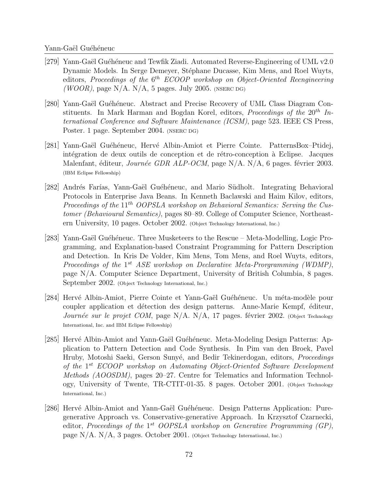- [279] Yann-Gaël Guéhéneuc and Tewfik Ziadi. Automated Reverse-Engineering of UML v2.0 Dynamic Models. In Serge Demeyer, Stéphane Ducasse, Kim Mens, and Roel Wuyts, editors, Proceedings of the  $6^{th}$  ECOOP workshop on Object-Oriented Reengineering (WOOR), page  $N/A$ .  $N/A$ , 5 pages. July 2005. (NSERC DG)
- [280] Yann-Gaël Guéhéneuc. Abstract and Precise Recovery of UML Class Diagram Constituents. In Mark Harman and Bogdan Korel, editors, Proceedings of the  $20^{th}$  International Conference and Software Maintenance (ICSM), page 523. IEEE CS Press, Poster. 1 page. September 2004. (NSERC DG)
- [281] Yann-Gaël Guéhéneuc, Hervé Albin-Amiot et Pierre Cointe. PatternsBox–Ptidej, intégration de deux outils de conception et de rétro-conception à Eclipse. Jacques Malenfant, éditeur, *Journée GDR ALP-OCM*, page N/A. N/A, 6 pages. février 2003. (IBM Eclipse Fellowship)
- [282] Andrés Farías, Yann-Gaël Guéhéneuc, and Mario Südholt. Integrating Behavioral Protocols in Enterprise Java Beans. In Kenneth Baclawski and Haim Kilov, editors, Proceedings of the  $11^{th}$  OOPSLA workshop on Behavioral Semantics: Serving the Customer (Behavioural Semantics), pages 80–89. College of Computer Science, Northeastern University, 10 pages. October 2002. (Object Technology International, Inc.)
- [283] Yann-Gaël Guéhéneuc. Three Musketeers to the Rescue Meta-Modelling, Logic Programming, and Explanation-based Constraint Programming for Pattern Description and Detection. In Kris De Volder, Kim Mens, Tom Mens, and Roel Wuyts, editors, Proceedings of the  $1^{st}$  ASE workshop on Declarative Meta-Prorgramming (WDMP), page N/A. Computer Science Department, University of British Columbia, 8 pages. September 2002. (Object Technology International, Inc.)
- [284] Hervé Albin-Amiot, Pierre Cointe et Yann-Gaël Guéhéneuc. Un méta-modèle pour coupler application et détection des design patterns. Anne-Marie Kempf, éditeur, Journée sur le projet COM, page N/A. N/A, 17 pages. février 2002. (Object Technology International, Inc. and IBM Eclipse Fellowship)
- [285] Herv´e Albin-Amiot and Yann-Ga¨el Gu´eh´eneuc. Meta-Modeling Design Patterns: Application to Pattern Detection and Code Synthesis. In Pim van den Broek, Pavel Hruby, Motoshi Saeki, Gerson Sunyé, and Bedir Tekinerdogan, editors, *Proceedings* of the 1 st ECOOP workshop on Automating Object-Oriented Software Development Methods (AOOSDM), pages 20–27. Centre for Telematics and Information Technology, University of Twente, TR-CTIT-01-35. 8 pages. October 2001. (Object Technology International, Inc.)
- [286] Hervé Albin-Amiot and Yann-Gaël Guéhéneuc. Design Patterns Application: Puregenerative Approach vs. Conservative-generative Approach. In Krzysztof Czarnecki, editor, Proceedings of the 1<sup>st</sup> OOPSLA workshop on Generative Programming (GP), page  $N/A$ .  $N/A$ , 3 pages. October 2001. (Object Technology International, Inc.)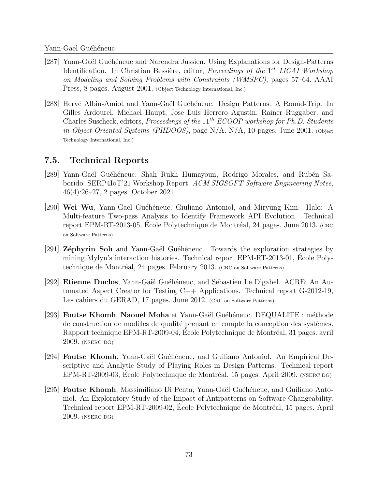- [287] Yann-Gaël Guéhéneuc and Narendra Jussien. Using Explanations for Design-Patterns Identification. In Christian Bessière, editor, *Proceedings of the* 1<sup>st</sup> IJCAI Workshop on Modeling and Solving Problems with Constraints (WMSPC), pages 57–64. AAAI Press, 8 pages. August 2001. (Object Technology International, Inc.)
- [288] Hervé Albin-Amiot and Yann-Gaël Guéhéneuc. Design Patterns: A Round-Trip. In Gilles Ardourel, Michael Haupt, Jose Luis Herrero Agustin, Rainer Ruggaber, and Charles Suscheck, editors, *Proceedings of the*  $11^{th}$  *ECOOP workshop for Ph.D. Students* in Object-Oriented Systems (PHDOOS), page N/A. N/A, 10 pages. June 2001. (Object Technology International, Inc.)

### 7.5. Technical Reports

- [289] Yann-Gaël Guéhéneuc, Shah Rukh Humayoun, Rodrigo Morales, and Rubén Saborido. SERP4IoT'21 Workshop Report. ACM SIGSOFT Software Engineering Notes, 46(4):26–27, 2 pages. October 2021.
- [290] Wei Wu, Yann-Gaël Guéhéneuc, Giuliano Antoniol, and Miryung Kim. Halo: A Multi-feature Two-pass Analysis to Identify Framework API Evolution. Technical report EPM-RT-2013-05, Ecole Polytechnique de Montréal, 24 pages. June 2013. (CRC on Software Patterns)
- [291] Zéphyrin Soh and Yann-Gaël Guéhéneuc. Towards the exploration strategies by mining Mylyn's interaction histories. Technical report EPM-RT-2013-01, Ecole Poly- ´ technique de Montréal, 24 pages. February 2013. (CRC on Software Patterns)
- [292] Etienne Duclos, Yann-Gaël Guéhéneuc, and Sébastien Le Digabel. ACRE: An Automated Aspect Creator for Testing C++ Applications. Technical report G-2012-19, Les cahiers du GERAD, 17 pages. June 2012. (CRC on Software Patterns)
- [293] Foutse Khomh, Naouel Moha et Yann-Gaël Guéhéneuc. DEQUALITE : méthode de construction de modèles de qualité prenant en compte la conception des systèmes. Rapport technique EPM-RT-2009-04, École Polytechnique de Montréal, 31 pages. avril 2009. (NSERC DG)
- [294] Foutse Khomh, Yann-Gaël Guéhéneuc, and Guiliano Antoniol. An Empirical Descriptive and Analytic Study of Playing Roles in Design Patterns. Technical report EPM-RT-2009-03, Ecole Polytechnique de Montréal, 15 pages. April 2009. (NSERC DG)
- [295] **Foutse Khomh**, Massimiliano Di Penta, Yann-Gaël Guéhéneuc, and Guiliano Antoniol. An Exploratory Study of the Impact of Antipatterns on Software Changeability. Technical report EPM-RT-2009-02, Ecole Polytechnique de Montréal, 15 pages. April 2009. (NSERC DG)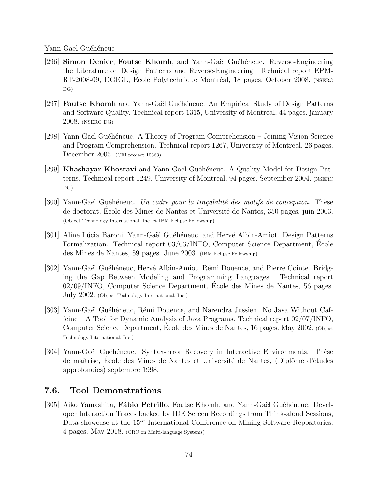- [296] Simon Denier, Foutse Khomh, and Yann-Gaël Guéhéneuc. Reverse-Engineering the Literature on Design Patterns and Reverse-Engineering. Technical report EPM-RT-2008-09, DGIGL, Ecole Polytechnique Montréal, 18 pages. October 2008. (NSERC DG)
- [297] **Foutse Khomh** and Yann-Gaël Guéhéneuc. An Empirical Study of Design Patterns and Software Quality. Technical report 1315, University of Montreal, 44 pages. january 2008. (NSERC DG)
- [298] Yann-Gaël Guéhéneuc. A Theory of Program Comprehension Joining Vision Science and Program Comprehension. Technical report 1267, University of Montreal, 26 pages. December 2005. (CFI project 10363)
- [299] Khashayar Khosravi and Yann-Gaël Guéhéneuc. A Quality Model for Design Patterns. Technical report 1249, University of Montreal, 94 pages. September 2004. (NSERC DG)
- $[300]$  Yann-Gaël Guéhéneuc. Un cadre pour la traçabilité des motifs de conception. Thèse de doctorat, Ecole des Mines de Nantes et Université de Nantes, 350 pages. juin 2003. (Object Technology International, Inc. et IBM Eclipse Fellowship)
- [301] Aline Lúcia Baroni, Yann-Gaël Guéhéneuc, and Hervé Albin-Amiot. Design Patterns Formalization. Technical report 03/03/INFO, Computer Science Department, Ecole ´ des Mines de Nantes, 59 pages. June 2003. (IBM Eclipse Fellowship)
- [302] Yann-Gaël Guéhéneuc, Hervé Albin-Amiot, Rémi Douence, and Pierre Cointe. Bridging the Gap Between Modeling and Programming Languages. Technical report 02/09/INFO, Computer Science Department, Ecole des Mines de Nantes, 56 pages. ´ July 2002. (Object Technology International, Inc.)
- [303] Yann-Gaël Guéhéneuc, Rémi Douence, and Narendra Jussien. No Java Without Caffeine – A Tool for Dynamic Analysis of Java Programs. Technical report 02/07/INFO, Computer Science Department, Ecole des Mines de Nantes, 16 pages. May 2002. (Object Technology International, Inc.)
- [304] Yann-Gaël Guéhéneuc. Syntax-error Recovery in Interactive Environments. Thèse de maîtrise, Ecole des Mines de Nantes et Université de Nantes, (Diplôme d'études approfondies) septembre 1998.

## 7.6. Tool Demonstrations

[305] Aiko Yamashita, **Fábio Petrillo**, Foutse Khomh, and Yann-Gaël Guéhéneuc. Developer Interaction Traces backed by IDE Screen Recordings from Think-aloud Sessions, Data showcase at the  $15<sup>th</sup>$  International Conference on Mining Software Repositories. 4 pages. May 2018. (CRC on Multi-language Systems)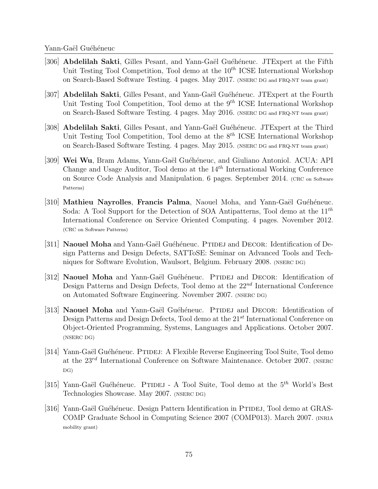- [306] Abdelilah Sakti, Gilles Pesant, and Yann-Gaël Guéhéneuc. JTExpert at the Fifth Unit Testing Tool Competition, Tool demo at the  $10^{th}$  ICSE International Workshop on Search-Based Software Testing. 4 pages. May 2017. (NSERC DG and FRQ-NT team grant)
- [307] Abdelilah Sakti, Gilles Pesant, and Yann-Gaël Guéhéneuc. JTExpert at the Fourth Unit Testing Tool Competition, Tool demo at the  $9<sup>th</sup> ICSE$  International Workshop on Search-Based Software Testing. 4 pages. May 2016. (NSERC DG and FRQ-NT team grant)
- [308] Abdelilah Sakti, Gilles Pesant, and Yann-Gaël Guéhéneuc. JTExpert at the Third Unit Testing Tool Competition, Tool demo at the  $8^{th}$  ICSE International Workshop on Search-Based Software Testing. 4 pages. May 2015. (NSERC DG and FRQ-NT team grant)
- [309] Wei Wu, Bram Adams, Yann-Gaël Guéhéneuc, and Giuliano Antoniol. ACUA: API Change and Usage Auditor, Tool demo at the  $14<sup>th</sup>$  International Working Conference on Source Code Analysis and Manipulation. 6 pages. September 2014. (CRC on Software Patterns)
- [310] Mathieu Nayrolles, Francis Palma, Naouel Moha, and Yann-Gaël Guéhéneuc. Soda: A Tool Support for the Detection of SOA Antipatterns, Tool demo at the  $11^{th}$ International Conference on Service Oriented Computing. 4 pages. November 2012. (CRC on Software Patterns)
- [311] Naouel Moha and Yann-Gaël Guéhéneuc. PTIDEJ and DECOR: Identification of Design Patterns and Design Defects, SATToSE: Seminar on Advanced Tools and Techniques for Software Evolution, Waulsort, Belgium. February 2008. (NSERC DG)
- [312] Naouel Moha and Yann-Gaël Guéhéneuc. PTIDEJ and DECOR: Identification of Design Patterns and Design Defects, Tool demo at the  $22^{nd}$  International Conference on Automated Software Engineering. November 2007. (NSERC DG)
- [313] Naouel Moha and Yann-Gaël Guéhéneuc. PTIDEJ and DECOR: Identification of Design Patterns and Design Defects, Tool demo at the  $21^{st}$  International Conference on Object-Oriented Programming, Systems, Languages and Applications. October 2007. (NSERC DG)
- [314] Yann-Gaël Guéhéneuc. PTIDEJ: A Flexible Reverse Engineering Tool Suite, Tool demo at the  $23^{rd}$  International Conference on Software Maintenance. October 2007. (NSERC DG)
- [315] Yann-Gaël Guéhéneuc. PTIDEJ A Tool Suite, Tool demo at the  $5<sup>th</sup>$  World's Best Technologies Showcase. May 2007. (NSERC DG)
- [316] Yann-Gaël Guéhéneuc. Design Pattern Identification in PTIDEJ, Tool demo at GRAS-COMP Graduate School in Computing Science 2007 (COMP013). March 2007. (INRIA mobility grant)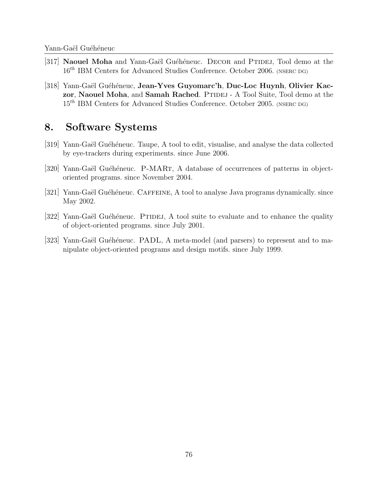- [317] Naouel Moha and Yann-Gaël Guéhéneuc. DECOR and PTIDEJ, Tool demo at the  $16^{th}$  IBM Centers for Advanced Studies Conference. October 2006. (NSERC DG)
- |318| Yann-Gaël Guéhéneuc, Jean-Yves Guyomarc'h, Duc-Loc Huynh, Olivier Kaczor, Naouel Moha, and Samah Rached. PTIDEJ - A Tool Suite, Tool demo at the  $15<sup>th</sup>$  IBM Centers for Advanced Studies Conference. October 2005. (NSERC DG)

# 8. Software Systems

- [319] Yann-Gaël Guéhéneuc. Taupe, A tool to edit, visualise, and analyse the data collected by eye-trackers during experiments. since June 2006.
- [320] Yann-Gaël Guéhéneuc. P-MART, A database of occurrences of patterns in objectoriented programs. since November 2004.
- [321] Yann-Gaël Guéhéneuc. CAFFEINE, A tool to analyse Java programs dynamically. since May 2002.
- [322] Yann-Gaël Guéhéneuc. PTIDEJ, A tool suite to evaluate and to enhance the quality of object-oriented programs. since July 2001.
- [323] Yann-Gaël Guéhéneuc. PADL, A meta-model (and parsers) to represent and to manipulate object-oriented programs and design motifs. since July 1999.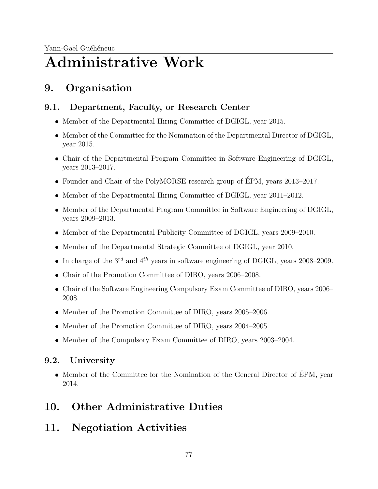# Administrative Work

# 9. Organisation

# 9.1. Department, Faculty, or Research Center

- Member of the Departmental Hiring Committee of DGIGL, year 2015.
- Member of the Committee for the Nomination of the Departmental Director of DGIGL, year 2015.
- Chair of the Departmental Program Committee in Software Engineering of DGIGL, years 2013–2017.
- Founder and Chair of the PolyMORSE research group of ÉPM, years 2013–2017.
- Member of the Departmental Hiring Committee of DGIGL, year 2011–2012.
- Member of the Departmental Program Committee in Software Engineering of DGIGL, years 2009–2013.
- Member of the Departmental Publicity Committee of DGIGL, years 2009–2010.
- Member of the Departmental Strategic Committee of DGIGL, year 2010.
- In charge of the  $3^{rd}$  and  $4^{th}$  years in software engineering of DGIGL, years 2008–2009.
- Chair of the Promotion Committee of DIRO, years 2006–2008.
- Chair of the Software Engineering Compulsory Exam Committee of DIRO, years 2006– 2008.
- Member of the Promotion Committee of DIRO, years 2005–2006.
- Member of the Promotion Committee of DIRO, years 2004–2005.
- Member of the Compulsory Exam Committee of DIRO, years 2003–2004.

# 9.2. University

• Member of the Committee for the Nomination of the General Director of ÉPM, year 2014.

# 10. Other Administrative Duties

11. Negotiation Activities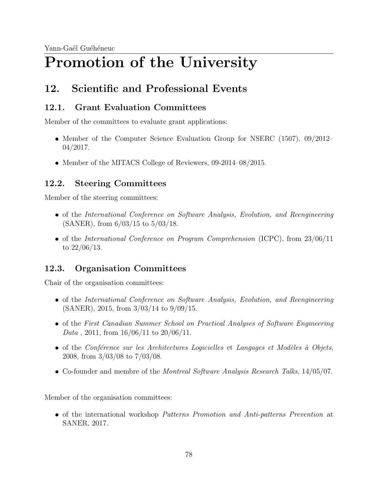# Promotion of the University

# 12. Scientific and Professional Events

# 12.1. Grant Evaluation Committees

Member of the committees to evaluate grant applications:

- Member of the Computer Science Evaluation Group for NSERC (1507), 09/2012– 04/2017.
- Member of the MITACS College of Reviewers, 09-2014–08/2015.

# 12.2. Steering Committees

Member of the steering committees:

- of the International Conference on Software Analysis, Evolution, and Reengineering (SANER), from 6/03/15 to 5/03/18.
- of the International Conference on Program Comprehension (ICPC), from 23/06/11 to 22/06/13.

# 12.3. Organisation Committees

Chair of the organisation committees:

- of the International Conference on Software Analysis, Evolution, and Reengineering (SANER), 2015, from 3/03/14 to 9/09/15.
- of the First Canadian Summer School on Practical Analyses of Software Engineering Data, 2011, from  $16/06/11$  to  $20/06/11$ .
- of the Conférence sur les Architectures Logicielles et Langages et Modèles à Objets, 2008, from 3/03/08 to 7/03/08.
- Co-founder and membre of the *Montreal Software Analysis Research Talks*, 14/05/07.

Member of the organisation committees:

of the international workshop Patterns Promotion and Anti-patterns Prevention at SANER, 2017.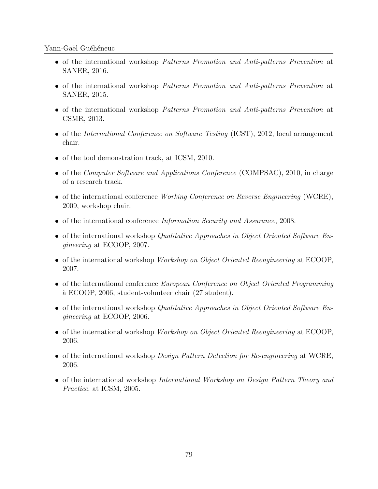- of the international workshop Patterns Promotion and Anti-patterns Prevention at SANER, 2016.
- of the international workshop Patterns Promotion and Anti-patterns Prevention at SANER, 2015.
- of the international workshop Patterns Promotion and Anti-patterns Prevention at CSMR, 2013.
- of the *International Conference on Software Testing* (ICST), 2012, local arrangement chair.
- of the tool demonstration track, at ICSM, 2010.
- of the Computer Software and Applications Conference (COMPSAC), 2010, in charge of a research track.
- of the international conference Working Conference on Reverse Engineering (WCRE), 2009, workshop chair.
- of the international conference Information Security and Assurance, 2008.
- $\bullet$  of the international workshop *Qualitative Approaches in Object Oriented Software En*gineering at ECOOP, 2007.
- $\bullet$  of the international workshop Workshop on Object Oriented Reengineering at ECOOP, 2007.
- of the international conference European Conference on Object Oriented Programming `a ECOOP, 2006, student-volunteer chair (27 student).
- $\bullet$  of the international workshop *Qualitative Approaches in Object Oriented Software En*gineering at ECOOP, 2006.
- $\bullet$  of the international workshop Workshop on Object Oriented Reengineering at ECOOP, 2006.
- of the international workshop *Design Pattern Detection for Re-engineering* at WCRE, 2006.
- of the international workshop International Workshop on Design Pattern Theory and Practice, at ICSM, 2005.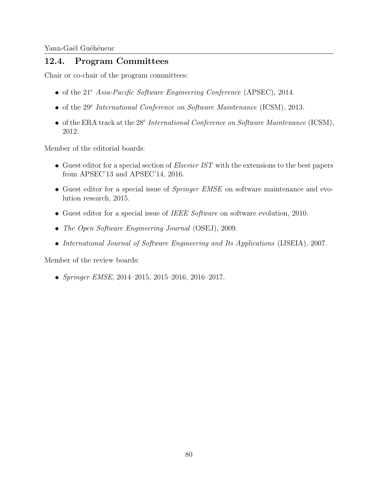## 12.4. Program Committees

Chair or co-chair of the program committees:

- $\bullet$  of the 21<sup>e</sup> Asia-Pacific Software Engineering Conference (APSEC), 2014.
- of the  $29^e$  International Conference on Software Maintenance (ICSM), 2013.
- of the ERA track at the  $28<sup>e</sup>$  International Conference on Software Maintenance (ICSM), 2012.

Member of the editorial boards:

- Guest editor for a special section of *Elsevier IST* with the extensions to the best papers from APSEC'13 and APSEC'14, 2016.
- Guest editor for a special issue of *Springer EMSE* on software maintenance and evolution research, 2015.
- Guest editor for a special issue of IEEE Software on software evolution, 2010.
- The Open Software Engineering Journal (OSEJ), 2009.
- International Journal of Software Engineering and Its Applications (IJSEIA), 2007.

Member of the review boards:

Springer EMSE, 2014–2015, 2015–2016, 2016–2017.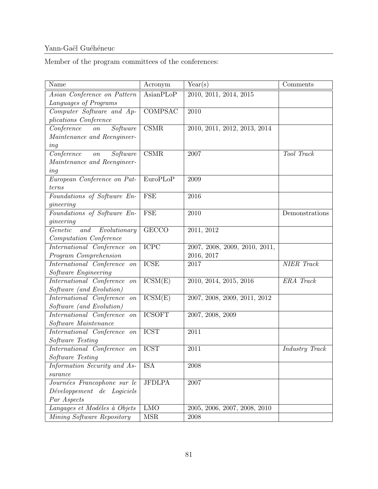Member of the program committees of the conferences:  $% \alpha$ 

| Name                                      | Acronym                  | Year(s)                       | Comments       |
|-------------------------------------------|--------------------------|-------------------------------|----------------|
| Asian Conference on Pattern               | AsianPLoP                | 2010, 2011, 2014, 2015        |                |
| Languages of Programs                     |                          |                               |                |
| Computer Software and Ap-                 | <b>COMPSAC</b>           | 2010                          |                |
| <i>plications Conference</i>              |                          |                               |                |
| Conference<br>Software<br>$\overline{on}$ | $\overline{\text{CSMR}}$ | 2010, 2011, 2012, 2013, 2014  |                |
| Maintenance and Reengineer-               |                          |                               |                |
| ing                                       |                          |                               |                |
| Conference<br>Software<br>$\emph{on}$     | $\overline{\text{CSMR}}$ | 2007                          | Tool Track     |
| Maintenance and Reengineer-               |                          |                               |                |
| ing                                       |                          |                               |                |
| European Conference on Pat-               | EuroPLoP                 | 2009                          |                |
| terns                                     |                          |                               |                |
| Foundations of Software En-               | <b>FSE</b>               | 2016                          |                |
| gineering                                 |                          |                               |                |
| Foundations of Software En-               | FSE                      | 2010                          | Demonstrations |
| gineering                                 |                          |                               |                |
| Genetic<br>Evolutionary<br>and            | <b>GECCO</b>             | 2011, 2012                    |                |
| Computation Conference                    |                          |                               |                |
| International Conference on               | <b>ICPC</b>              | 2007, 2008, 2009, 2010, 2011, |                |
| Program Comprehension                     |                          | 2016, 2017                    |                |
| International Conference on               | <b>ICSE</b>              | 2017                          | NIER Track     |
| Software Engineering                      |                          |                               |                |
| International Conference on               | ICSM(E)                  | 2010, 2014, 2015, 2016        | ERA Track      |
| Software (and Evolution)                  |                          |                               |                |
| International Conference on               | ICSM(E)                  | 2007, 2008, 2009, 2011, 2012  |                |
| Software (and Evolution)                  |                          |                               |                |
| International Conference on               | <b>ICSOFT</b>            | 2007, 2008, 2009              |                |
| Software Maintenance                      |                          |                               |                |
| International Conference on               | <b>ICST</b>              | 2011                          |                |
| Software Testing                          |                          |                               |                |
| International Conference on               | <b>ICST</b>              | 2011                          | Industry Track |
| Software Testing                          |                          |                               |                |
| Information Security and As-              | <b>ISA</b>               | 2008                          |                |
| surance                                   |                          |                               |                |
| Journées Francophone sur le               | <b>JFDLPA</b>            | 2007                          |                |
| Développement de Logiciels                |                          |                               |                |
| Par Aspects                               |                          |                               |                |
| Langages et Modèles à Objets              | <b>LMO</b>               | 2005, 2006, 2007, 2008, 2010  |                |
| Mining Software Repository                | <b>MSR</b>               | 2008                          |                |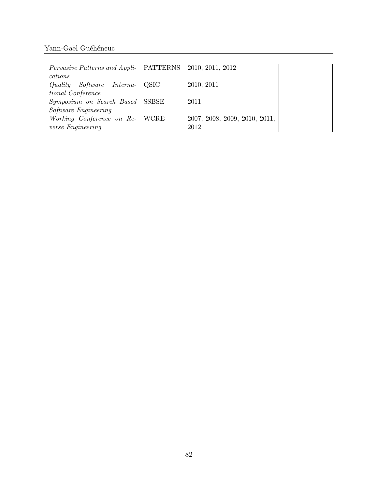| <i>Pervasive Patterns and Appli-</i>   PATTERNS   2010, 2011, 2012 |                               |  |
|--------------------------------------------------------------------|-------------------------------|--|
| cations                                                            |                               |  |
| Quality<br>$Software$ Interna- $\vert$ QSIC                        | 2010, 2011                    |  |
| tional Conference                                                  |                               |  |
| Symposium on Search Based   SSBSE                                  | 2011                          |  |
| Software Engineering                                               |                               |  |
| <i>Working Conference on Re-</i>   WCRE                            | 2007, 2008, 2009, 2010, 2011, |  |
| verse Engineering                                                  | 2012                          |  |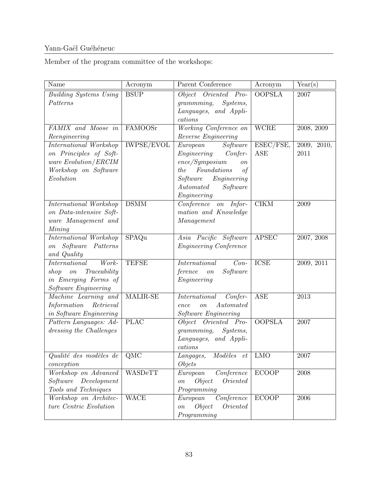Member of the program committee of the workshops:  $% \left\vert \cdot \right\rangle$ 

| Name                               | Acronym           | Parent Conference                            | Acronym       | Year(s)     |
|------------------------------------|-------------------|----------------------------------------------|---------------|-------------|
| <b>Building Systems Using</b>      | <b>BSUP</b>       | Object Oriented Pro-                         | <b>OOPSLA</b> | 2007        |
| Patterns                           |                   | grammming,<br>Systems,                       |               |             |
|                                    |                   | Languages, and Appli-                        |               |             |
|                                    |                   | cations                                      |               |             |
| FAMIX and Moose in                 | FAMOOSr           | Working Conference on                        | <b>WCRE</b>   | 2008, 2009  |
| Reengineering                      |                   | Reverse Engineering                          |               |             |
| International Workshop             | <b>IWPSE/EVOL</b> | Software<br>European                         | ESEC/FSE,     | 2009, 2010, |
| on Principles of Soft-             |                   | Engineering Confer-                          | ASE           | 2011        |
| ware Evolution/ERCIM               |                   | ence/Symposium<br>$\mathfrak{o} n$           |               |             |
| Workshop on Software               |                   | Foundations<br>the<br>of                     |               |             |
| Evolution                          |                   | Engineering<br>Software                      |               |             |
|                                    |                   | Automated<br>Software                        |               |             |
|                                    |                   | Engineering                                  |               |             |
| International Workshop             | <b>DSMM</b>       | $\overline{Conference\quad on \quad}$ Infor- | CIKM          | 2009        |
| on Data-intensive Soft-            |                   | mation and Knowledge                         |               |             |
| ware Management and                |                   | Management                                   |               |             |
| Mining                             |                   |                                              |               |             |
| International Workshop             | SPAQu             | Asia Pacific Software                        | <b>APSEC</b>  | 2007, 2008  |
| on Software Patterns               |                   | <i>Engineering Conference</i>                |               |             |
| and Quality                        |                   |                                              |               |             |
| International<br>Work-             | <b>TEFSE</b>      | $Con-$<br>International                      | <b>ICSE</b>   | 2009, 2011  |
| Traceability<br>shop on            |                   | ference<br>Software<br>$\emph{on}$           |               |             |
| in Emerging Forms of               |                   | Engineering                                  |               |             |
| Software Engineering               |                   |                                              |               |             |
| Machine Learning and               | MALIR-SE          | International<br>Confer-                     | <b>ASE</b>    | 2013        |
| Information Retrieval              |                   | Automated<br>ence<br>$\it on$                |               |             |
| in Software Engineering            |                   | Software Engineering                         |               |             |
| Pattern Languages: Ad-             | <b>PLAC</b>       | Object Oriented Pro-                         | <b>OOPSLA</b> | $2007\,$    |
| dressing the Challenges            |                   | grammming, Systems,                          |               |             |
|                                    |                   | Languages, and Appli-                        |               |             |
|                                    |                   | cations                                      |               |             |
| Qualité des modèles de $\vert$ QMC |                   | Langages, Modèles et   LMO                   |               | 2007        |
| conception                         |                   | <i>Objets</i>                                |               |             |
| Workshop on Advanced               | WASDeTT           | Conference<br>European                       | ECOOP         | $\,2008\,$  |
| Software<br>Development            |                   | Oriented<br>Object<br>$\emph{on}$            |               |             |
| Tools and Techniques               |                   | Programming                                  |               |             |
| Workshop on Architec-              | <b>WACE</b>       | $\overline{Conference}$<br>European          | <b>ECOOP</b>  | 2006        |
| ture Centric Evolution             |                   | Object<br>Oriented<br>$\overline{on}$        |               |             |
|                                    |                   | Programming                                  |               |             |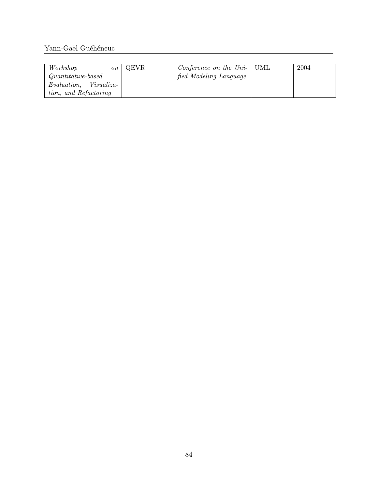| Workshop               | $\sqrt{on}$   QEVR | <i>Conference on the Uni-</i> $\vert$ UML | 2004 |
|------------------------|--------------------|-------------------------------------------|------|
| $Quantitative-based$   |                    | fied Modeling Language                    |      |
| Evaluation, Visualiza- |                    |                                           |      |
| tion, and Refactoring  |                    |                                           |      |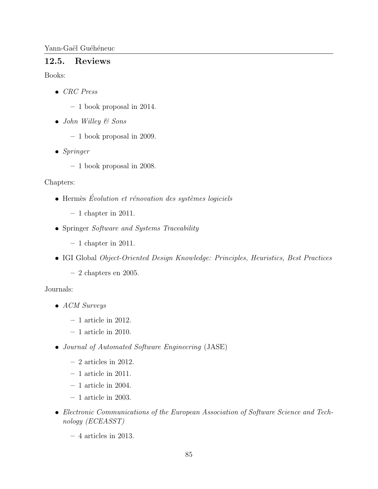#### 12.5. **Reviews**

Books:

- $\bullet$  CRC Press
	- $-1$  book proposal in 2014.
- $\bullet$  John Willey & Sons
	- $-1$  book proposal in 2009.
- $\bullet$  Springer
	- $-1$  book proposal in 2008.

### Chapters:

- $\bullet$  Hermès Évolution et rénovation des systèmes logiciels
	- $-1$  chapter in 2011.
- Springer Software and Systems Traceability
	- $-1$  chapter in 2011.
- IGI Global Object-Oriented Design Knowledge: Principles, Heuristics, Best Practices
	- $-2$  chapters en 2005.

### Journals:

- $\bullet$  ACM Surveys
	- $-1$  article in 2012.
	- $-1$  article in 2010.
- Journal of Automated Software Engineering (JASE)
	- $-2$  articles in 2012.
	- $-1$  article in 2011.
	- $-1$  article in 2004.
	- $-1$  article in 2003.
- Electronic Communications of the European Association of Software Science and Technology (ECEASST)
	- $-4$  articles in 2013.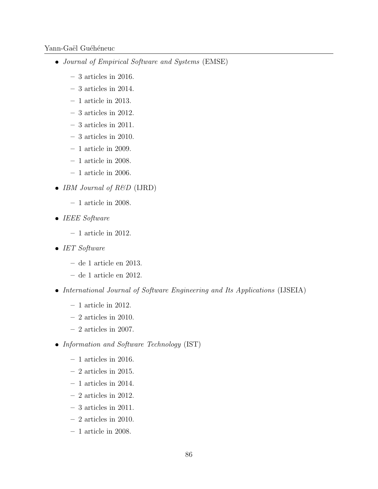- Journal of Empirical Software and Systems (EMSE)
	- 3 articles in 2016.
	- 3 articles in 2014.
	- 1 article in 2013.
	- 3 articles in 2012.
	- 3 articles in 2011.
	- 3 articles in 2010.
	- $-1$  article in 2009.
	- $-1$  article in 2008.
	- $-1$  article in 2006.
- IBM Journal of  $R\&D$  (IJRD)
	- 1 article in 2008.
- $\bullet$  IEEE Software
	- $-1$  article in 2012.
- $\bullet$  IET Software
	- de 1 article en 2013.
	- de 1 article en 2012.
- International Journal of Software Engineering and Its Applications (IJSEIA)
	- $-$  1 article in 2012.
	- $-2$  articles in 2010.
	- $-2$  articles in 2007.
- Information and Software Technology (IST)
	- $-1$  articles in 2016.
	- $-2$  articles in 2015.
	- 1 articles in 2014.
	- 2 articles in 2012.
	- 3 articles in 2011.
	- 2 articles in 2010.
	- $-1$  article in 2008.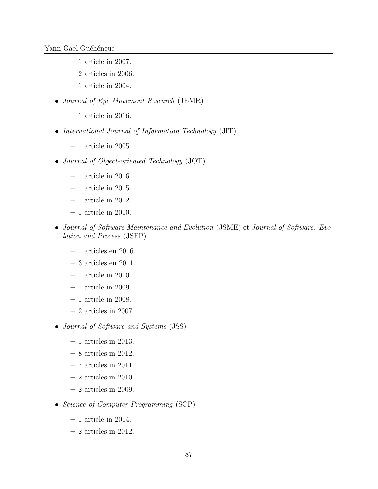- $-1$  article in 2007.
- $-2$  articles in 2006.
- $-1$  article in 2004.
- Journal of Eye Movement Research (JEMR)
	- $-1$  article in 2016.
- International Journal of Information Technology (JIT)
	- $-1$  article in 2005.
- Journal of Object-oriented Technology (JOT)
	- $-1$  article in 2016.
	- 1 article in 2015.
	- $-1$  article in 2012.
	- 1 article in 2010.
- Journal of Software Maintenance and Evolution (JSME) et Journal of Software: Evolution and Process (JSEP)
	- $-1$  articles en 2016.
	- 3 articles en 2011.
	- $-1$  article in 2010.
	- 1 article in 2009.
	- 1 article in 2008.
	- 2 articles in 2007.
- Journal of Software and Systems (JSS)
	- 1 articles in 2013.
	- 8 articles in 2012.
	- 7 articles in 2011.
	- $-2$  articles in 2010.
	- 2 articles in 2009.
- Science of Computer Programming (SCP)
	- 1 article in 2014.
	- 2 articles in 2012.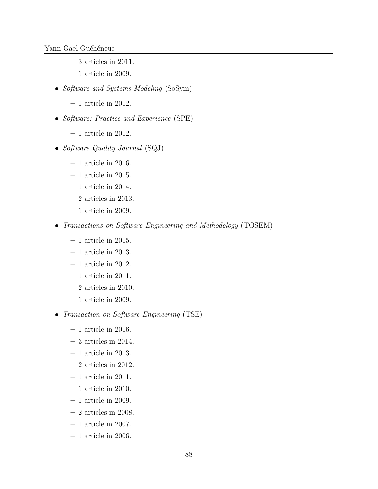- 3 articles in 2011.
- 1 article in 2009.
- Software and Systems Modeling (SoSym)
	- 1 article in 2012.
- Software: Practice and Experience (SPE)
	- $-1$  article in 2012.
- Software Quality Journal (SQJ)
	- 1 article in 2016.
	- $-1$  article in 2015.
	- $-1$  article in 2014.
	- $-2$  articles in 2013.
	- $-1$  article in 2009.
- Transactions on Software Engineering and Methodology (TOSEM)
	- $-1$  article in 2015.
	- 1 article in 2013.
	- $-1$  article in 2012.
	- $-1$  article in 2011.
	- 2 articles in 2010.
	- $-1$  article in 2009.
- Transaction on Software Engineering (TSE)
	- $-1$  article in 2016.
	- 3 articles in 2014.
	- 1 article in 2013.
	- $-2$  articles in 2012.
	- $-1$  article in 2011.
	- $-1$  article in 2010.
	- $-1$  article in 2009.
	- 2 articles in 2008.
	- $-$  1 article in 2007.
	- $-1$  article in 2006.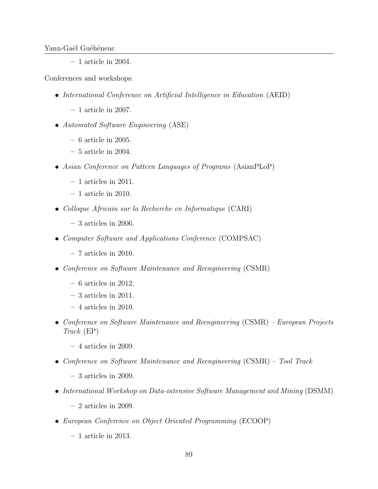$-1$  article in 2004.

Conferences and workshops:

- International Conference on Artificial Intelligence in Education (AEID)
	- 1 article in 2007.
- Automated Software Engineering (ASE)
	- 6 article in 2005.
	- 5 article in 2004.
- Asian Conference on Pattern Languages of Programs (AsianPLoP)
	- 1 articles in 2011.
	- 1 article in 2010.
- Colloque Africain sur la Recherche en Informatique (CARI)
	- $-3$  articles in 2006.
- Computer Software and Applications Conference (COMPSAC)
	- 7 articles in 2010.
- Conference on Software Maintenance and Reengineering (CSMR)
	- $-6$  articles in 2012.
	- 3 articles in 2011.
	- 4 articles in 2010.
- Conference on Software Maintenance and Reengineering (CSMR) European Projects Track (EP)
	- 4 articles in 2009.
- Conference on Software Maintenance and Reengineering (CSMR) Tool Track
	- 3 articles in 2009.
- International Workshop on Data-intensive Software Management and Mining (DSMM)
	- $-2$  articles in 2009.
- European Conference on Object Oriented Programming (ECOOP)
	- 1 article in 2013.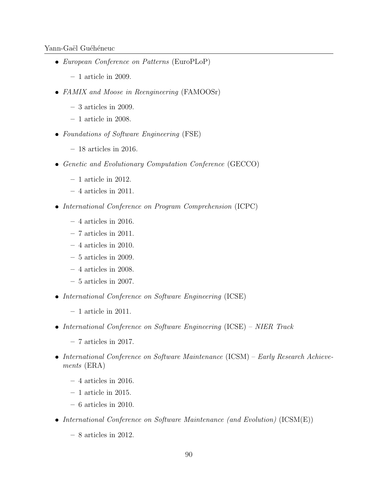- European Conference on Patterns (EuroPLoP)
	- 1 article in 2009.
- FAMIX and Moose in Reengineering (FAMOOSr)
	- $-3$  articles in 2009.
	- $-1$  article in 2008.
- Foundations of Software Engineering (FSE)
	- 18 articles in 2016.
- Genetic and Evolutionary Computation Conference (GECCO)
	- $-1$  article in 2012.
	- $-4$  articles in 2011.
- International Conference on Program Comprehension (ICPC)
	- $-4$  articles in 2016.
	- $-7$  articles in 2011.
	- $-4$  articles in 2010.
	- $-5$  articles in 2009.
	- $-4$  articles in 2008.
	- 5 articles in 2007.
- International Conference on Software Engineering (ICSE)
	- $-1$  article in 2011.
- International Conference on Software Engineering (ICSE) NIER Track
	- 7 articles in 2017.
- International Conference on Software Maintenance (ICSM) Early Research Achievements (ERA)
	- $-4$  articles in 2016.
	- $-1$  article in 2015.
	- 6 articles in 2010.
- International Conference on Software Maintenance (and Evolution) (ICSM(E))
	- 8 articles in 2012.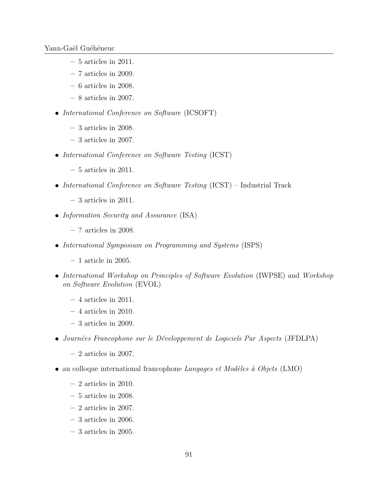- $-5$  articles in 2011.
- 7 articles in 2009.
- 6 articles in 2008.
- 8 articles in 2007.
- International Conference on Software (ICSOFT)
	- 3 articles in 2008.
	- $-3$  articles in 2007.
- International Conference on Software Testing (ICST)
	- 5 articles in 2011.
- International Conference on Software Testing  $(ICST)$  Industrial Track
	- 3 articles in 2011.
- Information Security and Assurance (ISA)
	- ? articles in 2008.
- International Symposium on Programming and Systems (ISPS)
	- $-1$  article in 2005.
- International Workshop on Principles of Software Evolution (IWPSE) and Workshop on Software Evolution (EVOL)
	- $-4$  articles in 2011.
	- 4 articles in 2010.
	- 3 articles in 2009.
- Journées Francophone sur le Développement de Logiciels Par Aspects (JFDLPA)
	- $-2$  articles in 2007.
- au colloque international francophone  $Langages$  et Modèles à Objets (LMO)
	- $-2$  articles in 2010.
	- $-5$  articles in 2008.
	- $-2$  articles in 2007.
	- 3 articles in 2006.
	- 3 articles in 2005.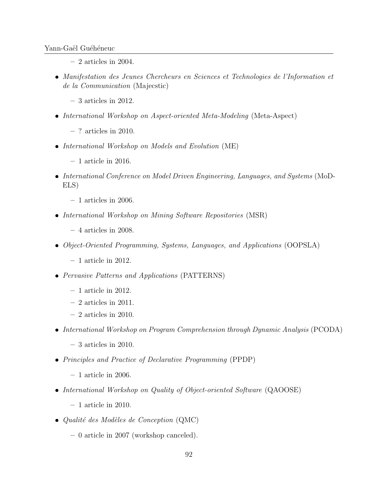- $-2$  articles in 2004.
- Manifestation des Jeunes Chercheurs en Sciences et Technologies de l'Information et de la Communication (Majecstic)
	- 3 articles in 2012.
- International Workshop on Aspect-oriented Meta-Modeling (Meta-Aspect)
	- $-$ ? articles in 2010.
- International Workshop on Models and Evolution (ME)
	- $-1$  article in 2016.
- International Conference on Model Driven Engineering, Languages, and Systems (MoD-ELS)
	- $-1$  articles in 2006.
- International Workshop on Mining Software Repositories (MSR)
	- 4 articles in 2008.
- Object-Oriented Programming, Systems, Languages, and Applications (OOPSLA)
	- $-1$  article in 2012.
- Pervasive Patterns and Applications (PATTERNS)
	- 1 article in 2012.
	- 2 articles in 2011.
	- $-2$  articles in 2010.
- International Workshop on Program Comprehension through Dynamic Analysis (PCODA)
	- 3 articles in 2010.
- Principles and Practice of Declarative Programming (PPDP)
	- $-1$  article in 2006.
- International Workshop on Quality of Object-oriented Software (QAOOSE)
	- 1 article in 2010.
- $\bullet$  Qualité des Modèles de Conception (QMC)
	- 0 article in 2007 (workshop canceled).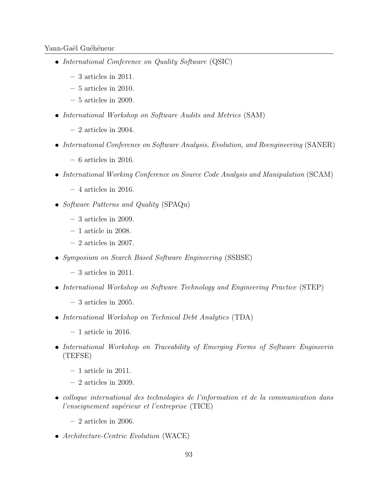- International Conference on Quality Software (QSIC)
	- 3 articles in 2011.
	- 5 articles in 2010.
	- 5 articles in 2009.
- International Workshop on Software Audits and Metrics (SAM)
	- $-2$  articles in 2004.
- International Conference on Software Analysis, Evolution, and Reengineering (SANER)
	- $-6$  articles in 2016.
- International Working Conference on Source Code Analysis and Manipulation (SCAM)
	- 4 articles in 2016.
- Software Patterns and Quality (SPAQu)
	- $-3$  articles in 2009.
	- 1 article in 2008.
	- $-2$  articles in 2007.
- Symposium on Search Based Software Engineering (SSBSE)
	- 3 articles in 2011.
- International Workshop on Software Technology and Engineering Practice (STEP)
	- 3 articles in 2005.
- International Workshop on Technical Debt Analytics (TDA)
	- $-1$  article in 2016.
- International Workshop on Traceability of Emerging Forms of Software Engineerin (TEFSE)
	- $-1$  article in 2011.
	- $-2$  articles in 2009.
- colloque international des technologies de l'information et de la communication dans l'enseignement supérieur et l'entreprise (TICE)
	- $-2$  articles in 2006.
- Architecture-Centric Evolution (WACE)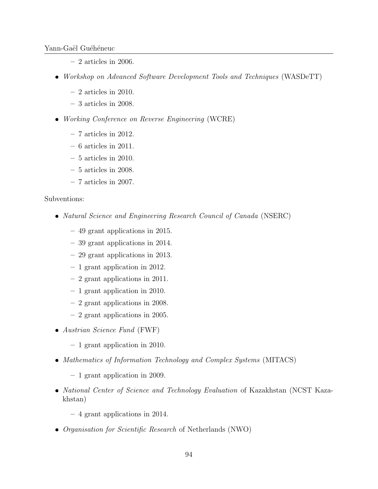- 2 articles in 2006.
- Workshop on Advanced Software Development Tools and Techniques (WASDeTT)
	- $-2$  articles in 2010.
	- 3 articles in 2008.
- Working Conference on Reverse Engineering (WCRE)
	- 7 articles in 2012.
	- $-6$  articles in 2011.
	- $-5$  articles in 2010.
	- 5 articles in 2008.
	- 7 articles in 2007.

#### Subventions:

- Natural Science and Engineering Research Council of Canada (NSERC)
	- 49 grant applications in 2015.
	- 39 grant applications in 2014.
	- 29 grant applications in 2013.
	- 1 grant application in 2012.
	- 2 grant applications in 2011.
	- 1 grant application in 2010.
	- 2 grant applications in 2008.
	- 2 grant applications in 2005.
- Austrian Science Fund (FWF)
	- 1 grant application in 2010.
- Mathematics of Information Technology and Complex Systems (MITACS)
	- 1 grant application in 2009.
- National Center of Science and Technology Evaluation of Kazakhstan (NCST Kazakhstan)
	- 4 grant applications in 2014.
- Organisation for Scientific Research of Netherlands (NWO)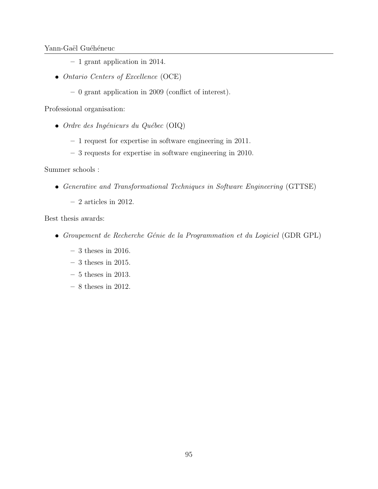- 1 grant application in 2014.
- Ontario Centers of Excellence (OCE)
	- 0 grant application in 2009 (conflict of interest).

Professional organisation:

- Ordre des Ingénieurs du Québec (OIQ)
	- 1 request for expertise in software engineering in 2011.
	- 3 requests for expertise in software engineering in 2010.

Summer schools :

- Generative and Transformational Techniques in Software Engineering (GTTSE)
	- $-2$  articles in 2012.

Best thesis awards:

- Groupement de Recherche Génie de la Programmation et du Logiciel (GDR GPL)
	- $-3$  theses in 2016.
	- $-3$  theses in 2015.
	- $-$  5 theses in 2013.
	- $-$  8 theses in 2012.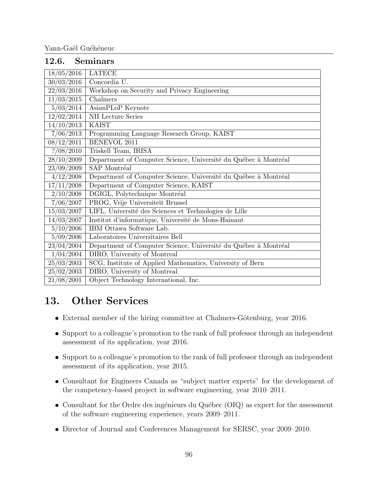#### 12.6. Seminars

| <b>LATECE</b><br>18/05/2016<br>30/03/2016<br>Concordia U.<br>$\sqrt{22/03}/2016$<br>Workshop on Security and Privacy Engineering<br>11/03/2015<br>Chalmers<br>5/03/2014<br>AsianPLoP Keynote<br><b>NII</b> Lecture Series<br>12/02/2014<br>14/10/2013<br><b>KAIST</b><br>7/06/2013<br>Programming Language Research Group, KAIST<br><b>BENEVOL 2011</b><br>08/12/2011<br>? / 08 / 2010<br>Triskell Team, IRISA<br>28/10/2009<br>Department of Computer Science, Université du Québec à Montréal<br>23/09/2009<br>SAP Montréal<br>4/12/2008<br>Department of Computer Science, Université du Québec à Montréal<br>17/11/2008<br>Department of Computer Science, KAIST<br>2/10/2008<br>DGIGL, Polytechnique Montréal<br>7/06/2007<br>PROG, Vrije Universiteit Brussel<br>15/03/2007<br>LIFL, Université des Sciences et Technologies de Lille<br>14/03/2007<br>Institut d'informatique, Université de Mons-Hainaut |
|------------------------------------------------------------------------------------------------------------------------------------------------------------------------------------------------------------------------------------------------------------------------------------------------------------------------------------------------------------------------------------------------------------------------------------------------------------------------------------------------------------------------------------------------------------------------------------------------------------------------------------------------------------------------------------------------------------------------------------------------------------------------------------------------------------------------------------------------------------------------------------------------------------------|
|                                                                                                                                                                                                                                                                                                                                                                                                                                                                                                                                                                                                                                                                                                                                                                                                                                                                                                                  |
|                                                                                                                                                                                                                                                                                                                                                                                                                                                                                                                                                                                                                                                                                                                                                                                                                                                                                                                  |
|                                                                                                                                                                                                                                                                                                                                                                                                                                                                                                                                                                                                                                                                                                                                                                                                                                                                                                                  |
|                                                                                                                                                                                                                                                                                                                                                                                                                                                                                                                                                                                                                                                                                                                                                                                                                                                                                                                  |
|                                                                                                                                                                                                                                                                                                                                                                                                                                                                                                                                                                                                                                                                                                                                                                                                                                                                                                                  |
|                                                                                                                                                                                                                                                                                                                                                                                                                                                                                                                                                                                                                                                                                                                                                                                                                                                                                                                  |
|                                                                                                                                                                                                                                                                                                                                                                                                                                                                                                                                                                                                                                                                                                                                                                                                                                                                                                                  |
|                                                                                                                                                                                                                                                                                                                                                                                                                                                                                                                                                                                                                                                                                                                                                                                                                                                                                                                  |
|                                                                                                                                                                                                                                                                                                                                                                                                                                                                                                                                                                                                                                                                                                                                                                                                                                                                                                                  |
|                                                                                                                                                                                                                                                                                                                                                                                                                                                                                                                                                                                                                                                                                                                                                                                                                                                                                                                  |
|                                                                                                                                                                                                                                                                                                                                                                                                                                                                                                                                                                                                                                                                                                                                                                                                                                                                                                                  |
|                                                                                                                                                                                                                                                                                                                                                                                                                                                                                                                                                                                                                                                                                                                                                                                                                                                                                                                  |
|                                                                                                                                                                                                                                                                                                                                                                                                                                                                                                                                                                                                                                                                                                                                                                                                                                                                                                                  |
|                                                                                                                                                                                                                                                                                                                                                                                                                                                                                                                                                                                                                                                                                                                                                                                                                                                                                                                  |
|                                                                                                                                                                                                                                                                                                                                                                                                                                                                                                                                                                                                                                                                                                                                                                                                                                                                                                                  |
|                                                                                                                                                                                                                                                                                                                                                                                                                                                                                                                                                                                                                                                                                                                                                                                                                                                                                                                  |
|                                                                                                                                                                                                                                                                                                                                                                                                                                                                                                                                                                                                                                                                                                                                                                                                                                                                                                                  |
|                                                                                                                                                                                                                                                                                                                                                                                                                                                                                                                                                                                                                                                                                                                                                                                                                                                                                                                  |
| IBM Ottawa Software Lab.<br>5/10/2006                                                                                                                                                                                                                                                                                                                                                                                                                                                                                                                                                                                                                                                                                                                                                                                                                                                                            |
| 5/09/2006<br>Laboratoires Universitaires Bell                                                                                                                                                                                                                                                                                                                                                                                                                                                                                                                                                                                                                                                                                                                                                                                                                                                                    |
| 23/04/2004<br>Department of Computer Science, Université du Québec à Montréal                                                                                                                                                                                                                                                                                                                                                                                                                                                                                                                                                                                                                                                                                                                                                                                                                                    |
| 1/04/2004<br>DIRO, University of Montreal                                                                                                                                                                                                                                                                                                                                                                                                                                                                                                                                                                                                                                                                                                                                                                                                                                                                        |
| 25/03/2003<br>SCG, Institute of Applied Mathematics, University of Bern                                                                                                                                                                                                                                                                                                                                                                                                                                                                                                                                                                                                                                                                                                                                                                                                                                          |
| DIRO, University of Montreal<br>25/02/2003                                                                                                                                                                                                                                                                                                                                                                                                                                                                                                                                                                                                                                                                                                                                                                                                                                                                       |
| 21/08/2001<br>Object Technology International, Inc.                                                                                                                                                                                                                                                                                                                                                                                                                                                                                                                                                                                                                                                                                                                                                                                                                                                              |

# 13. Other Services

- External member of the hiring committee at Chalmers-Götenburg, year 2016.
- Support to a colleague's promotion to the rank of full professor through an independent assessment of its application, year 2016.
- Support to a colleague's promotion to the rank of full professor through an independent assessment of its application, year 2015.
- Consultant for Engineers Canada as "subject matter experts" for the development of the competency-based project in software engineering, year 2010–2011.
- Consultant for the Ordre des ingénieurs du Québec (OIQ) as expert for the assessment of the software engineering experience, years 2009–2011.
- Director of Journal and Conferences Management for SERSC, year 2009–2010.